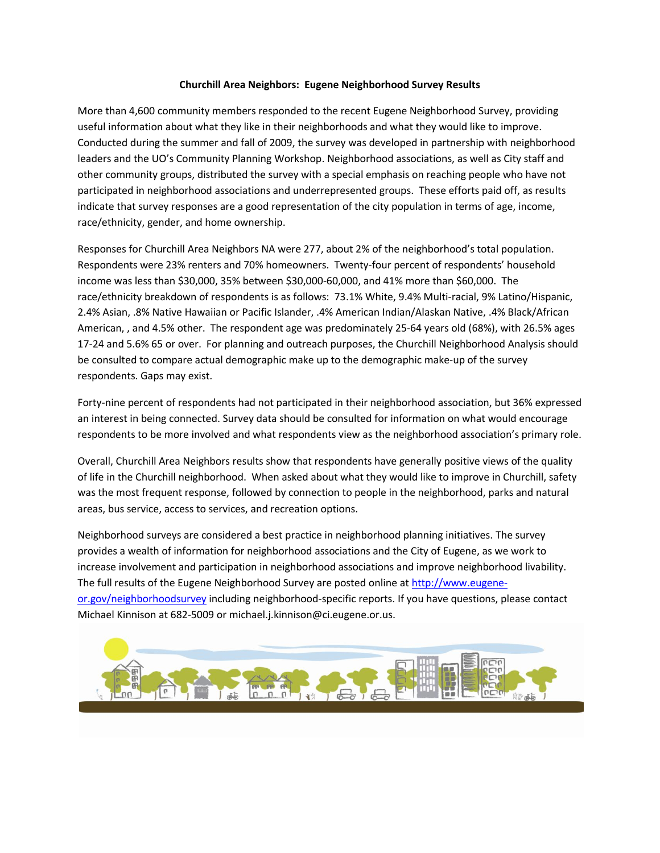#### **Churchill Area Neighbors: Eugene Neighborhood Survey Results**

More than 4,600 community members responded to the recent Eugene Neighborhood Survey, providing useful information about what they like in their neighborhoods and what they would like to improve. Conducted during the summer and fall of 2009, the survey was developed in partnership with neighborhood leaders and the UO's Community Planning Workshop. Neighborhood associations, as well as City staff and other community groups, distributed the survey with a special emphasis on reaching people who have not participated in neighborhood associations and underrepresented groups. These efforts paid off, as results indicate that survey responses are a good representation of the city population in terms of age, income, race/ethnicity, gender, and home ownership.

Responses for Churchill Area Neighbors NA were 277, about 2% of the neighborhood's total population. Respondents were 23% renters and 70% homeowners. Twenty-four percent of respondents' household income was less than \$30,000, 35% between \$30,000-60,000, and 41% more than \$60,000. The race/ethnicity breakdown of respondents is as follows: 73.1% White, 9.4% Multi-racial, 9% Latino/Hispanic, 2.4% Asian, .8% Native Hawaiian or Pacific Islander, .4% American Indian/Alaskan Native, .4% Black/African American, , and 4.5% other. The respondent age was predominately 25-64 years old (68%), with 26.5% ages 17-24 and 5.6% 65 or over. For planning and outreach purposes, the Churchill Neighborhood Analysis should be consulted to compare actual demographic make up to the demographic make-up of the survey respondents. Gaps may exist.

Forty-nine percent of respondents had not participated in their neighborhood association, but 36% expressed an interest in being connected. Survey data should be consulted for information on what would encourage respondents to be more involved and what respondents view as the neighborhood association's primary role.

Overall, Churchill Area Neighbors results show that respondents have generally positive views of the quality of life in the Churchill neighborhood. When asked about what they would like to improve in Churchill, safety was the most frequent response, followed by connection to people in the neighborhood, parks and natural areas, bus service, access to services, and recreation options.

Neighborhood surveys are considered a best practice in neighborhood planning initiatives. The survey provides a wealth of information for neighborhood associations and the City of Eugene, as we work to increase involvement and participation in neighborhood associations and improve neighborhood livability. The full results of the Eugene Neighborhood Survey are posted online at [http://www.eugene](http://www.eugene-or.gov/neighborhoodsurvey)[or.gov/neighborhoodsurvey](http://www.eugene-or.gov/neighborhoodsurvey) including neighborhood-specific reports. If you have questions, please contact Michael Kinnison at 682-5009 or michael.j.kinnison@ci.eugene.or.us.

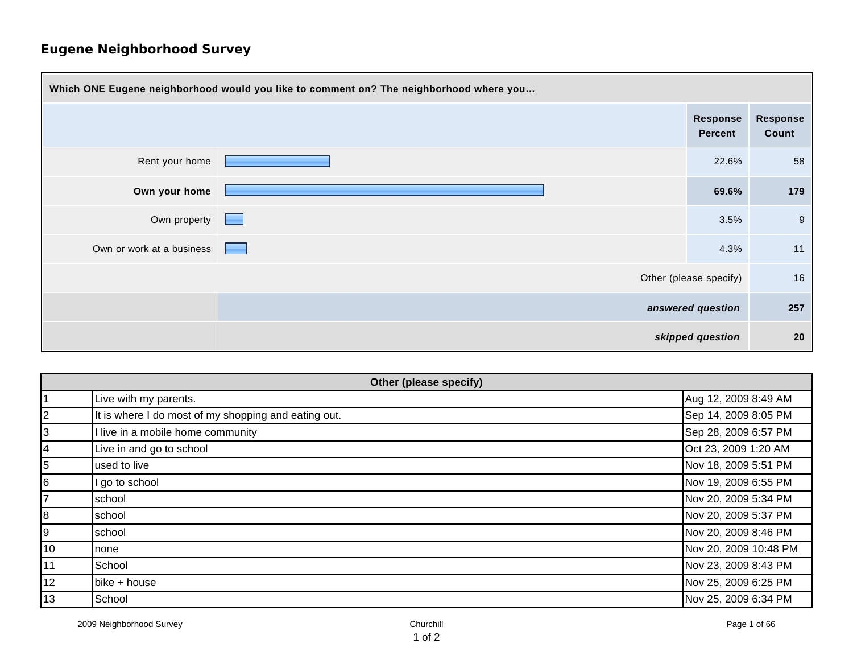| Which ONE Eugene neighborhood would you like to comment on? The neighborhood where you |                                            |                        |                          |
|----------------------------------------------------------------------------------------|--------------------------------------------|------------------------|--------------------------|
|                                                                                        |                                            | Response<br>Percent    | <b>Response</b><br>Count |
| Rent your home                                                                         |                                            | 22.6%                  | 58                       |
| Own your home                                                                          |                                            | 69.6%                  | 179                      |
| Own property                                                                           | <b>Contract Contract Contract</b>          | 3.5%                   | 9                        |
| Own or work at a business                                                              | <b>Contract Contract Contract Contract</b> | 4.3%                   | 11                       |
|                                                                                        |                                            | Other (please specify) | 16                       |
| answered question                                                                      |                                            |                        | 257                      |
| skipped question                                                                       |                                            | 20                     |                          |

| Other (please specify) |                                                      |                       |
|------------------------|------------------------------------------------------|-----------------------|
|                        | Live with my parents.                                | Aug 12, 2009 8:49 AM  |
| 2                      | It is where I do most of my shopping and eating out. | Sep 14, 2009 8:05 PM  |
| 3                      | I live in a mobile home community                    | Sep 28, 2009 6:57 PM  |
| 4                      | Live in and go to school                             | Oct 23, 2009 1:20 AM  |
| 5                      | used to live                                         | Nov 18, 2009 5:51 PM  |
| 6                      | go to school                                         | Nov 19, 2009 6:55 PM  |
| 7                      | school                                               | Nov 20, 2009 5:34 PM  |
| 8                      | school                                               | Nov 20, 2009 5:37 PM  |
| 9                      | school                                               | Nov 20, 2009 8:46 PM  |
| 10                     | none                                                 | Nov 20, 2009 10:48 PM |
| 11                     | School                                               | Nov 23, 2009 8:43 PM  |
| 12                     | bike + house                                         | Nov 25, 2009 6:25 PM  |
| 13                     | School                                               | Nov 25, 2009 6:34 PM  |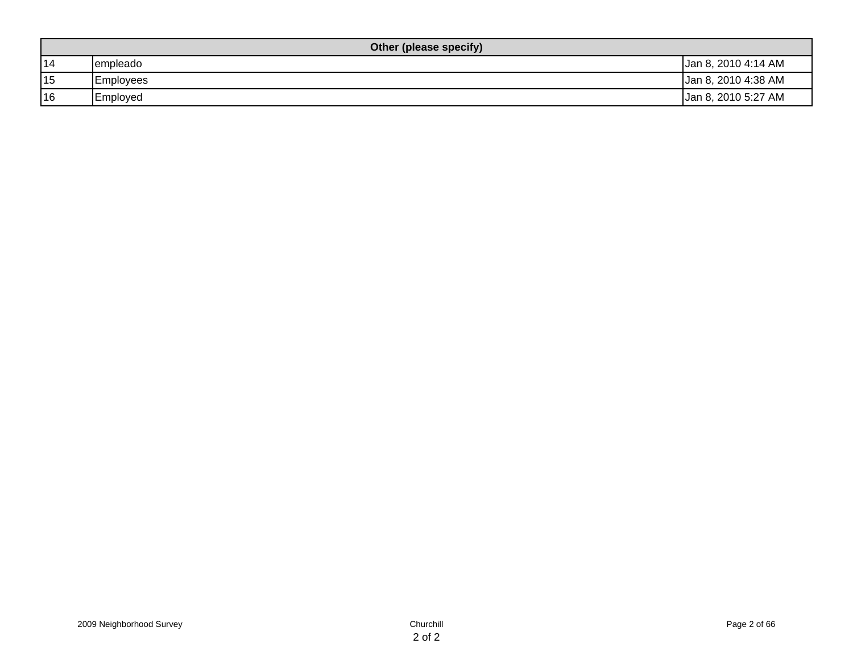| Other (please specify) |                  |                     |  |
|------------------------|------------------|---------------------|--|
| 14                     | empleado         | Jan 8, 2010 4:14 AM |  |
| 15                     | <b>Employees</b> | Jan 8, 2010 4:38 AM |  |
| 16                     | Employed         | Jan 8, 2010 5:27 AM |  |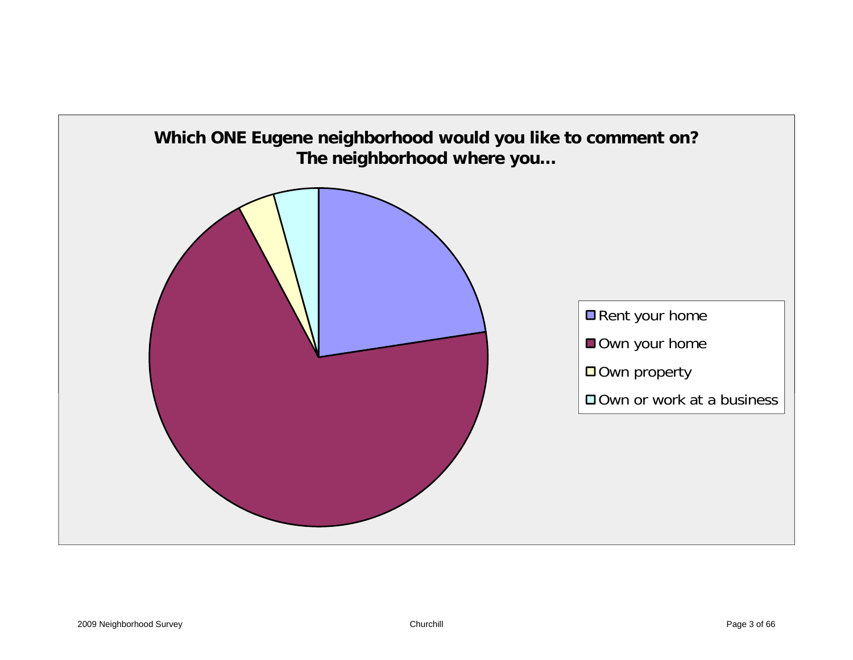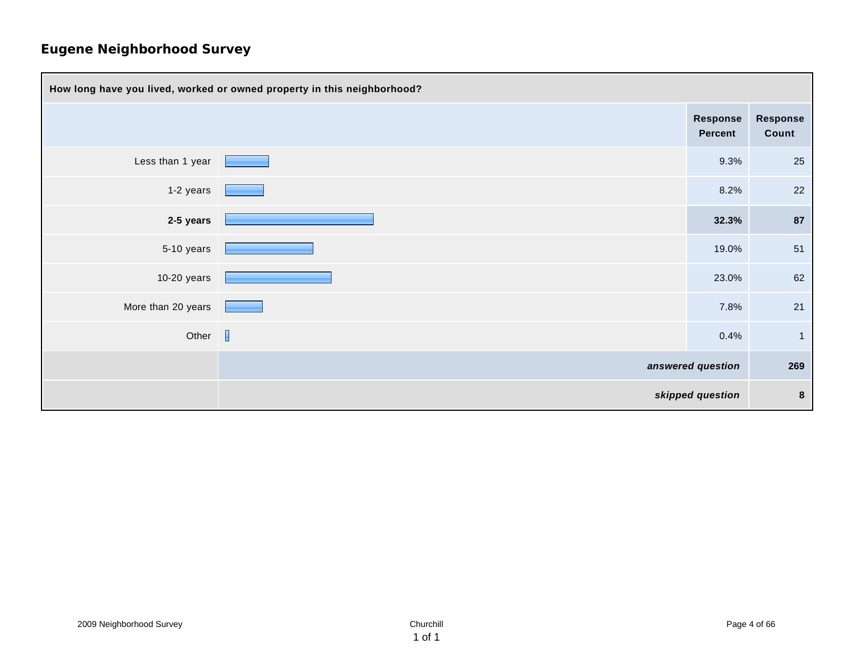| How long have you lived, worked or owned property in this neighborhood? |  |                     |                          |
|-------------------------------------------------------------------------|--|---------------------|--------------------------|
|                                                                         |  | Response<br>Percent | <b>Response</b><br>Count |
| Less than 1 year                                                        |  | 9.3%                | 25                       |
| 1-2 years                                                               |  | 8.2%                | 22                       |
| 2-5 years                                                               |  | 32.3%               | 87                       |
| 5-10 years                                                              |  | 19.0%               | 51                       |
| $10-20$ years                                                           |  | 23.0%               | 62                       |
| More than 20 years                                                      |  | 7.8%                | 21                       |
| Other $\Box$                                                            |  | 0.4%                | $\overline{1}$           |
|                                                                         |  | answered question   | 269                      |
|                                                                         |  | skipped question    | $\bf{8}$                 |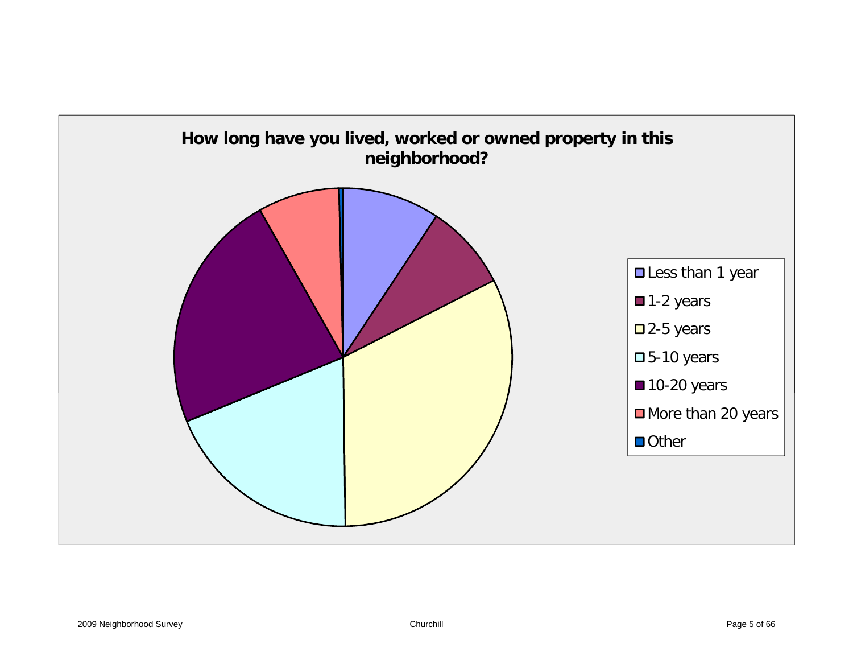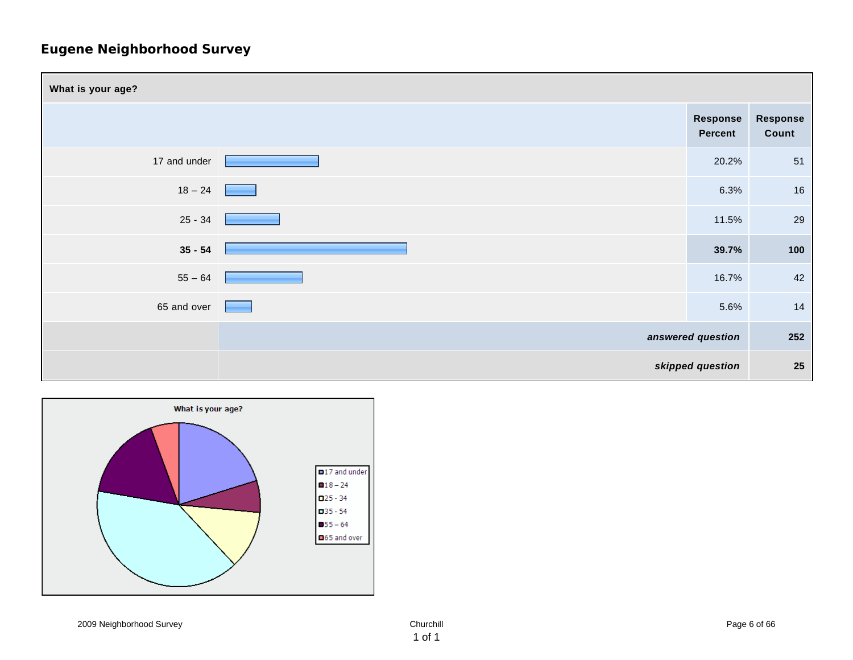

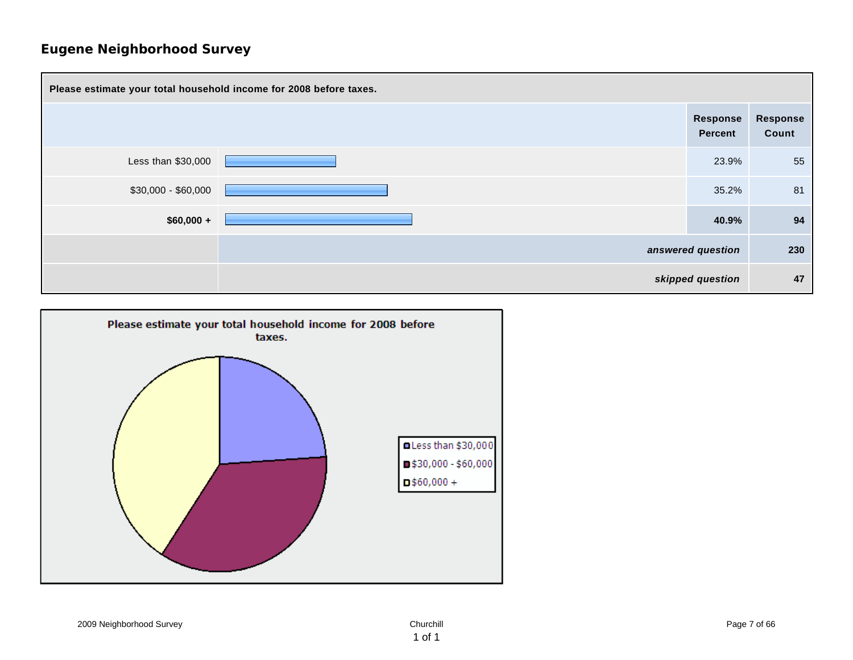

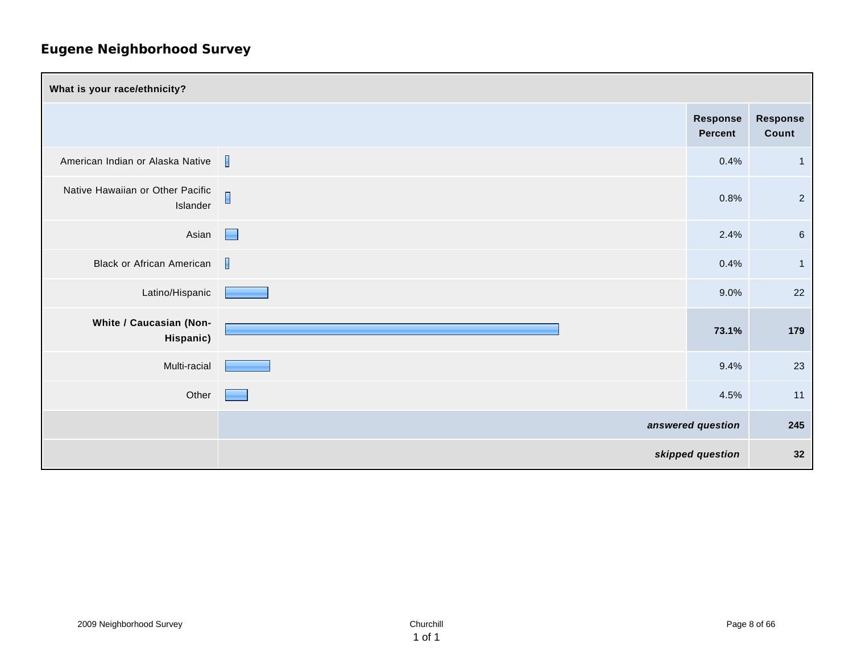| What is your race/ethnicity?                 |                |                     |                   |
|----------------------------------------------|----------------|---------------------|-------------------|
|                                              |                | Response<br>Percent | Response<br>Count |
| American Indian or Alaska Native             | $\mathbf{I}$   | 0.4%                | $\overline{1}$    |
| Native Hawaiian or Other Pacific<br>Islander | $\blacksquare$ | 0.8%                | $\overline{2}$    |
| Asian                                        | E              | 2.4%                | $\,6\,$           |
| <b>Black or African American</b>             | $\mathbf{I}$   | 0.4%                | $\mathbf{1}$      |
| Latino/Hispanic                              |                | 9.0%                | 22                |
| White / Caucasian (Non-<br>Hispanic)         |                | 73.1%               | 179               |
| Multi-racial                                 |                | 9.4%                | 23                |
| Other                                        |                | 4.5%                | 11                |
|                                              |                | answered question   | 245               |
|                                              |                | skipped question    | 32                |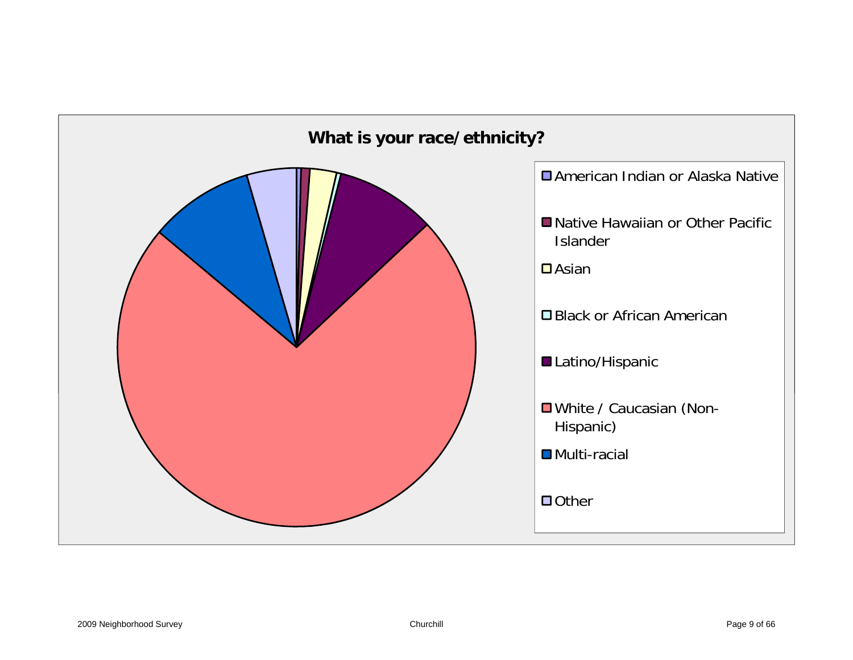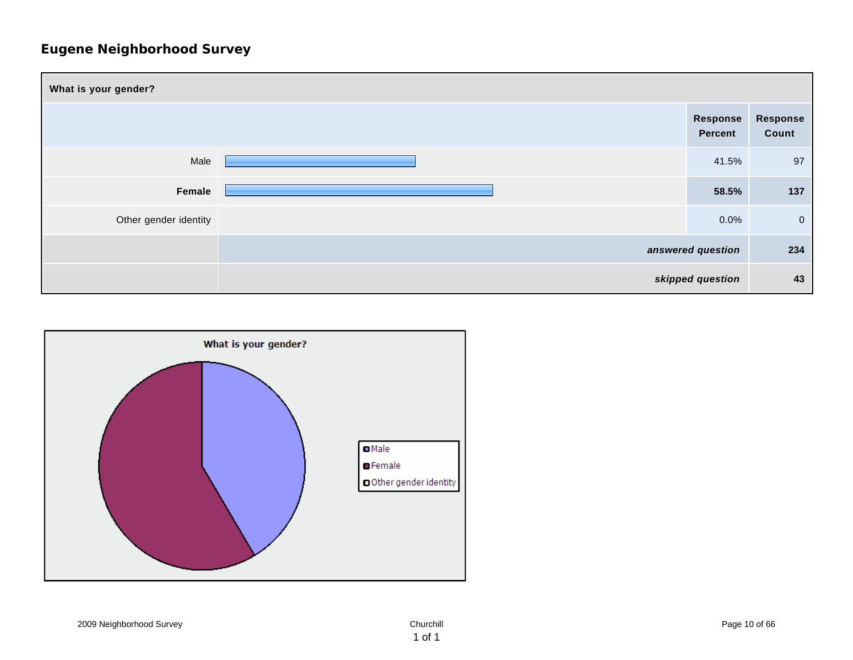| What is your gender?  |  |                            |                   |  |
|-----------------------|--|----------------------------|-------------------|--|
|                       |  | Response<br><b>Percent</b> | Response<br>Count |  |
| Male                  |  | 41.5%                      | 97                |  |
| Female                |  | 58.5%                      | 137               |  |
| Other gender identity |  | 0.0%                       | $\overline{0}$    |  |
|                       |  | answered question          | 234               |  |
|                       |  | skipped question           | 43                |  |

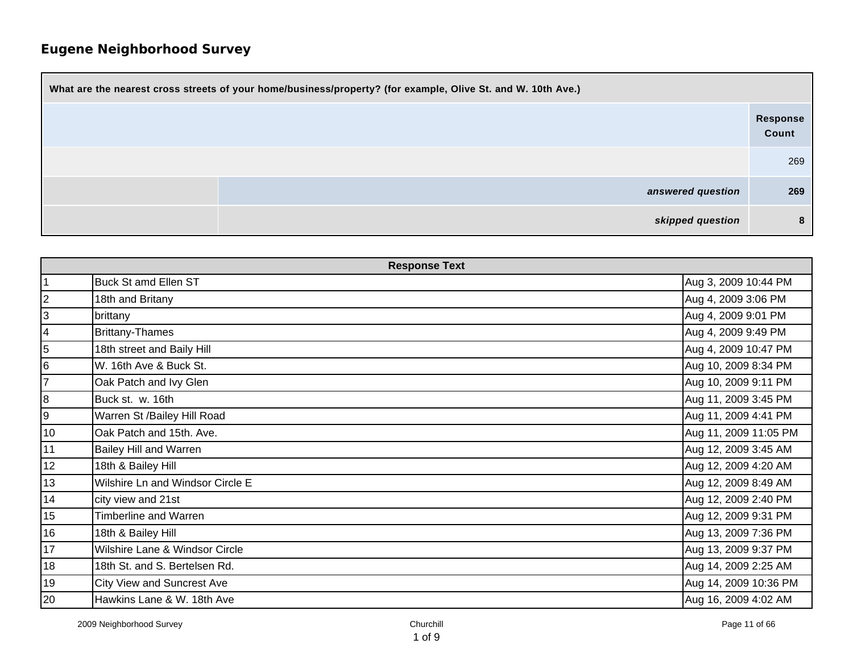| What are the nearest cross streets of your home/business/property? (for example, Olive St. and W. 10th Ave.) |                   |  |  |
|--------------------------------------------------------------------------------------------------------------|-------------------|--|--|
|                                                                                                              | Response<br>Count |  |  |
|                                                                                                              | 269               |  |  |
| answered question                                                                                            | 269               |  |  |
| skipped question                                                                                             | 8                 |  |  |

| <b>Response Text</b> |                                   |                       |  |
|----------------------|-----------------------------------|-----------------------|--|
| $\overline{1}$       | <b>Buck St amd Ellen ST</b>       | Aug 3, 2009 10:44 PM  |  |
| $\overline{2}$       | 18th and Britany                  | Aug 4, 2009 3:06 PM   |  |
| 3                    | brittany                          | Aug 4, 2009 9:01 PM   |  |
| 4                    | <b>Brittany-Thames</b>            | Aug 4, 2009 9:49 PM   |  |
| $\overline{5}$       | 18th street and Baily Hill        | Aug 4, 2009 10:47 PM  |  |
| 6                    | W. 16th Ave & Buck St.            | Aug 10, 2009 8:34 PM  |  |
| 7                    | Oak Patch and Ivy Glen            | Aug 10, 2009 9:11 PM  |  |
| 8                    | Buck st. w. 16th                  | Aug 11, 2009 3:45 PM  |  |
| 9                    | Warren St /Bailey Hill Road       | Aug 11, 2009 4:41 PM  |  |
| 10                   | Oak Patch and 15th. Ave.          | Aug 11, 2009 11:05 PM |  |
| 11                   | <b>Bailey Hill and Warren</b>     | Aug 12, 2009 3:45 AM  |  |
| 12                   | 18th & Bailey Hill                | Aug 12, 2009 4:20 AM  |  |
| 13                   | Wilshire Ln and Windsor Circle E  | Aug 12, 2009 8:49 AM  |  |
| 14                   | city view and 21st                | Aug 12, 2009 2:40 PM  |  |
| 15                   | Timberline and Warren             | Aug 12, 2009 9:31 PM  |  |
| 16                   | 18th & Bailey Hill                | Aug 13, 2009 7:36 PM  |  |
| 17                   | Wilshire Lane & Windsor Circle    | Aug 13, 2009 9:37 PM  |  |
| 18                   | 18th St. and S. Bertelsen Rd.     | Aug 14, 2009 2:25 AM  |  |
| 19                   | <b>City View and Suncrest Ave</b> | Aug 14, 2009 10:36 PM |  |
| 20                   | Hawkins Lane & W. 18th Ave        | Aug 16, 2009 4:02 AM  |  |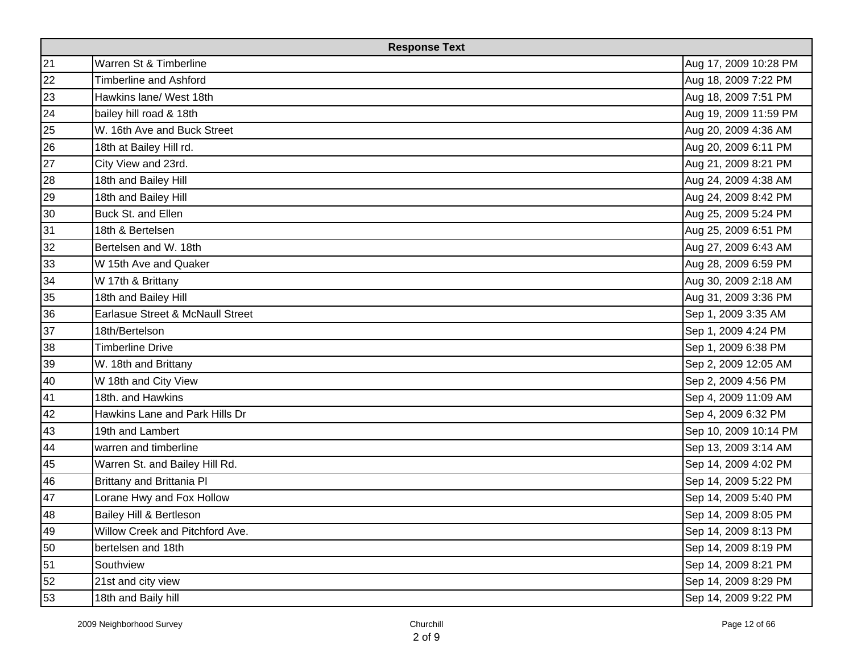| <b>Response Text</b> |                                  |                       |  |
|----------------------|----------------------------------|-----------------------|--|
| 21                   | Warren St & Timberline           | Aug 17, 2009 10:28 PM |  |
| 22                   | <b>Timberline and Ashford</b>    | Aug 18, 2009 7:22 PM  |  |
| 23                   | Hawkins lane/ West 18th          | Aug 18, 2009 7:51 PM  |  |
| 24                   | bailey hill road & 18th          | Aug 19, 2009 11:59 PM |  |
| 25                   | W. 16th Ave and Buck Street      | Aug 20, 2009 4:36 AM  |  |
| 26                   | 18th at Bailey Hill rd.          | Aug 20, 2009 6:11 PM  |  |
| 27                   | City View and 23rd.              | Aug 21, 2009 8:21 PM  |  |
| 28                   | 18th and Bailey Hill             | Aug 24, 2009 4:38 AM  |  |
| 29                   | 18th and Bailey Hill             | Aug 24, 2009 8:42 PM  |  |
| 30                   | Buck St. and Ellen               | Aug 25, 2009 5:24 PM  |  |
| 31                   | 18th & Bertelsen                 | Aug 25, 2009 6:51 PM  |  |
| 32                   | Bertelsen and W. 18th            | Aug 27, 2009 6:43 AM  |  |
| 33                   | W 15th Ave and Quaker            | Aug 28, 2009 6:59 PM  |  |
| 34                   | W 17th & Brittany                | Aug 30, 2009 2:18 AM  |  |
| 35                   | 18th and Bailey Hill             | Aug 31, 2009 3:36 PM  |  |
| 36                   | Earlasue Street & McNaull Street | Sep 1, 2009 3:35 AM   |  |
| 37                   | 18th/Bertelson                   | Sep 1, 2009 4:24 PM   |  |
| 38                   | <b>Timberline Drive</b>          | Sep 1, 2009 6:38 PM   |  |
| 39                   | W. 18th and Brittany             | Sep 2, 2009 12:05 AM  |  |
| 40                   | W 18th and City View             | Sep 2, 2009 4:56 PM   |  |
| 41                   | 18th. and Hawkins                | Sep 4, 2009 11:09 AM  |  |
| 42                   | Hawkins Lane and Park Hills Dr   | Sep 4, 2009 6:32 PM   |  |
| 43                   | 19th and Lambert                 | Sep 10, 2009 10:14 PM |  |
| 44                   | warren and timberline            | Sep 13, 2009 3:14 AM  |  |
| 45                   | Warren St. and Bailey Hill Rd.   | Sep 14, 2009 4:02 PM  |  |
| 46                   | Brittany and Brittania Pl        | Sep 14, 2009 5:22 PM  |  |
| 47                   | Lorane Hwy and Fox Hollow        | Sep 14, 2009 5:40 PM  |  |
| 48                   | Bailey Hill & Bertleson          | Sep 14, 2009 8:05 PM  |  |
| 49                   | Willow Creek and Pitchford Ave.  | Sep 14, 2009 8:13 PM  |  |
| 50                   | bertelsen and 18th               | Sep 14, 2009 8:19 PM  |  |
| 51                   | Southview                        | Sep 14, 2009 8:21 PM  |  |
| 52                   | 21st and city view               | Sep 14, 2009 8:29 PM  |  |
| 53                   | 18th and Baily hill              | Sep 14, 2009 9:22 PM  |  |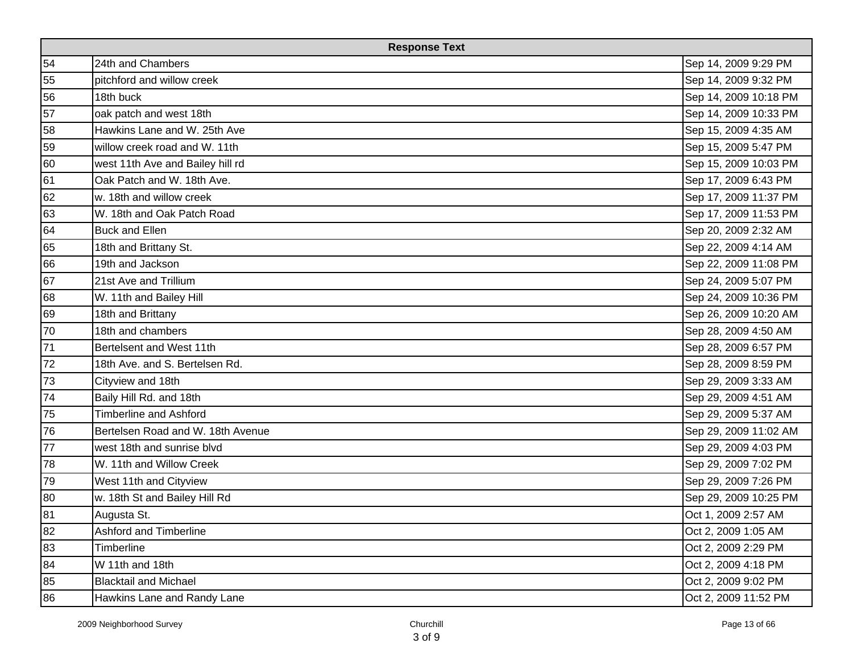| <b>Response Text</b> |                                   |                       |  |
|----------------------|-----------------------------------|-----------------------|--|
| 54                   | 24th and Chambers                 | Sep 14, 2009 9:29 PM  |  |
| 55                   | pitchford and willow creek        | Sep 14, 2009 9:32 PM  |  |
| 56                   | 18th buck                         | Sep 14, 2009 10:18 PM |  |
| 57                   | oak patch and west 18th           | Sep 14, 2009 10:33 PM |  |
| 58                   | Hawkins Lane and W. 25th Ave      | Sep 15, 2009 4:35 AM  |  |
| 59                   | willow creek road and W. 11th     | Sep 15, 2009 5:47 PM  |  |
| 60                   | west 11th Ave and Bailey hill rd  | Sep 15, 2009 10:03 PM |  |
| 61                   | Oak Patch and W. 18th Ave.        | Sep 17, 2009 6:43 PM  |  |
| 62                   | w. 18th and willow creek          | Sep 17, 2009 11:37 PM |  |
| 63                   | W. 18th and Oak Patch Road        | Sep 17, 2009 11:53 PM |  |
| 64                   | <b>Buck and Ellen</b>             | Sep 20, 2009 2:32 AM  |  |
| 65                   | 18th and Brittany St.             | Sep 22, 2009 4:14 AM  |  |
| 66                   | 19th and Jackson                  | Sep 22, 2009 11:08 PM |  |
| 67                   | 21st Ave and Trillium             | Sep 24, 2009 5:07 PM  |  |
| 68                   | W. 11th and Bailey Hill           | Sep 24, 2009 10:36 PM |  |
| 69                   | 18th and Brittany                 | Sep 26, 2009 10:20 AM |  |
| 70                   | 18th and chambers                 | Sep 28, 2009 4:50 AM  |  |
| 71                   | Bertelsent and West 11th          | Sep 28, 2009 6:57 PM  |  |
| 72                   | 18th Ave. and S. Bertelsen Rd.    | Sep 28, 2009 8:59 PM  |  |
| 73                   | Cityview and 18th                 | Sep 29, 2009 3:33 AM  |  |
| 74                   | Baily Hill Rd. and 18th           | Sep 29, 2009 4:51 AM  |  |
| 75                   | <b>Timberline and Ashford</b>     | Sep 29, 2009 5:37 AM  |  |
| 76                   | Bertelsen Road and W. 18th Avenue | Sep 29, 2009 11:02 AM |  |
| 77                   | west 18th and sunrise blvd        | Sep 29, 2009 4:03 PM  |  |
| 78                   | W. 11th and Willow Creek          | Sep 29, 2009 7:02 PM  |  |
| 79                   | West 11th and Cityview            | Sep 29, 2009 7:26 PM  |  |
| 80                   | w. 18th St and Bailey Hill Rd     | Sep 29, 2009 10:25 PM |  |
| 81                   | Augusta St.                       | Oct 1, 2009 2:57 AM   |  |
| 82                   | Ashford and Timberline            | Oct 2, 2009 1:05 AM   |  |
| 83                   | Timberline                        | Oct 2, 2009 2:29 PM   |  |
| 84                   | W 11th and 18th                   | Oct 2, 2009 4:18 PM   |  |
| 85                   | <b>Blacktail and Michael</b>      | Oct 2, 2009 9:02 PM   |  |
| 86                   | Hawkins Lane and Randy Lane       | Oct 2, 2009 11:52 PM  |  |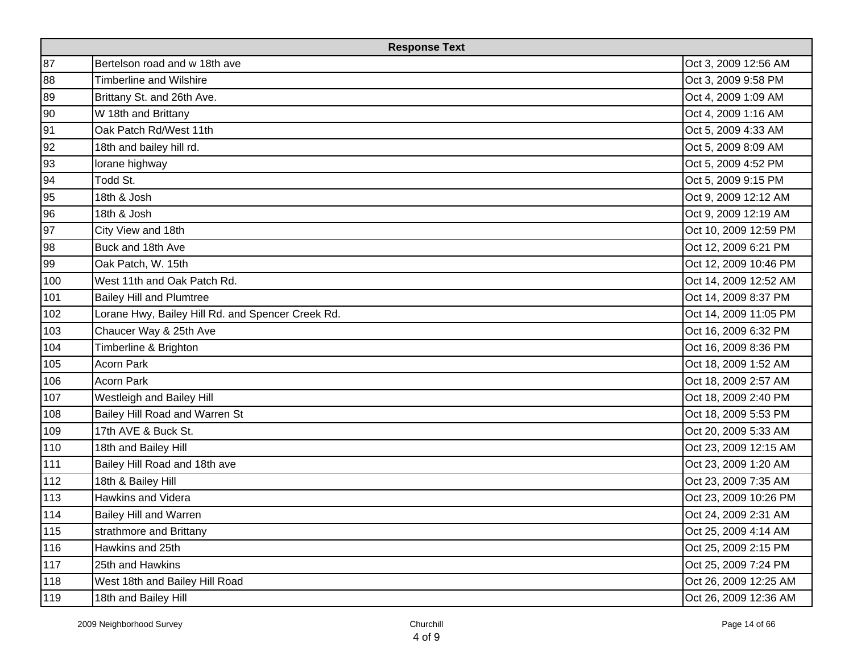| <b>Response Text</b> |                                                   |                       |  |
|----------------------|---------------------------------------------------|-----------------------|--|
| 87                   | Bertelson road and w 18th ave                     | Oct 3, 2009 12:56 AM  |  |
| 88                   | Timberline and Wilshire                           | Oct 3, 2009 9:58 PM   |  |
| 89                   | Brittany St. and 26th Ave.                        | Oct 4, 2009 1:09 AM   |  |
| 90                   | W 18th and Brittany                               | Oct 4, 2009 1:16 AM   |  |
| 91                   | Oak Patch Rd/West 11th                            | Oct 5, 2009 4:33 AM   |  |
| 92                   | 18th and bailey hill rd.                          | Oct 5, 2009 8:09 AM   |  |
| 93                   | lorane highway                                    | Oct 5, 2009 4:52 PM   |  |
| 94                   | Todd St.                                          | Oct 5, 2009 9:15 PM   |  |
| 95                   | 18th & Josh                                       | Oct 9, 2009 12:12 AM  |  |
| 96                   | 18th & Josh                                       | Oct 9, 2009 12:19 AM  |  |
| 97                   | City View and 18th                                | Oct 10, 2009 12:59 PM |  |
| 98                   | Buck and 18th Ave                                 | Oct 12, 2009 6:21 PM  |  |
| 99                   | Oak Patch, W. 15th                                | Oct 12, 2009 10:46 PM |  |
| 100                  | West 11th and Oak Patch Rd.                       | Oct 14, 2009 12:52 AM |  |
| 101                  | <b>Bailey Hill and Plumtree</b>                   | Oct 14, 2009 8:37 PM  |  |
| 102                  | Lorane Hwy, Bailey Hill Rd. and Spencer Creek Rd. | Oct 14, 2009 11:05 PM |  |
| 103                  | Chaucer Way & 25th Ave                            | Oct 16, 2009 6:32 PM  |  |
| 104                  | Timberline & Brighton                             | Oct 16, 2009 8:36 PM  |  |
| 105                  | Acorn Park                                        | Oct 18, 2009 1:52 AM  |  |
| 106                  | Acorn Park                                        | Oct 18, 2009 2:57 AM  |  |
| 107                  | Westleigh and Bailey Hill                         | Oct 18, 2009 2:40 PM  |  |
| 108                  | Bailey Hill Road and Warren St                    | Oct 18, 2009 5:53 PM  |  |
| 109                  | 17th AVE & Buck St.                               | Oct 20, 2009 5:33 AM  |  |
| 110                  | 18th and Bailey Hill                              | Oct 23, 2009 12:15 AM |  |
| 111                  | Bailey Hill Road and 18th ave                     | Oct 23, 2009 1:20 AM  |  |
| 112                  | 18th & Bailey Hill                                | Oct 23, 2009 7:35 AM  |  |
| 113                  | Hawkins and Videra                                | Oct 23, 2009 10:26 PM |  |
| 114                  | <b>Bailey Hill and Warren</b>                     | Oct 24, 2009 2:31 AM  |  |
| 115                  | strathmore and Brittany                           | Oct 25, 2009 4:14 AM  |  |
| 116                  | Hawkins and 25th                                  | Oct 25, 2009 2:15 PM  |  |
| 117                  | 25th and Hawkins                                  | Oct 25, 2009 7:24 PM  |  |
| 118                  | West 18th and Bailey Hill Road                    | Oct 26, 2009 12:25 AM |  |
| 119                  | 18th and Bailey Hill                              | Oct 26, 2009 12:36 AM |  |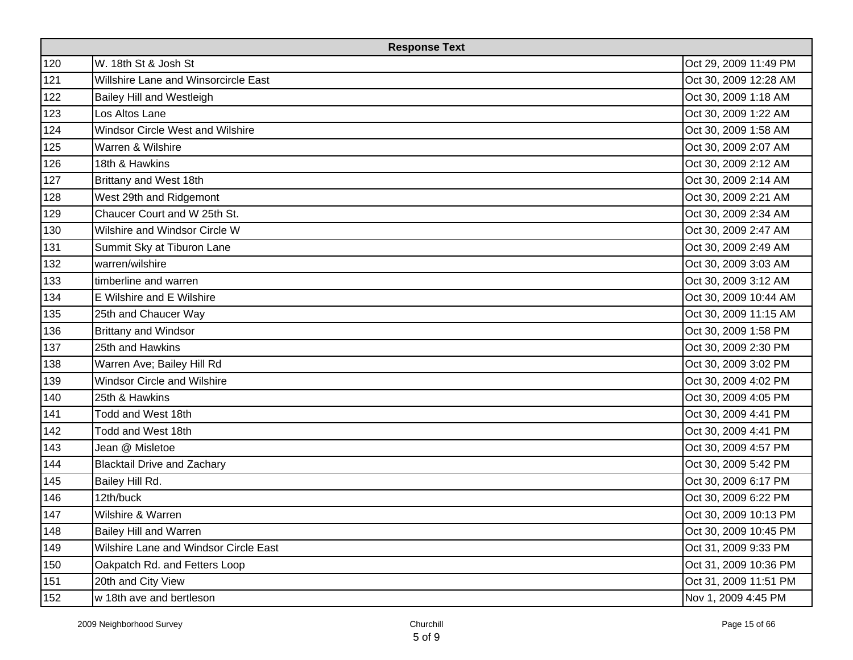|     | <b>Response Text</b>                  |                       |  |  |
|-----|---------------------------------------|-----------------------|--|--|
| 120 | W. 18th St & Josh St                  | Oct 29, 2009 11:49 PM |  |  |
| 121 | Willshire Lane and Winsorcircle East  | Oct 30, 2009 12:28 AM |  |  |
| 122 | <b>Bailey Hill and Westleigh</b>      | Oct 30, 2009 1:18 AM  |  |  |
| 123 | Los Altos Lane                        | Oct 30, 2009 1:22 AM  |  |  |
| 124 | Windsor Circle West and Wilshire      | Oct 30, 2009 1:58 AM  |  |  |
| 125 | Warren & Wilshire                     | Oct 30, 2009 2:07 AM  |  |  |
| 126 | 18th & Hawkins                        | Oct 30, 2009 2:12 AM  |  |  |
| 127 | Brittany and West 18th                | Oct 30, 2009 2:14 AM  |  |  |
| 128 | West 29th and Ridgemont               | Oct 30, 2009 2:21 AM  |  |  |
| 129 | Chaucer Court and W 25th St.          | Oct 30, 2009 2:34 AM  |  |  |
| 130 | Wilshire and Windsor Circle W         | Oct 30, 2009 2:47 AM  |  |  |
| 131 | Summit Sky at Tiburon Lane            | Oct 30, 2009 2:49 AM  |  |  |
| 132 | warren/wilshire                       | Oct 30, 2009 3:03 AM  |  |  |
| 133 | timberline and warren                 | Oct 30, 2009 3:12 AM  |  |  |
| 134 | E Wilshire and E Wilshire             | Oct 30, 2009 10:44 AM |  |  |
| 135 | 25th and Chaucer Way                  | Oct 30, 2009 11:15 AM |  |  |
| 136 | <b>Brittany and Windsor</b>           | Oct 30, 2009 1:58 PM  |  |  |
| 137 | 25th and Hawkins                      | Oct 30, 2009 2:30 PM  |  |  |
| 138 | Warren Ave; Bailey Hill Rd            | Oct 30, 2009 3:02 PM  |  |  |
| 139 | <b>Windsor Circle and Wilshire</b>    | Oct 30, 2009 4:02 PM  |  |  |
| 140 | 25th & Hawkins                        | Oct 30, 2009 4:05 PM  |  |  |
| 141 | Todd and West 18th                    | Oct 30, 2009 4:41 PM  |  |  |
| 142 | Todd and West 18th                    | Oct 30, 2009 4:41 PM  |  |  |
| 143 | Jean @ Misletoe                       | Oct 30, 2009 4:57 PM  |  |  |
| 144 | <b>Blacktail Drive and Zachary</b>    | Oct 30, 2009 5:42 PM  |  |  |
| 145 | Bailey Hill Rd.                       | Oct 30, 2009 6:17 PM  |  |  |
| 146 | 12th/buck                             | Oct 30, 2009 6:22 PM  |  |  |
| 147 | Wilshire & Warren                     | Oct 30, 2009 10:13 PM |  |  |
| 148 | <b>Bailey Hill and Warren</b>         | Oct 30, 2009 10:45 PM |  |  |
| 149 | Wilshire Lane and Windsor Circle East | Oct 31, 2009 9:33 PM  |  |  |
| 150 | Oakpatch Rd. and Fetters Loop         | Oct 31, 2009 10:36 PM |  |  |
| 151 | 20th and City View                    | Oct 31, 2009 11:51 PM |  |  |
| 152 | w 18th ave and bertleson              | Nov 1, 2009 4:45 PM   |  |  |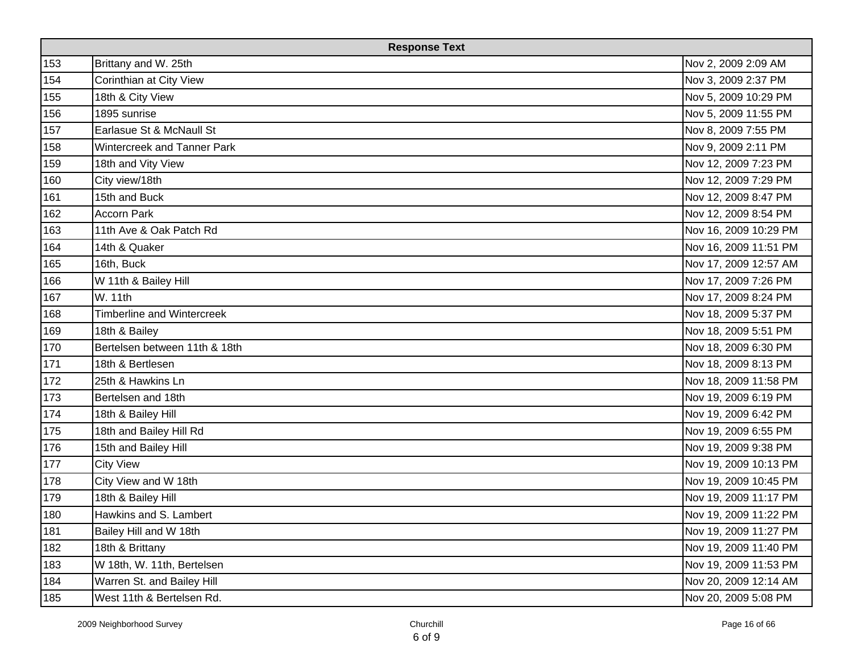| <b>Response Text</b> |                                   |                       |
|----------------------|-----------------------------------|-----------------------|
| 153                  | Brittany and W. 25th              | Nov 2, 2009 2:09 AM   |
| 154                  | Corinthian at City View           | Nov 3, 2009 2:37 PM   |
| 155                  | 18th & City View                  | Nov 5, 2009 10:29 PM  |
| 156                  | 1895 sunrise                      | Nov 5, 2009 11:55 PM  |
| 157                  | Earlasue St & McNaull St          | Nov 8, 2009 7:55 PM   |
| 158                  | Wintercreek and Tanner Park       | Nov 9, 2009 2:11 PM   |
| 159                  | 18th and Vity View                | Nov 12, 2009 7:23 PM  |
| 160                  | City view/18th                    | Nov 12, 2009 7:29 PM  |
| 161                  | 15th and Buck                     | Nov 12, 2009 8:47 PM  |
| 162                  | <b>Accorn Park</b>                | Nov 12, 2009 8:54 PM  |
| 163                  | 11th Ave & Oak Patch Rd           | Nov 16, 2009 10:29 PM |
| 164                  | 14th & Quaker                     | Nov 16, 2009 11:51 PM |
| 165                  | 16th, Buck                        | Nov 17, 2009 12:57 AM |
| 166                  | W 11th & Bailey Hill              | Nov 17, 2009 7:26 PM  |
| 167                  | W. 11th                           | Nov 17, 2009 8:24 PM  |
| 168                  | <b>Timberline and Wintercreek</b> | Nov 18, 2009 5:37 PM  |
| 169                  | 18th & Bailey                     | Nov 18, 2009 5:51 PM  |
| 170                  | Bertelsen between 11th & 18th     | Nov 18, 2009 6:30 PM  |
| 171                  | 18th & Bertlesen                  | Nov 18, 2009 8:13 PM  |
| 172                  | 25th & Hawkins Ln                 | Nov 18, 2009 11:58 PM |
| 173                  | Bertelsen and 18th                | Nov 19, 2009 6:19 PM  |
| 174                  | 18th & Bailey Hill                | Nov 19, 2009 6:42 PM  |
| 175                  | 18th and Bailey Hill Rd           | Nov 19, 2009 6:55 PM  |
| 176                  | 15th and Bailey Hill              | Nov 19, 2009 9:38 PM  |
| $177$                | <b>City View</b>                  | Nov 19, 2009 10:13 PM |
| 178                  | City View and W 18th              | Nov 19, 2009 10:45 PM |
| 179                  | 18th & Bailey Hill                | Nov 19, 2009 11:17 PM |
| 180                  | Hawkins and S. Lambert            | Nov 19, 2009 11:22 PM |
| 181                  | Bailey Hill and W 18th            | Nov 19, 2009 11:27 PM |
| 182                  | 18th & Brittany                   | Nov 19, 2009 11:40 PM |
| 183                  | W 18th, W. 11th, Bertelsen        | Nov 19, 2009 11:53 PM |
| 184                  | Warren St. and Bailey Hill        | Nov 20, 2009 12:14 AM |
| 185                  | West 11th & Bertelsen Rd.         | Nov 20, 2009 5:08 PM  |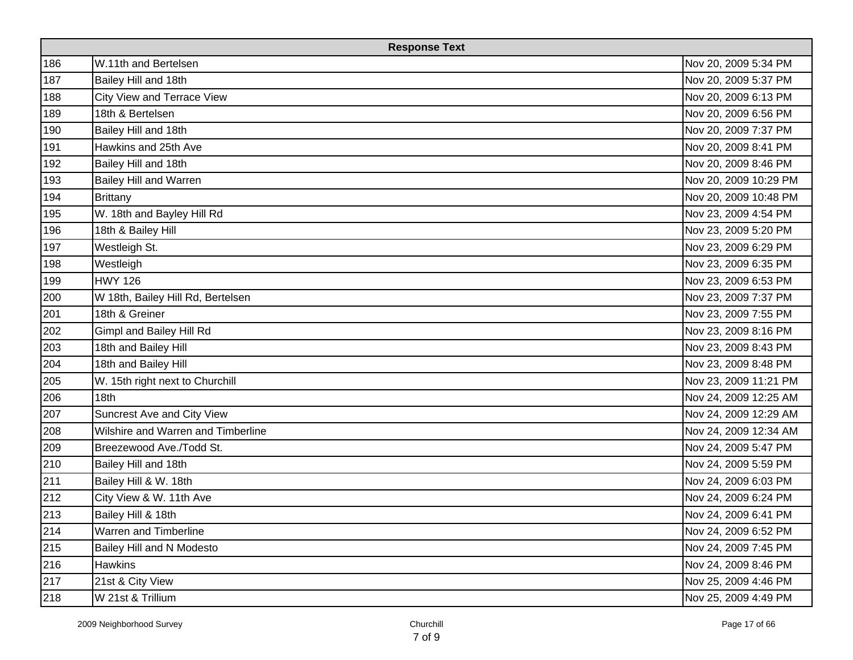| <b>Response Text</b> |                                    |                       |
|----------------------|------------------------------------|-----------------------|
| 186                  | W.11th and Bertelsen               | Nov 20, 2009 5:34 PM  |
| 187                  | Bailey Hill and 18th               | Nov 20, 2009 5:37 PM  |
| 188                  | City View and Terrace View         | Nov 20, 2009 6:13 PM  |
| 189                  | 18th & Bertelsen                   | Nov 20, 2009 6:56 PM  |
| 190                  | Bailey Hill and 18th               | Nov 20, 2009 7:37 PM  |
| 191                  | Hawkins and 25th Ave               | Nov 20, 2009 8:41 PM  |
| 192                  | Bailey Hill and 18th               | Nov 20, 2009 8:46 PM  |
| 193                  | Bailey Hill and Warren             | Nov 20, 2009 10:29 PM |
| 194                  | Brittany                           | Nov 20, 2009 10:48 PM |
| 195                  | W. 18th and Bayley Hill Rd         | Nov 23, 2009 4:54 PM  |
| 196                  | 18th & Bailey Hill                 | Nov 23, 2009 5:20 PM  |
| 197                  | Westleigh St.                      | Nov 23, 2009 6:29 PM  |
| 198                  | Westleigh                          | Nov 23, 2009 6:35 PM  |
| 199                  | <b>HWY 126</b>                     | Nov 23, 2009 6:53 PM  |
| 200                  | W 18th, Bailey Hill Rd, Bertelsen  | Nov 23, 2009 7:37 PM  |
| 201                  | 18th & Greiner                     | Nov 23, 2009 7:55 PM  |
| 202                  | Gimpl and Bailey Hill Rd           | Nov 23, 2009 8:16 PM  |
| 203                  | 18th and Bailey Hill               | Nov 23, 2009 8:43 PM  |
| 204                  | 18th and Bailey Hill               | Nov 23, 2009 8:48 PM  |
| 205                  | W. 15th right next to Churchill    | Nov 23, 2009 11:21 PM |
| 206                  | 18th                               | Nov 24, 2009 12:25 AM |
| 207                  | Suncrest Ave and City View         | Nov 24, 2009 12:29 AM |
| 208                  | Wilshire and Warren and Timberline | Nov 24, 2009 12:34 AM |
| 209                  | Breezewood Ave./Todd St.           | Nov 24, 2009 5:47 PM  |
| 210                  | Bailey Hill and 18th               | Nov 24, 2009 5:59 PM  |
| 211                  | Bailey Hill & W. 18th              | Nov 24, 2009 6:03 PM  |
| 212                  | City View & W. 11th Ave            | Nov 24, 2009 6:24 PM  |
| 213                  | Bailey Hill & 18th                 | Nov 24, 2009 6:41 PM  |
| 214                  | Warren and Timberline              | Nov 24, 2009 6:52 PM  |
| 215                  | Bailey Hill and N Modesto          | Nov 24, 2009 7:45 PM  |
| 216                  | Hawkins                            | Nov 24, 2009 8:46 PM  |
| 217                  | 21st & City View                   | Nov 25, 2009 4:46 PM  |
| 218                  | W 21st & Trillium                  | Nov 25, 2009 4:49 PM  |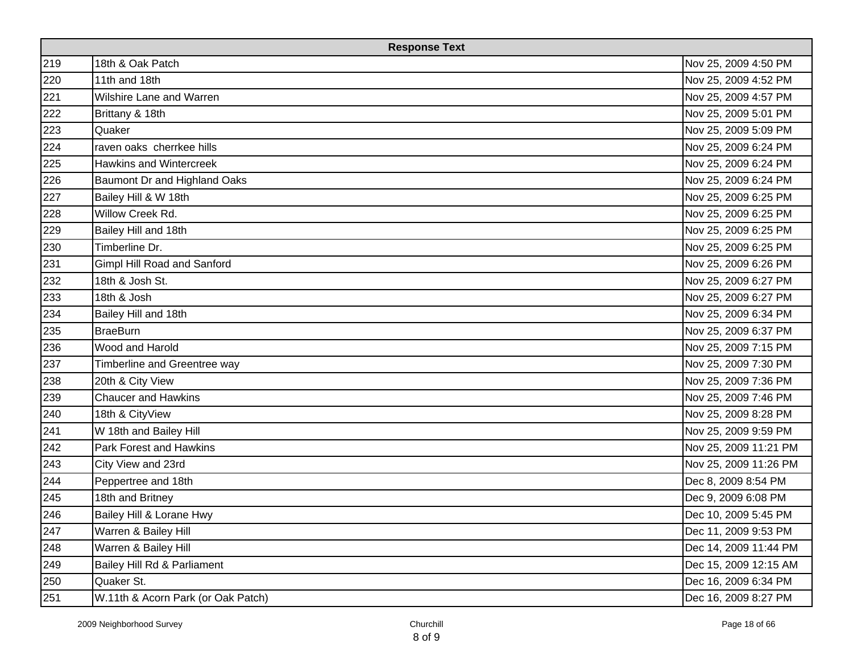| <b>Response Text</b> |                                    |                       |
|----------------------|------------------------------------|-----------------------|
| 219                  | 18th & Oak Patch                   | Nov 25, 2009 4:50 PM  |
| 220                  | 11th and 18th                      | Nov 25, 2009 4:52 PM  |
| 221                  | Wilshire Lane and Warren           | Nov 25, 2009 4:57 PM  |
| 222                  | Brittany & 18th                    | Nov 25, 2009 5:01 PM  |
| 223                  | Quaker                             | Nov 25, 2009 5:09 PM  |
| 224                  | raven oaks cherrkee hills          | Nov 25, 2009 6:24 PM  |
| 225                  | <b>Hawkins and Wintercreek</b>     | Nov 25, 2009 6:24 PM  |
| 226                  | Baumont Dr and Highland Oaks       | Nov 25, 2009 6:24 PM  |
| 227                  | Bailey Hill & W 18th               | Nov 25, 2009 6:25 PM  |
| 228                  | Willow Creek Rd.                   | Nov 25, 2009 6:25 PM  |
| 229                  | Bailey Hill and 18th               | Nov 25, 2009 6:25 PM  |
| 230                  | Timberline Dr.                     | Nov 25, 2009 6:25 PM  |
| 231                  | Gimpl Hill Road and Sanford        | Nov 25, 2009 6:26 PM  |
| 232                  | 18th & Josh St.                    | Nov 25, 2009 6:27 PM  |
| 233                  | 18th & Josh                        | Nov 25, 2009 6:27 PM  |
| 234                  | Bailey Hill and 18th               | Nov 25, 2009 6:34 PM  |
| 235                  | <b>BraeBurn</b>                    | Nov 25, 2009 6:37 PM  |
| 236                  | Wood and Harold                    | Nov 25, 2009 7:15 PM  |
| 237                  | Timberline and Greentree way       | Nov 25, 2009 7:30 PM  |
| 238                  | 20th & City View                   | Nov 25, 2009 7:36 PM  |
| 239                  | <b>Chaucer and Hawkins</b>         | Nov 25, 2009 7:46 PM  |
| 240                  | 18th & CityView                    | Nov 25, 2009 8:28 PM  |
| 241                  | W 18th and Bailey Hill             | Nov 25, 2009 9:59 PM  |
| 242                  | Park Forest and Hawkins            | Nov 25, 2009 11:21 PM |
| 243                  | City View and 23rd                 | Nov 25, 2009 11:26 PM |
| 244                  | Peppertree and 18th                | Dec 8, 2009 8:54 PM   |
| 245                  | 18th and Britney                   | Dec 9, 2009 6:08 PM   |
| 246                  | Bailey Hill & Lorane Hwy           | Dec 10, 2009 5:45 PM  |
| 247                  | Warren & Bailey Hill               | Dec 11, 2009 9:53 PM  |
| 248                  | Warren & Bailey Hill               | Dec 14, 2009 11:44 PM |
| 249                  | Bailey Hill Rd & Parliament        | Dec 15, 2009 12:15 AM |
| 250                  | Quaker St.                         | Dec 16, 2009 6:34 PM  |
| 251                  | W.11th & Acorn Park (or Oak Patch) | Dec 16, 2009 8:27 PM  |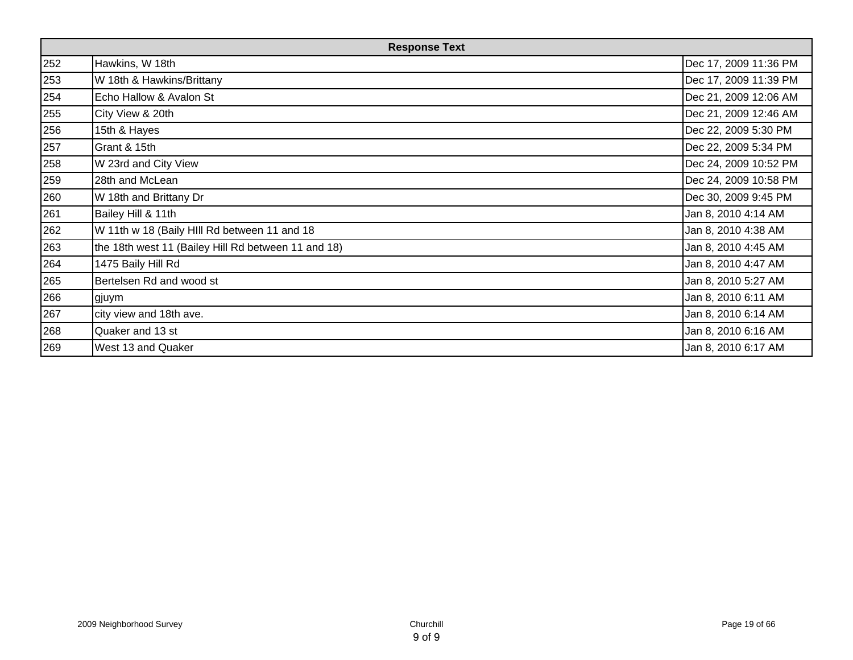| <b>Response Text</b> |                                                     |                       |
|----------------------|-----------------------------------------------------|-----------------------|
| 252                  | Hawkins, W 18th                                     | Dec 17, 2009 11:36 PM |
| 253                  | W 18th & Hawkins/Brittany                           | Dec 17, 2009 11:39 PM |
| 254                  | Echo Hallow & Avalon St                             | Dec 21, 2009 12:06 AM |
| 255                  | City View & 20th                                    | Dec 21, 2009 12:46 AM |
| 256                  | 15th & Hayes                                        | Dec 22, 2009 5:30 PM  |
| 257                  | Grant & 15th                                        | Dec 22, 2009 5:34 PM  |
| 258                  | W 23rd and City View                                | Dec 24, 2009 10:52 PM |
| 259                  | 28th and McLean                                     | Dec 24, 2009 10:58 PM |
| 260                  | W 18th and Brittany Dr                              | Dec 30, 2009 9:45 PM  |
| 261                  | Bailey Hill & 11th                                  | Jan 8, 2010 4:14 AM   |
| 262                  | W 11th w 18 (Baily HIII Rd between 11 and 18        | Jan 8, 2010 4:38 AM   |
| 263                  | the 18th west 11 (Bailey Hill Rd between 11 and 18) | Jan 8, 2010 4:45 AM   |
| 264                  | 1475 Baily Hill Rd                                  | Jan 8, 2010 4:47 AM   |
| 265                  | Bertelsen Rd and wood st                            | Jan 8, 2010 5:27 AM   |
| 266                  | gjuym                                               | Jan 8, 2010 6:11 AM   |
| 267                  | city view and 18th ave.                             | Jan 8, 2010 6:14 AM   |
| 268                  | Quaker and 13 st                                    | Jan 8, 2010 6:16 AM   |
| 269                  | West 13 and Quaker                                  | Jan 8, 2010 6:17 AM   |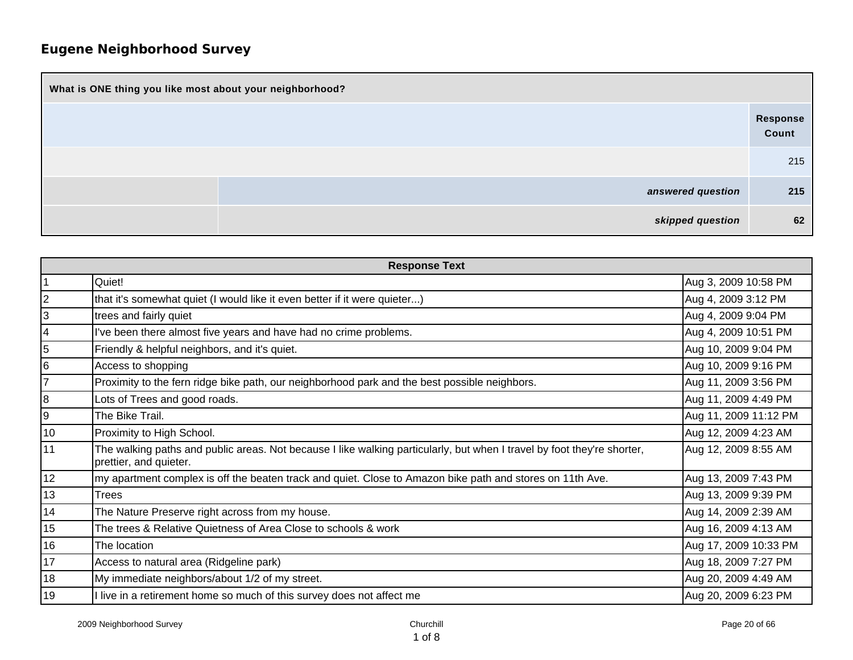| What is ONE thing you like most about your neighborhood? |                   |  |
|----------------------------------------------------------|-------------------|--|
|                                                          | Response<br>Count |  |
|                                                          | 215               |  |
| answered question                                        | 215               |  |
| skipped question                                         | 62                |  |

| <b>Response Text</b> |                                                                                                                                                   |                       |
|----------------------|---------------------------------------------------------------------------------------------------------------------------------------------------|-----------------------|
|                      | Quiet!                                                                                                                                            | Aug 3, 2009 10:58 PM  |
| 2                    | that it's somewhat quiet (I would like it even better if it were quieter)                                                                         | Aug 4, 2009 3:12 PM   |
| 3                    | trees and fairly quiet                                                                                                                            | Aug 4, 2009 9:04 PM   |
| $\overline{4}$       | I've been there almost five years and have had no crime problems.                                                                                 | Aug 4, 2009 10:51 PM  |
| 5                    | Friendly & helpful neighbors, and it's quiet.                                                                                                     | Aug 10, 2009 9:04 PM  |
| 6                    | Access to shopping                                                                                                                                | Aug 10, 2009 9:16 PM  |
| 7                    | Proximity to the fern ridge bike path, our neighborhood park and the best possible neighbors.                                                     | Aug 11, 2009 3:56 PM  |
| 8                    | Lots of Trees and good roads.                                                                                                                     | Aug 11, 2009 4:49 PM  |
| 9                    | The Bike Trail.                                                                                                                                   | Aug 11, 2009 11:12 PM |
| 10                   | Proximity to High School.                                                                                                                         | Aug 12, 2009 4:23 AM  |
| 11                   | The walking paths and public areas. Not because I like walking particularly, but when I travel by foot they're shorter,<br>prettier, and quieter. | Aug 12, 2009 8:55 AM  |
| 12                   | my apartment complex is off the beaten track and quiet. Close to Amazon bike path and stores on 11th Ave.                                         | Aug 13, 2009 7:43 PM  |
| 13                   | Trees                                                                                                                                             | Aug 13, 2009 9:39 PM  |
| 14                   | The Nature Preserve right across from my house.                                                                                                   | Aug 14, 2009 2:39 AM  |
| 15                   | The trees & Relative Quietness of Area Close to schools & work                                                                                    | Aug 16, 2009 4:13 AM  |
| 16                   | The location                                                                                                                                      | Aug 17, 2009 10:33 PM |
| 17                   | Access to natural area (Ridgeline park)                                                                                                           | Aug 18, 2009 7:27 PM  |
| 18                   | My immediate neighbors/about 1/2 of my street.                                                                                                    | Aug 20, 2009 4:49 AM  |
| 19                   | I live in a retirement home so much of this survey does not affect me                                                                             | Aug 20, 2009 6:23 PM  |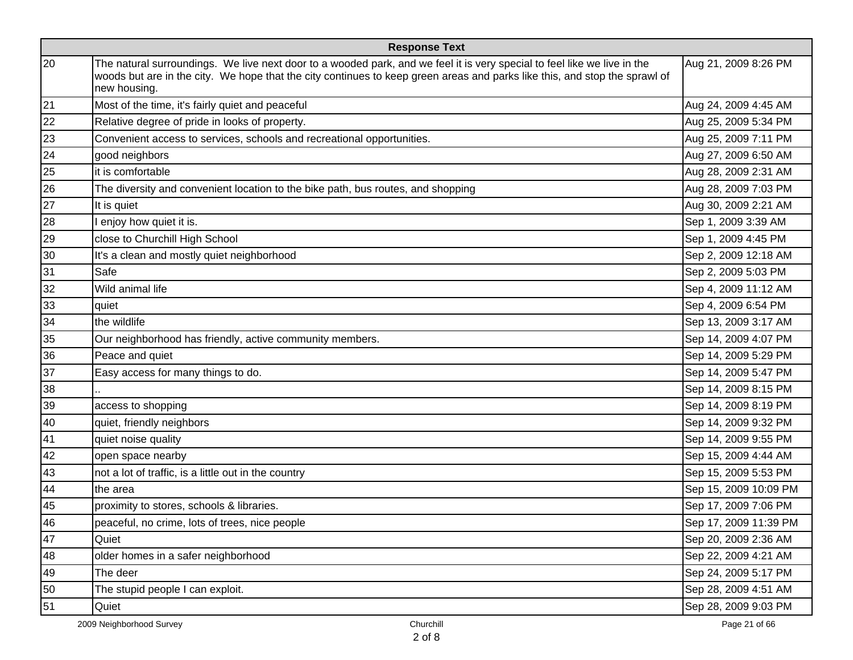| <b>Response Text</b> |                                                                                                                                                                                                                                                                        |                       |
|----------------------|------------------------------------------------------------------------------------------------------------------------------------------------------------------------------------------------------------------------------------------------------------------------|-----------------------|
| 20                   | The natural surroundings. We live next door to a wooded park, and we feel it is very special to feel like we live in the<br>woods but are in the city. We hope that the city continues to keep green areas and parks like this, and stop the sprawl of<br>new housing. | Aug 21, 2009 8:26 PM  |
| 21                   | Most of the time, it's fairly quiet and peaceful                                                                                                                                                                                                                       | Aug 24, 2009 4:45 AM  |
| 22                   | Relative degree of pride in looks of property.                                                                                                                                                                                                                         | Aug 25, 2009 5:34 PM  |
| 23                   | Convenient access to services, schools and recreational opportunities.                                                                                                                                                                                                 | Aug 25, 2009 7:11 PM  |
| 24                   | good neighbors                                                                                                                                                                                                                                                         | Aug 27, 2009 6:50 AM  |
| 25                   | it is comfortable                                                                                                                                                                                                                                                      | Aug 28, 2009 2:31 AM  |
| 26                   | The diversity and convenient location to the bike path, bus routes, and shopping                                                                                                                                                                                       | Aug 28, 2009 7:03 PM  |
| 27                   | It is quiet                                                                                                                                                                                                                                                            | Aug 30, 2009 2:21 AM  |
| 28                   | I enjoy how quiet it is.                                                                                                                                                                                                                                               | Sep 1, 2009 3:39 AM   |
| 29                   | close to Churchill High School                                                                                                                                                                                                                                         | Sep 1, 2009 4:45 PM   |
| 30                   | It's a clean and mostly quiet neighborhood                                                                                                                                                                                                                             | Sep 2, 2009 12:18 AM  |
| 31                   | Safe                                                                                                                                                                                                                                                                   | Sep 2, 2009 5:03 PM   |
| 32                   | Wild animal life                                                                                                                                                                                                                                                       | Sep 4, 2009 11:12 AM  |
| 33                   | quiet                                                                                                                                                                                                                                                                  | Sep 4, 2009 6:54 PM   |
| 34                   | the wildlife                                                                                                                                                                                                                                                           | Sep 13, 2009 3:17 AM  |
| 35                   | Our neighborhood has friendly, active community members.                                                                                                                                                                                                               | Sep 14, 2009 4:07 PM  |
| 36                   | Peace and quiet                                                                                                                                                                                                                                                        | Sep 14, 2009 5:29 PM  |
| 37                   | Easy access for many things to do.                                                                                                                                                                                                                                     | Sep 14, 2009 5:47 PM  |
| 38                   |                                                                                                                                                                                                                                                                        | Sep 14, 2009 8:15 PM  |
| 39                   | access to shopping                                                                                                                                                                                                                                                     | Sep 14, 2009 8:19 PM  |
| 40                   | quiet, friendly neighbors                                                                                                                                                                                                                                              | Sep 14, 2009 9:32 PM  |
| 41                   | quiet noise quality                                                                                                                                                                                                                                                    | Sep 14, 2009 9:55 PM  |
| 42                   | open space nearby                                                                                                                                                                                                                                                      | Sep 15, 2009 4:44 AM  |
| 43                   | not a lot of traffic, is a little out in the country                                                                                                                                                                                                                   | Sep 15, 2009 5:53 PM  |
| 44                   | the area                                                                                                                                                                                                                                                               | Sep 15, 2009 10:09 PM |
| 45                   | proximity to stores, schools & libraries.                                                                                                                                                                                                                              | Sep 17, 2009 7:06 PM  |
| 46                   | peaceful, no crime, lots of trees, nice people                                                                                                                                                                                                                         | Sep 17, 2009 11:39 PM |
| 47                   | Quiet                                                                                                                                                                                                                                                                  | Sep 20, 2009 2:36 AM  |
| 48                   | older homes in a safer neighborhood                                                                                                                                                                                                                                    | Sep 22, 2009 4:21 AM  |
| 49                   | The deer                                                                                                                                                                                                                                                               | Sep 24, 2009 5:17 PM  |
| 50                   | The stupid people I can exploit.                                                                                                                                                                                                                                       | Sep 28, 2009 4:51 AM  |
| 51                   | Quiet                                                                                                                                                                                                                                                                  | Sep 28, 2009 9:03 PM  |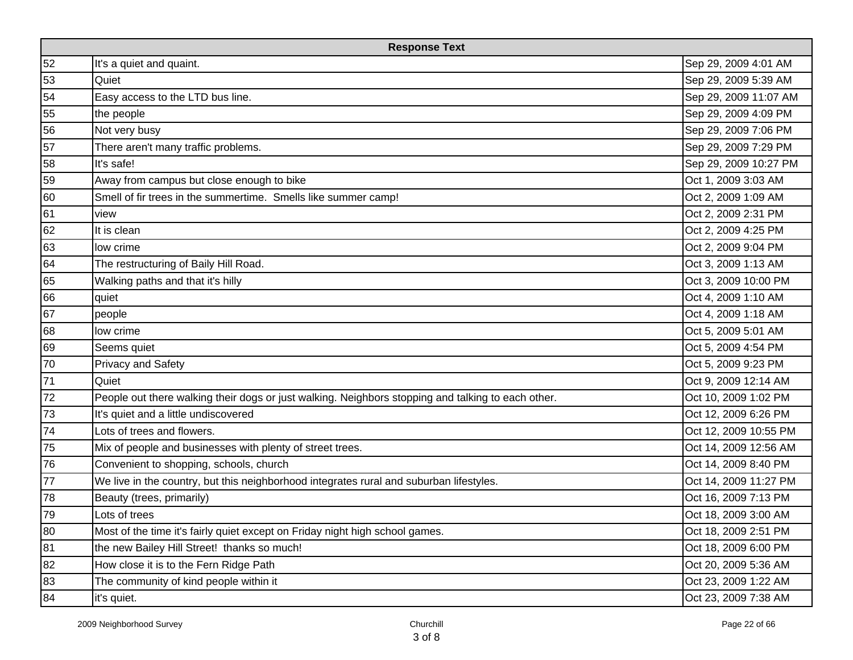| <b>Response Text</b> |                                                                                                    |                       |
|----------------------|----------------------------------------------------------------------------------------------------|-----------------------|
| 52                   | It's a quiet and quaint.                                                                           | Sep 29, 2009 4:01 AM  |
| 53                   | Quiet                                                                                              | Sep 29, 2009 5:39 AM  |
| 54                   | Easy access to the LTD bus line.                                                                   | Sep 29, 2009 11:07 AM |
| 55                   | the people                                                                                         | Sep 29, 2009 4:09 PM  |
| 56                   | Not very busy                                                                                      | Sep 29, 2009 7:06 PM  |
| 57                   | There aren't many traffic problems.                                                                | Sep 29, 2009 7:29 PM  |
| 58                   | It's safe!                                                                                         | Sep 29, 2009 10:27 PM |
| 59                   | Away from campus but close enough to bike                                                          | Oct 1, 2009 3:03 AM   |
| 60                   | Smell of fir trees in the summertime. Smells like summer camp!                                     | Oct 2, 2009 1:09 AM   |
| 61                   | view                                                                                               | Oct 2, 2009 2:31 PM   |
| 62                   | It is clean                                                                                        | Oct 2, 2009 4:25 PM   |
| 63                   | low crime                                                                                          | Oct 2, 2009 9:04 PM   |
| 64                   | The restructuring of Baily Hill Road.                                                              | Oct 3, 2009 1:13 AM   |
| 65                   | Walking paths and that it's hilly                                                                  | Oct 3, 2009 10:00 PM  |
| 66                   | quiet                                                                                              | Oct 4, 2009 1:10 AM   |
| 67                   | people                                                                                             | Oct 4, 2009 1:18 AM   |
| 68                   | low crime                                                                                          | Oct 5, 2009 5:01 AM   |
| 69                   | Seems quiet                                                                                        | Oct 5, 2009 4:54 PM   |
| 70                   | <b>Privacy and Safety</b>                                                                          | Oct 5, 2009 9:23 PM   |
| 71                   | Quiet                                                                                              | Oct 9, 2009 12:14 AM  |
| 72                   | People out there walking their dogs or just walking. Neighbors stopping and talking to each other. | Oct 10, 2009 1:02 PM  |
| 73                   | It's quiet and a little undiscovered                                                               | Oct 12, 2009 6:26 PM  |
| 74                   | Lots of trees and flowers.                                                                         | Oct 12, 2009 10:55 PM |
| 75                   | Mix of people and businesses with plenty of street trees.                                          | Oct 14, 2009 12:56 AM |
| 76                   | Convenient to shopping, schools, church                                                            | Oct 14, 2009 8:40 PM  |
| 77                   | We live in the country, but this neighborhood integrates rural and suburban lifestyles.            | Oct 14, 2009 11:27 PM |
| 78                   | Beauty (trees, primarily)                                                                          | Oct 16, 2009 7:13 PM  |
| 79                   | Lots of trees                                                                                      | Oct 18, 2009 3:00 AM  |
| 80                   | Most of the time it's fairly quiet except on Friday night high school games.                       | Oct 18, 2009 2:51 PM  |
| 81                   | the new Bailey Hill Street! thanks so much!                                                        | Oct 18, 2009 6:00 PM  |
| 82                   | How close it is to the Fern Ridge Path                                                             | Oct 20, 2009 5:36 AM  |
| 83                   | The community of kind people within it                                                             | Oct 23, 2009 1:22 AM  |
| 84                   | it's quiet.                                                                                        | Oct 23, 2009 7:38 AM  |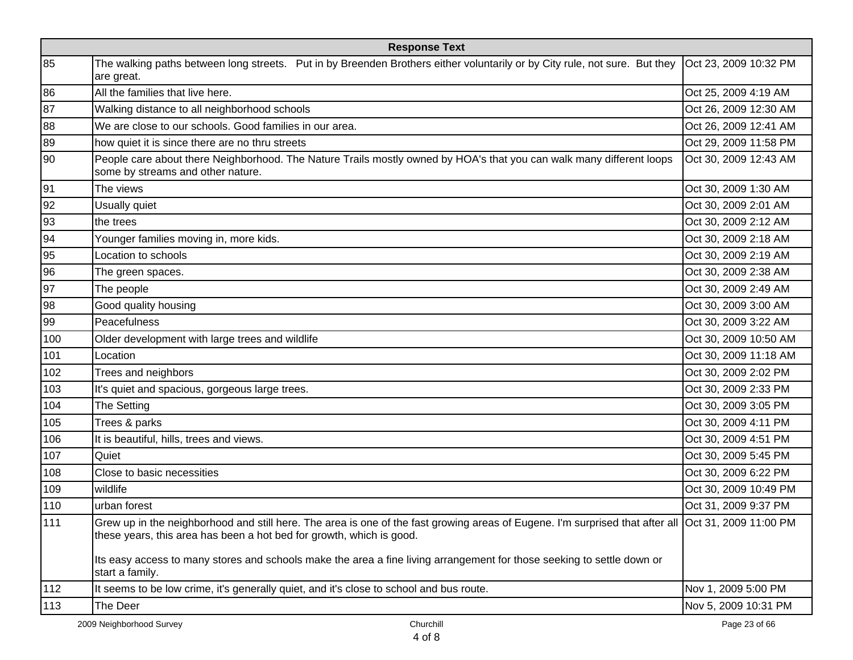| <b>Response Text</b> |                                                                                                                                                                                                                             |                       |
|----------------------|-----------------------------------------------------------------------------------------------------------------------------------------------------------------------------------------------------------------------------|-----------------------|
| 85                   | The walking paths between long streets. Put in by Breenden Brothers either voluntarily or by City rule, not sure. But they<br>are great.                                                                                    | Oct 23, 2009 10:32 PM |
| 86                   | All the families that live here.                                                                                                                                                                                            | Oct 25, 2009 4:19 AM  |
| 87                   | Walking distance to all neighborhood schools                                                                                                                                                                                | Oct 26, 2009 12:30 AM |
| 88                   | We are close to our schools. Good families in our area.                                                                                                                                                                     | Oct 26, 2009 12:41 AM |
| 89                   | how quiet it is since there are no thru streets                                                                                                                                                                             | Oct 29, 2009 11:58 PM |
| 90                   | People care about there Neighborhood. The Nature Trails mostly owned by HOA's that you can walk many different loops<br>some by streams and other nature.                                                                   | Oct 30, 2009 12:43 AM |
| 91                   | The views                                                                                                                                                                                                                   | Oct 30, 2009 1:30 AM  |
| 92                   | Usually quiet                                                                                                                                                                                                               | Oct 30, 2009 2:01 AM  |
| 93                   | the trees                                                                                                                                                                                                                   | Oct 30, 2009 2:12 AM  |
| 94                   | Younger families moving in, more kids.                                                                                                                                                                                      | Oct 30, 2009 2:18 AM  |
| 95                   | Location to schools                                                                                                                                                                                                         | Oct 30, 2009 2:19 AM  |
| 96                   | The green spaces.                                                                                                                                                                                                           | Oct 30, 2009 2:38 AM  |
| 97                   | The people                                                                                                                                                                                                                  | Oct 30, 2009 2:49 AM  |
| 98                   | Good quality housing                                                                                                                                                                                                        | Oct 30, 2009 3:00 AM  |
| 99                   | Peacefulness                                                                                                                                                                                                                | Oct 30, 2009 3:22 AM  |
| 100                  | Older development with large trees and wildlife                                                                                                                                                                             | Oct 30, 2009 10:50 AM |
| 101                  | Location                                                                                                                                                                                                                    | Oct 30, 2009 11:18 AM |
| 102                  | Trees and neighbors                                                                                                                                                                                                         | Oct 30, 2009 2:02 PM  |
| 103                  | It's quiet and spacious, gorgeous large trees.                                                                                                                                                                              | Oct 30, 2009 2:33 PM  |
| 104                  | The Setting                                                                                                                                                                                                                 | Oct 30, 2009 3:05 PM  |
| 105                  | Trees & parks                                                                                                                                                                                                               | Oct 30, 2009 4:11 PM  |
| 106                  | It is beautiful, hills, trees and views.                                                                                                                                                                                    | Oct 30, 2009 4:51 PM  |
| 107                  | Quiet                                                                                                                                                                                                                       | Oct 30, 2009 5:45 PM  |
| 108                  | Close to basic necessities                                                                                                                                                                                                  | Oct 30, 2009 6:22 PM  |
| 109                  | wildlife                                                                                                                                                                                                                    | Oct 30, 2009 10:49 PM |
| 110                  | urban forest                                                                                                                                                                                                                | Oct 31, 2009 9:37 PM  |
| 111                  | Grew up in the neighborhood and still here. The area is one of the fast growing areas of Eugene. I'm surprised that after all Oct 31, 2009 11:00 PM<br>these years, this area has been a hot bed for growth, which is good. |                       |
|                      | Its easy access to many stores and schools make the area a fine living arrangement for those seeking to settle down or<br>start a family.                                                                                   |                       |
| 112                  | It seems to be low crime, it's generally quiet, and it's close to school and bus route.                                                                                                                                     | Nov 1, 2009 5:00 PM   |
| 113                  | The Deer                                                                                                                                                                                                                    | Nov 5, 2009 10:31 PM  |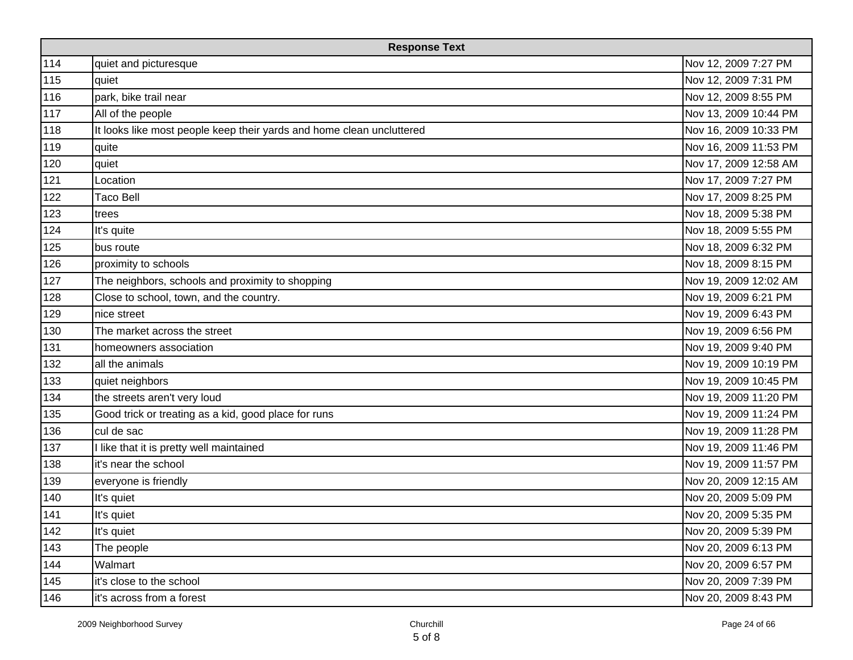| <b>Response Text</b> |                                                                       |                       |
|----------------------|-----------------------------------------------------------------------|-----------------------|
| 114                  | quiet and picturesque                                                 | Nov 12, 2009 7:27 PM  |
| 115                  | quiet                                                                 | Nov 12, 2009 7:31 PM  |
| 116                  | park, bike trail near                                                 | Nov 12, 2009 8:55 PM  |
| 117                  | All of the people                                                     | Nov 13, 2009 10:44 PM |
| 118                  | It looks like most people keep their yards and home clean uncluttered | Nov 16, 2009 10:33 PM |
| 119                  | quite                                                                 | Nov 16, 2009 11:53 PM |
| 120                  | quiet                                                                 | Nov 17, 2009 12:58 AM |
| 121                  | Location                                                              | Nov 17, 2009 7:27 PM  |
| 122                  | <b>Taco Bell</b>                                                      | Nov 17, 2009 8:25 PM  |
| 123                  | trees                                                                 | Nov 18, 2009 5:38 PM  |
| 124                  | It's quite                                                            | Nov 18, 2009 5:55 PM  |
| 125                  | bus route                                                             | Nov 18, 2009 6:32 PM  |
| 126                  | proximity to schools                                                  | Nov 18, 2009 8:15 PM  |
| 127                  | The neighbors, schools and proximity to shopping                      | Nov 19, 2009 12:02 AM |
| 128                  | Close to school, town, and the country.                               | Nov 19, 2009 6:21 PM  |
| 129                  | nice street                                                           | Nov 19, 2009 6:43 PM  |
| 130                  | The market across the street                                          | Nov 19, 2009 6:56 PM  |
| 131                  | homeowners association                                                | Nov 19, 2009 9:40 PM  |
| 132                  | all the animals                                                       | Nov 19, 2009 10:19 PM |
| 133                  | quiet neighbors                                                       | Nov 19, 2009 10:45 PM |
| 134                  | the streets aren't very loud                                          | Nov 19, 2009 11:20 PM |
| 135                  | Good trick or treating as a kid, good place for runs                  | Nov 19, 2009 11:24 PM |
| 136                  | cul de sac                                                            | Nov 19, 2009 11:28 PM |
| 137                  | I like that it is pretty well maintained                              | Nov 19, 2009 11:46 PM |
| 138                  | it's near the school                                                  | Nov 19, 2009 11:57 PM |
| 139                  | everyone is friendly                                                  | Nov 20, 2009 12:15 AM |
| 140                  | It's quiet                                                            | Nov 20, 2009 5:09 PM  |
| 141                  | It's quiet                                                            | Nov 20, 2009 5:35 PM  |
| 142                  | It's quiet                                                            | Nov 20, 2009 5:39 PM  |
| 143                  | The people                                                            | Nov 20, 2009 6:13 PM  |
| 144                  | Walmart                                                               | Nov 20, 2009 6:57 PM  |
| 145                  | it's close to the school                                              | Nov 20, 2009 7:39 PM  |
| 146                  | it's across from a forest                                             | Nov 20, 2009 8:43 PM  |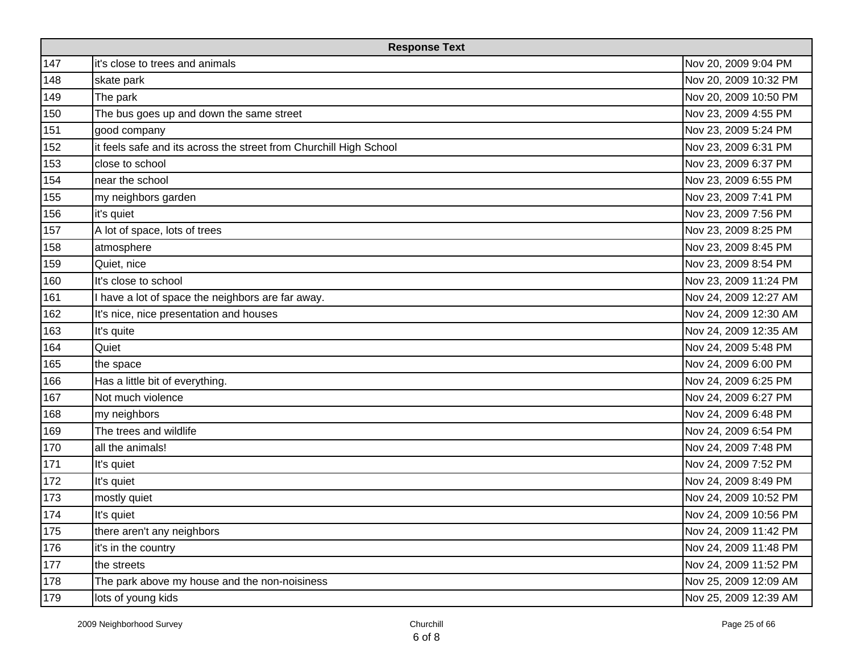| <b>Response Text</b> |                                                                    |                       |
|----------------------|--------------------------------------------------------------------|-----------------------|
| 147                  | it's close to trees and animals                                    | Nov 20, 2009 9:04 PM  |
| 148                  | skate park                                                         | Nov 20, 2009 10:32 PM |
| 149                  | The park                                                           | Nov 20, 2009 10:50 PM |
| 150                  | The bus goes up and down the same street                           | Nov 23, 2009 4:55 PM  |
| 151                  | good company                                                       | Nov 23, 2009 5:24 PM  |
| 152                  | it feels safe and its across the street from Churchill High School | Nov 23, 2009 6:31 PM  |
| 153                  | close to school                                                    | Nov 23, 2009 6:37 PM  |
| 154                  | near the school                                                    | Nov 23, 2009 6:55 PM  |
| 155                  | my neighbors garden                                                | Nov 23, 2009 7:41 PM  |
| 156                  | it's quiet                                                         | Nov 23, 2009 7:56 PM  |
| 157                  | A lot of space, lots of trees                                      | Nov 23, 2009 8:25 PM  |
| 158                  | atmosphere                                                         | Nov 23, 2009 8:45 PM  |
| 159                  | Quiet, nice                                                        | Nov 23, 2009 8:54 PM  |
| 160                  | It's close to school                                               | Nov 23, 2009 11:24 PM |
| 161                  | I have a lot of space the neighbors are far away.                  | Nov 24, 2009 12:27 AM |
| 162                  | It's nice, nice presentation and houses                            | Nov 24, 2009 12:30 AM |
| 163                  | It's quite                                                         | Nov 24, 2009 12:35 AM |
| 164                  | Quiet                                                              | Nov 24, 2009 5:48 PM  |
| 165                  | the space                                                          | Nov 24, 2009 6:00 PM  |
| 166                  | Has a little bit of everything.                                    | Nov 24, 2009 6:25 PM  |
| 167                  | Not much violence                                                  | Nov 24, 2009 6:27 PM  |
| 168                  | my neighbors                                                       | Nov 24, 2009 6:48 PM  |
| 169                  | The trees and wildlife                                             | Nov 24, 2009 6:54 PM  |
| 170                  | all the animals!                                                   | Nov 24, 2009 7:48 PM  |
| 171                  | It's quiet                                                         | Nov 24, 2009 7:52 PM  |
| 172                  | It's quiet                                                         | Nov 24, 2009 8:49 PM  |
| 173                  | mostly quiet                                                       | Nov 24, 2009 10:52 PM |
| 174                  | It's quiet                                                         | Nov 24, 2009 10:56 PM |
| 175                  | there aren't any neighbors                                         | Nov 24, 2009 11:42 PM |
| 176                  | it's in the country                                                | Nov 24, 2009 11:48 PM |
| 177                  | the streets                                                        | Nov 24, 2009 11:52 PM |
| 178                  | The park above my house and the non-noisiness                      | Nov 25, 2009 12:09 AM |
| 179                  | lots of young kids                                                 | Nov 25, 2009 12:39 AM |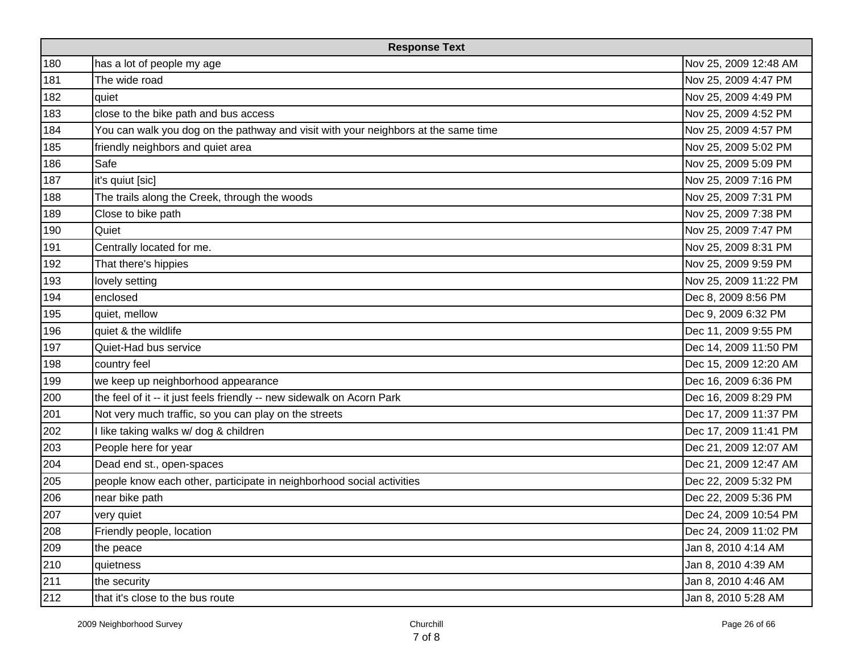| <b>Response Text</b> |                                                                                    |                       |
|----------------------|------------------------------------------------------------------------------------|-----------------------|
| 180                  | has a lot of people my age                                                         | Nov 25, 2009 12:48 AM |
| 181                  | The wide road                                                                      | Nov 25, 2009 4:47 PM  |
| 182                  | quiet                                                                              | Nov 25, 2009 4:49 PM  |
| 183                  | close to the bike path and bus access                                              | Nov 25, 2009 4:52 PM  |
| 184                  | You can walk you dog on the pathway and visit with your neighbors at the same time | Nov 25, 2009 4:57 PM  |
| 185                  | friendly neighbors and quiet area                                                  | Nov 25, 2009 5:02 PM  |
| 186                  | Safe                                                                               | Nov 25, 2009 5:09 PM  |
| 187                  | it's quiut [sic]                                                                   | Nov 25, 2009 7:16 PM  |
| 188                  | The trails along the Creek, through the woods                                      | Nov 25, 2009 7:31 PM  |
| 189                  | Close to bike path                                                                 | Nov 25, 2009 7:38 PM  |
| 190                  | Quiet                                                                              | Nov 25, 2009 7:47 PM  |
| 191                  | Centrally located for me.                                                          | Nov 25, 2009 8:31 PM  |
| 192                  | That there's hippies                                                               | Nov 25, 2009 9:59 PM  |
| 193                  | lovely setting                                                                     | Nov 25, 2009 11:22 PM |
| 194                  | enclosed                                                                           | Dec 8, 2009 8:56 PM   |
| 195                  | quiet, mellow                                                                      | Dec 9, 2009 6:32 PM   |
| 196                  | quiet & the wildlife                                                               | Dec 11, 2009 9:55 PM  |
| 197                  | Quiet-Had bus service                                                              | Dec 14, 2009 11:50 PM |
| 198                  | country feel                                                                       | Dec 15, 2009 12:20 AM |
| 199                  | we keep up neighborhood appearance                                                 | Dec 16, 2009 6:36 PM  |
| 200                  | the feel of it -- it just feels friendly -- new sidewalk on Acorn Park             | Dec 16, 2009 8:29 PM  |
| 201                  | Not very much traffic, so you can play on the streets                              | Dec 17, 2009 11:37 PM |
| 202                  | I like taking walks w/ dog & children                                              | Dec 17, 2009 11:41 PM |
| 203                  | People here for year                                                               | Dec 21, 2009 12:07 AM |
| 204                  | Dead end st., open-spaces                                                          | Dec 21, 2009 12:47 AM |
| 205                  | people know each other, participate in neighborhood social activities              | Dec 22, 2009 5:32 PM  |
| 206                  | near bike path                                                                     | Dec 22, 2009 5:36 PM  |
| 207                  | very quiet                                                                         | Dec 24, 2009 10:54 PM |
| 208                  | Friendly people, location                                                          | Dec 24, 2009 11:02 PM |
| 209                  | the peace                                                                          | Jan 8, 2010 4:14 AM   |
| 210                  | quietness                                                                          | Jan 8, 2010 4:39 AM   |
| 211                  | the security                                                                       | Jan 8, 2010 4:46 AM   |
| 212                  | that it's close to the bus route                                                   | Jan 8, 2010 5:28 AM   |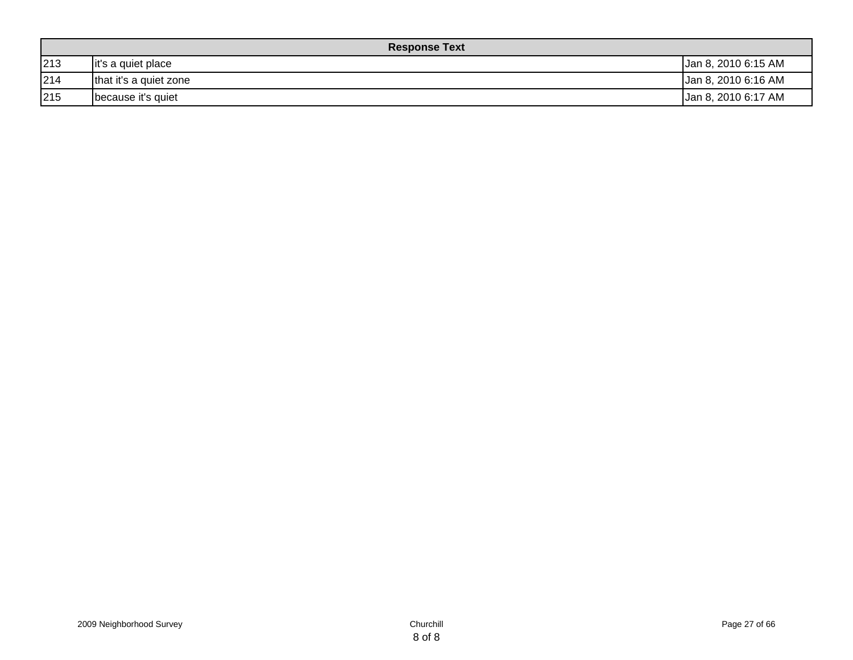| <b>Response Text</b> |                        |                     |  |  |  |  |
|----------------------|------------------------|---------------------|--|--|--|--|
| 213                  | it's a quiet place     | Jan 8, 2010 6:15 AM |  |  |  |  |
| 214                  | that it's a quiet zone | Jan 8, 2010 6:16 AM |  |  |  |  |
| 215                  | because it's quiet     | Jan 8, 2010 6:17 AM |  |  |  |  |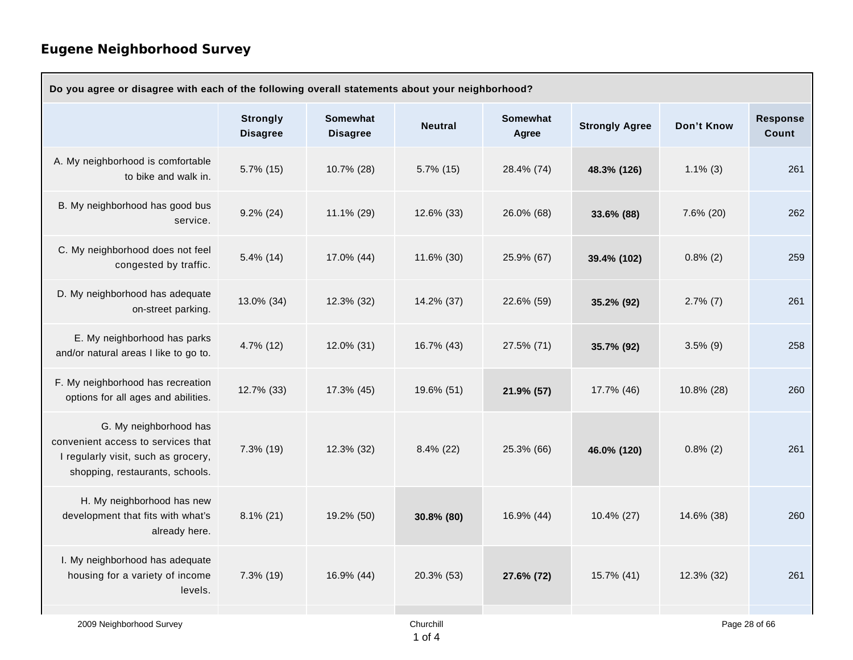| Do you agree or disagree with each of the following overall statements about your neighborhood?                                        |                                    |                                    |                |                          |                       |             |                          |  |
|----------------------------------------------------------------------------------------------------------------------------------------|------------------------------------|------------------------------------|----------------|--------------------------|-----------------------|-------------|--------------------------|--|
|                                                                                                                                        | <b>Strongly</b><br><b>Disagree</b> | <b>Somewhat</b><br><b>Disagree</b> | <b>Neutral</b> | <b>Somewhat</b><br>Agree | <b>Strongly Agree</b> | Don't Know  | <b>Response</b><br>Count |  |
| A. My neighborhood is comfortable<br>to bike and walk in.                                                                              | $5.7\%$ (15)                       | 10.7% (28)                         | 5.7% (15)      | 28.4% (74)               | 48.3% (126)           | $1.1\%$ (3) | 261                      |  |
| B. My neighborhood has good bus<br>service.                                                                                            | $9.2\%$ (24)                       | 11.1% (29)                         | 12.6% (33)     | 26.0% (68)               | 33.6% (88)            | 7.6% (20)   | 262                      |  |
| C. My neighborhood does not feel<br>congested by traffic.                                                                              | $5.4\%$ (14)                       | 17.0% (44)                         | 11.6% (30)     | 25.9% (67)               | 39.4% (102)           | $0.8\%$ (2) | 259                      |  |
| D. My neighborhood has adequate<br>on-street parking.                                                                                  | 13.0% (34)                         | 12.3% (32)                         | 14.2% (37)     | 22.6% (59)               | 35.2% (92)            | $2.7\%$ (7) | 261                      |  |
| E. My neighborhood has parks<br>and/or natural areas I like to go to.                                                                  | 4.7% (12)                          | 12.0% (31)                         | 16.7% (43)     | 27.5% (71)               | 35.7% (92)            | $3.5\%$ (9) | 258                      |  |
| F. My neighborhood has recreation<br>options for all ages and abilities.                                                               | 12.7% (33)                         | 17.3% (45)                         | 19.6% (51)     | 21.9% (57)               | 17.7% (46)            | 10.8% (28)  | 260                      |  |
| G. My neighborhood has<br>convenient access to services that<br>I regularly visit, such as grocery,<br>shopping, restaurants, schools. | 7.3% (19)                          | 12.3% (32)                         | 8.4% (22)      | 25.3% (66)               | 46.0% (120)           | $0.8\%$ (2) | 261                      |  |
| H. My neighborhood has new<br>development that fits with what's<br>already here.                                                       | $8.1\%$ (21)                       | 19.2% (50)                         | 30.8% (80)     | 16.9% (44)               | 10.4% (27)            | 14.6% (38)  | 260                      |  |
| I. My neighborhood has adequate<br>housing for a variety of income<br>levels.                                                          | 7.3% (19)                          | 16.9% (44)                         | 20.3% (53)     | 27.6% (72)               | 15.7% (41)            | 12.3% (32)  | 261                      |  |
| 2009 Neighborhood Survey                                                                                                               |                                    |                                    | Churchill      |                          |                       |             | Page 28 of 66            |  |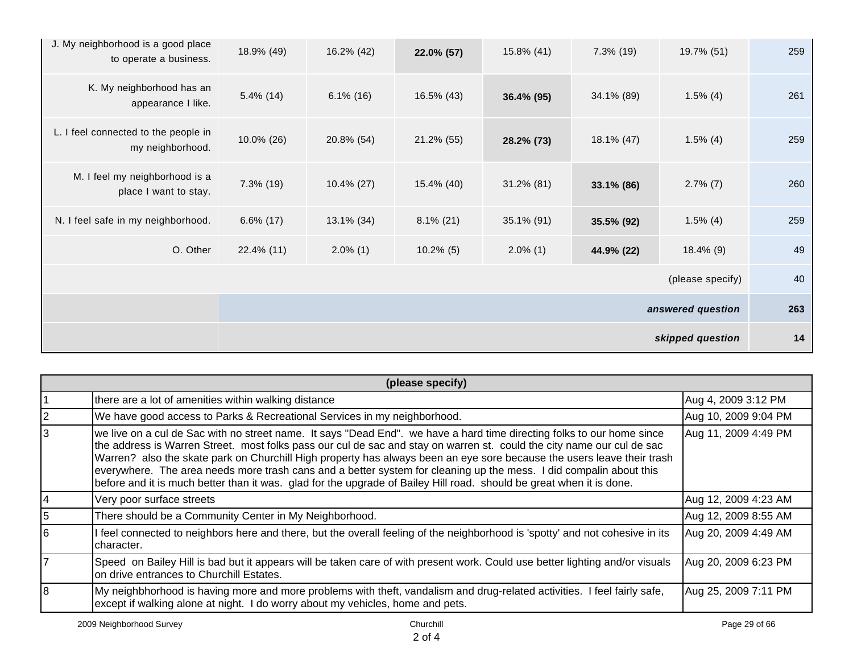|                                                              | skipped question  |               |              |               |              |                  |     |  |
|--------------------------------------------------------------|-------------------|---------------|--------------|---------------|--------------|------------------|-----|--|
|                                                              | answered question |               |              |               |              |                  |     |  |
|                                                              |                   |               |              |               |              | (please specify) | 40  |  |
| O. Other                                                     | 22.4% (11)        | $2.0\%$ (1)   | $10.2\%$ (5) | $2.0\%$ (1)   | 44.9% (22)   | $18.4\%$ (9)     | 49  |  |
| N. I feel safe in my neighborhood.                           | $6.6\%$ (17)      | 13.1% (34)    | $8.1\%$ (21) | 35.1% (91)    | 35.5% (92)   | $1.5\%$ (4)      | 259 |  |
| M. I feel my neighborhood is a<br>place I want to stay.      | $7.3\%$ (19)      | $10.4\%$ (27) | 15.4% (40)   | $31.2\%$ (81) | 33.1% (86)   | $2.7\%$ (7)      | 260 |  |
| L. I feel connected to the people in<br>my neighborhood.     | 10.0% (26)        | 20.8% (54)    | 21.2% (55)   | 28.2% (73)    | 18.1% (47)   | $1.5\%$ (4)      | 259 |  |
| K. My neighborhood has an<br>appearance I like.              | $5.4\%$ (14)      | $6.1\%$ (16)  | 16.5% (43)   | 36.4% (95)    | 34.1% (89)   | $1.5\%$ (4)      | 261 |  |
| J. My neighborhood is a good place<br>to operate a business. | 18.9% (49)        | 16.2% (42)    | 22.0% (57)   | 15.8% (41)    | $7.3\%$ (19) | 19.7% (51)       | 259 |  |

|    | (please specify)                                                                                                                                                                                                                                                                                                                                                                                                                                                                                                                                                                                                         |                      |  |  |  |  |  |  |
|----|--------------------------------------------------------------------------------------------------------------------------------------------------------------------------------------------------------------------------------------------------------------------------------------------------------------------------------------------------------------------------------------------------------------------------------------------------------------------------------------------------------------------------------------------------------------------------------------------------------------------------|----------------------|--|--|--|--|--|--|
|    | there are a lot of amenities within walking distance                                                                                                                                                                                                                                                                                                                                                                                                                                                                                                                                                                     | Aug 4, 2009 3:12 PM  |  |  |  |  |  |  |
|    | We have good access to Parks & Recreational Services in my neighborhood.                                                                                                                                                                                                                                                                                                                                                                                                                                                                                                                                                 | Aug 10, 2009 9:04 PM |  |  |  |  |  |  |
|    | we live on a cul de Sac with no street name. It says "Dead End". we have a hard time directing folks to our home since<br>the address is Warren Street. most folks pass our cul de sac and stay on warren st. could the city name our cul de sac<br>Warren? also the skate park on Churchill High property has always been an eye sore because the users leave their trash<br>everywhere. The area needs more trash cans and a better system for cleaning up the mess. I did compalin about this<br>before and it is much better than it was. glad for the upgrade of Bailey Hill road. should be great when it is done. | Aug 11, 2009 4:49 PM |  |  |  |  |  |  |
|    | Very poor surface streets                                                                                                                                                                                                                                                                                                                                                                                                                                                                                                                                                                                                | Aug 12, 2009 4:23 AM |  |  |  |  |  |  |
|    | There should be a Community Center in My Neighborhood.                                                                                                                                                                                                                                                                                                                                                                                                                                                                                                                                                                   | Aug 12, 2009 8:55 AM |  |  |  |  |  |  |
| 16 | I feel connected to neighbors here and there, but the overall feeling of the neighborhood is 'spotty' and not cohesive in its<br>Icharacter.                                                                                                                                                                                                                                                                                                                                                                                                                                                                             | Aug 20, 2009 4:49 AM |  |  |  |  |  |  |
|    | Speed on Bailey Hill is bad but it appears will be taken care of with present work. Could use better lighting and/or visuals<br>on drive entrances to Churchill Estates.                                                                                                                                                                                                                                                                                                                                                                                                                                                 | Aug 20, 2009 6:23 PM |  |  |  |  |  |  |
| 18 | My neighbhorhood is having more and more problems with theft, vandalism and drug-related activities. I feel fairly safe,<br>except if walking alone at night. I do worry about my vehicles, home and pets.                                                                                                                                                                                                                                                                                                                                                                                                               | Aug 25, 2009 7:11 PM |  |  |  |  |  |  |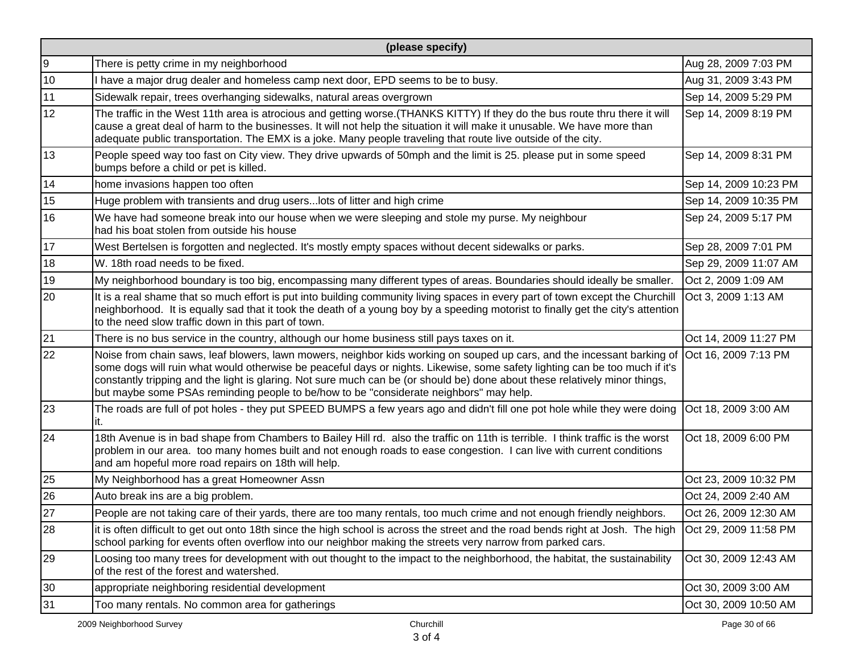|    | (please specify)                                                                                                                                                                                                                                                                                                                                                                                                                                                                |                       |  |  |  |  |  |  |
|----|---------------------------------------------------------------------------------------------------------------------------------------------------------------------------------------------------------------------------------------------------------------------------------------------------------------------------------------------------------------------------------------------------------------------------------------------------------------------------------|-----------------------|--|--|--|--|--|--|
| 9  | There is petty crime in my neighborhood                                                                                                                                                                                                                                                                                                                                                                                                                                         | Aug 28, 2009 7:03 PM  |  |  |  |  |  |  |
| 10 | I have a major drug dealer and homeless camp next door, EPD seems to be to busy.                                                                                                                                                                                                                                                                                                                                                                                                | Aug 31, 2009 3:43 PM  |  |  |  |  |  |  |
| 11 | Sidewalk repair, trees overhanging sidewalks, natural areas overgrown                                                                                                                                                                                                                                                                                                                                                                                                           | Sep 14, 2009 5:29 PM  |  |  |  |  |  |  |
| 12 | The traffic in the West 11th area is atrocious and getting worse. (THANKS KITTY) If they do the bus route thru there it will<br>cause a great deal of harm to the businesses. It will not help the situation it will make it unusable. We have more than<br>adequate public transportation. The EMX is a joke. Many people traveling that route live outside of the city.                                                                                                       | Sep 14, 2009 8:19 PM  |  |  |  |  |  |  |
| 13 | People speed way too fast on City view. They drive upwards of 50mph and the limit is 25. please put in some speed<br>bumps before a child or pet is killed.                                                                                                                                                                                                                                                                                                                     | Sep 14, 2009 8:31 PM  |  |  |  |  |  |  |
| 14 | home invasions happen too often                                                                                                                                                                                                                                                                                                                                                                                                                                                 | Sep 14, 2009 10:23 PM |  |  |  |  |  |  |
| 15 | Huge problem with transients and drug users lots of litter and high crime                                                                                                                                                                                                                                                                                                                                                                                                       | Sep 14, 2009 10:35 PM |  |  |  |  |  |  |
| 16 | We have had someone break into our house when we were sleeping and stole my purse. My neighbour<br>had his boat stolen from outside his house                                                                                                                                                                                                                                                                                                                                   | Sep 24, 2009 5:17 PM  |  |  |  |  |  |  |
| 17 | West Bertelsen is forgotten and neglected. It's mostly empty spaces without decent sidewalks or parks.                                                                                                                                                                                                                                                                                                                                                                          | Sep 28, 2009 7:01 PM  |  |  |  |  |  |  |
| 18 | W. 18th road needs to be fixed.                                                                                                                                                                                                                                                                                                                                                                                                                                                 | Sep 29, 2009 11:07 AM |  |  |  |  |  |  |
| 19 | My neighborhood boundary is too big, encompassing many different types of areas. Boundaries should ideally be smaller.                                                                                                                                                                                                                                                                                                                                                          | Oct 2, 2009 1:09 AM   |  |  |  |  |  |  |
| 20 | It is a real shame that so much effort is put into building community living spaces in every part of town except the Churchill<br>neighborhood. It is equally sad that it took the death of a young boy by a speeding motorist to finally get the city's attention<br>to the need slow traffic down in this part of town.                                                                                                                                                       | Oct 3, 2009 1:13 AM   |  |  |  |  |  |  |
| 21 | There is no bus service in the country, although our home business still pays taxes on it.                                                                                                                                                                                                                                                                                                                                                                                      | Oct 14, 2009 11:27 PM |  |  |  |  |  |  |
| 22 | Noise from chain saws, leaf blowers, lawn mowers, neighbor kids working on souped up cars, and the incessant barking of<br>some dogs will ruin what would otherwise be peaceful days or nights. Likewise, some safety lighting can be too much if it's<br>constantly tripping and the light is glaring. Not sure much can be (or should be) done about these relatively minor things,<br>but maybe some PSAs reminding people to be/how to be "considerate neighbors" may help. | Oct 16, 2009 7:13 PM  |  |  |  |  |  |  |
| 23 | The roads are full of pot holes - they put SPEED BUMPS a few years ago and didn't fill one pot hole while they were doing<br>it.                                                                                                                                                                                                                                                                                                                                                | Oct 18, 2009 3:00 AM  |  |  |  |  |  |  |
| 24 | 18th Avenue is in bad shape from Chambers to Bailey Hill rd. also the traffic on 11th is terrible. I think traffic is the worst<br>problem in our area. too many homes built and not enough roads to ease congestion. I can live with current conditions<br>and am hopeful more road repairs on 18th will help.                                                                                                                                                                 | Oct 18, 2009 6:00 PM  |  |  |  |  |  |  |
| 25 | My Neighborhood has a great Homeowner Assn                                                                                                                                                                                                                                                                                                                                                                                                                                      | Oct 23, 2009 10:32 PM |  |  |  |  |  |  |
| 26 | Auto break ins are a big problem.                                                                                                                                                                                                                                                                                                                                                                                                                                               | Oct 24, 2009 2:40 AM  |  |  |  |  |  |  |
| 27 | People are not taking care of their yards, there are too many rentals, too much crime and not enough friendly neighbors.                                                                                                                                                                                                                                                                                                                                                        | Oct 26, 2009 12:30 AM |  |  |  |  |  |  |
| 28 | it is often difficult to get out onto 18th since the high school is across the street and the road bends right at Josh. The high<br>school parking for events often overflow into our neighbor making the streets very narrow from parked cars.                                                                                                                                                                                                                                 | Oct 29, 2009 11:58 PM |  |  |  |  |  |  |
| 29 | Loosing too many trees for development with out thought to the impact to the neighborhood, the habitat, the sustainability<br>of the rest of the forest and watershed.                                                                                                                                                                                                                                                                                                          | Oct 30, 2009 12:43 AM |  |  |  |  |  |  |
| 30 | appropriate neighboring residential development                                                                                                                                                                                                                                                                                                                                                                                                                                 | Oct 30, 2009 3:00 AM  |  |  |  |  |  |  |
| 31 | Too many rentals. No common area for gatherings                                                                                                                                                                                                                                                                                                                                                                                                                                 | Oct 30, 2009 10:50 AM |  |  |  |  |  |  |
|    | 2009 Neighborhood Survey<br>Churchill                                                                                                                                                                                                                                                                                                                                                                                                                                           | Page 30 of 66         |  |  |  |  |  |  |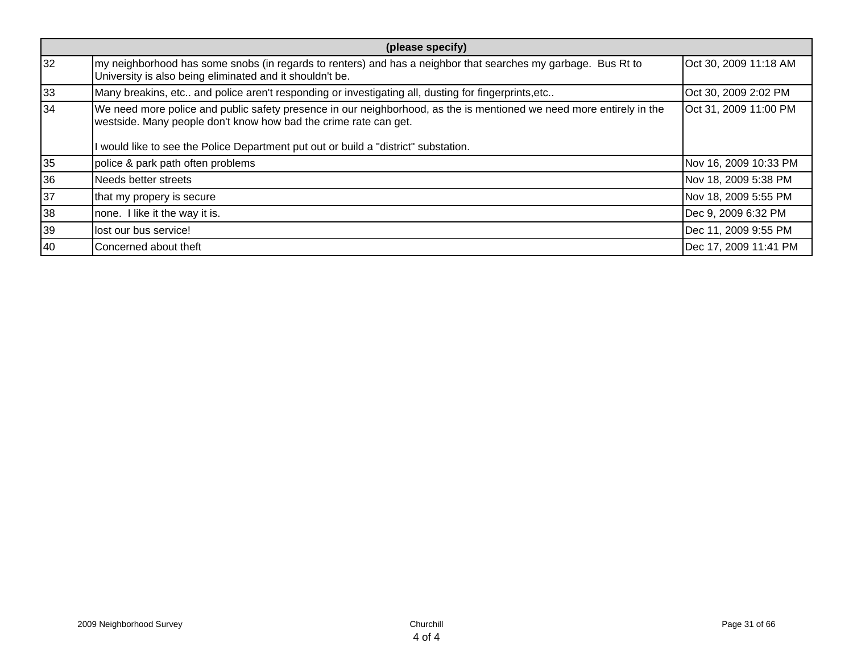|    | (please specify)                                                                                                                                                                                                                                                                |                       |  |  |  |  |  |
|----|---------------------------------------------------------------------------------------------------------------------------------------------------------------------------------------------------------------------------------------------------------------------------------|-----------------------|--|--|--|--|--|
| 32 | my neighborhood has some snobs (in regards to renters) and has a neighbor that searches my garbage. Bus Rt to<br>University is also being eliminated and it shouldn't be.                                                                                                       | Oct 30, 2009 11:18 AM |  |  |  |  |  |
| 33 | Many breakins, etc and police aren't responding or investigating all, dusting for fingerprints, etc                                                                                                                                                                             | Oct 30, 2009 2:02 PM  |  |  |  |  |  |
| 34 | We need more police and public safety presence in our neighborhood, as the is mentioned we need more entirely in the<br>westside. Many people don't know how bad the crime rate can get.<br>I would like to see the Police Department put out or build a "district" substation. | Oct 31, 2009 11:00 PM |  |  |  |  |  |
| 35 | police & park path often problems                                                                                                                                                                                                                                               | Nov 16, 2009 10:33 PM |  |  |  |  |  |
| 36 | Needs better streets                                                                                                                                                                                                                                                            | Nov 18, 2009 5:38 PM  |  |  |  |  |  |
| 37 | that my propery is secure                                                                                                                                                                                                                                                       | Nov 18, 2009 5:55 PM  |  |  |  |  |  |
| 38 | none. I like it the way it is.                                                                                                                                                                                                                                                  | Dec 9, 2009 6:32 PM   |  |  |  |  |  |
| 39 | lost our bus service!                                                                                                                                                                                                                                                           | Dec 11, 2009 9:55 PM  |  |  |  |  |  |
| 40 | Concerned about theft                                                                                                                                                                                                                                                           | Dec 17, 2009 11:41 PM |  |  |  |  |  |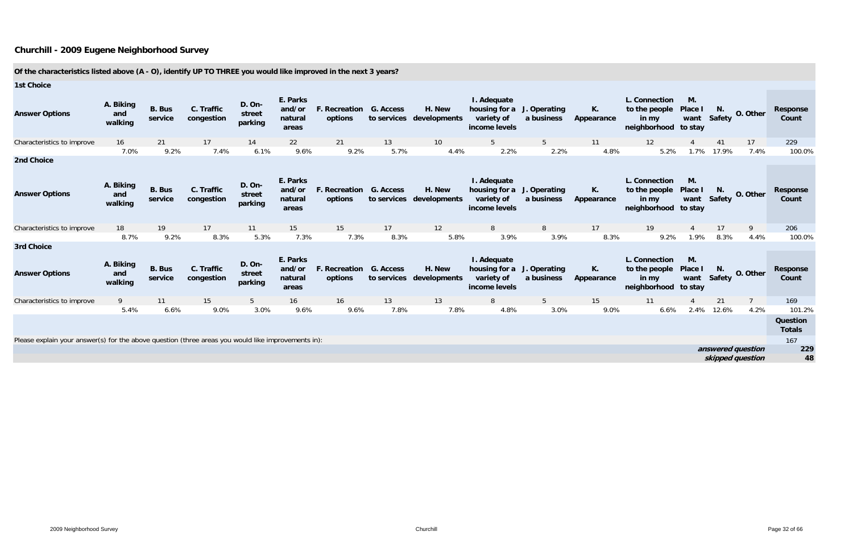| <b>1st Choice</b>                                                                                  |                             |                          |                          |                                    |                                        |                                    |           |                                    |                                                                          |                            |                  |                                                                 |                          |                   |                   |                                  |
|----------------------------------------------------------------------------------------------------|-----------------------------|--------------------------|--------------------------|------------------------------------|----------------------------------------|------------------------------------|-----------|------------------------------------|--------------------------------------------------------------------------|----------------------------|------------------|-----------------------------------------------------------------|--------------------------|-------------------|-------------------|----------------------------------|
| <b>Answer Options</b>                                                                              | A. Biking<br>and<br>walking | <b>B.</b> Bus<br>service | C. Traffic<br>congestion | <b>D. On-</b><br>street<br>parking | E. Parks<br>and/or<br>natural<br>areas | <b>F. Recreation</b><br>options    | G. Access | H. New<br>to services developments | I. Adequate<br>housing for a<br>variety of<br>income levels              | J. Operating<br>a business | K.<br>Appearance | L. Connection<br>to the people<br>in my<br>neighborhood to stay | M.<br>Place I            | N.<br>want Safety | O. Other          | <b>Response</b><br>Count         |
| Characteristics to improve                                                                         | 16                          | 21                       | 17                       | 14                                 | 22                                     | 21                                 | 13        | 10                                 | $5\overline{)}$                                                          | $5\overline{)}$            | 11               | 12                                                              |                          | 41                | 17                | 229                              |
|                                                                                                    | 7.0%                        | 9.2%                     | 7.4%                     | 6.1%                               | 9.6%                                   | 9.2%                               | 5.7%      | 4.4%                               | 2.2%                                                                     | 2.2%                       | 4.8%             | 5.2%                                                            | 1.7%                     | 17.9%             | 7.4%              | 100.0%                           |
| 2nd Choice                                                                                         |                             |                          |                          |                                    |                                        |                                    |           |                                    |                                                                          |                            |                  |                                                                 |                          |                   |                   |                                  |
| <b>Answer Options</b>                                                                              | A. Biking<br>and<br>walking | <b>B.</b> Bus<br>service | C. Traffic<br>congestion | <b>D. On-</b><br>street<br>parking | E. Parks<br>and/or<br>natural<br>areas | F. Recreation G. Access<br>options |           | H. New<br>to services developments | I. Adequate<br>housing for a J. Operating<br>variety of<br>income levels | a business                 | К.<br>Appearance | L. Connection<br>to the people<br>in my<br>neighborhood to stay | M.<br>Place I            | N.<br>want Safety | O. Other          | <b>Response</b><br>Count         |
| Characteristics to improve                                                                         | 18                          | 19                       | 17                       | 11                                 | 15                                     | 15                                 | 17        | 12                                 | 8                                                                        | 8                          | 17               | 19                                                              |                          | 17                | 9                 | 206                              |
|                                                                                                    | 8.7%                        | 9.2%                     | 8.3%                     | 5.3%                               | 7.3%                                   | 7.3%                               | 8.3%      | 5.8%                               | 3.9%                                                                     | 3.9%                       | 8.3%             | 9.2%                                                            | 1.9%                     | 8.3%              | 4.4%              | 100.0%                           |
| 3rd Choice                                                                                         |                             |                          |                          |                                    |                                        |                                    |           |                                    |                                                                          |                            |                  |                                                                 |                          |                   |                   |                                  |
| <b>Answer Options</b>                                                                              | A. Biking<br>and<br>walking | <b>B.</b> Bus<br>service | C. Traffic<br>congestion | <b>D. On-</b><br>street<br>parking | E. Parks<br>and/or<br>natural<br>areas | F. Recreation<br>options           | G. Access | H. New<br>to services developments | I. Adequate<br>housing for a<br>variety of<br>income levels              | J. Operating<br>a business | К.<br>Appearance | L. Connection<br>to the people<br>in my<br>neighborhood         | M.<br>Place I<br>to stay | N.<br>want Safety | O. Other          | <b>Response</b><br>Count         |
| Characteristics to improve                                                                         | 9                           | 11                       | 15                       | 5 <sup>5</sup>                     | 16                                     | 16                                 | 13        | 13                                 | 8                                                                        | 5 <sup>5</sup>             | 15               | 11                                                              |                          | 21                | $\overline{7}$    | 169                              |
|                                                                                                    | 5.4%                        | 6.6%                     | 9.0%                     | 3.0%                               | 9.6%                                   | 9.6%                               | 7.8%      | 7.8%                               | 4.8%                                                                     | 3.0%                       | 9.0%             | 6.6%                                                            | 2.4%                     | 12.6%             | 4.2%              | 101.2%                           |
|                                                                                                    |                             |                          |                          |                                    |                                        |                                    |           |                                    |                                                                          |                            |                  |                                                                 |                          |                   |                   | <b>Question</b><br><b>Totals</b> |
| Please explain your answer(s) for the above question (three areas you would like improvements in): |                             |                          |                          |                                    |                                        |                                    |           |                                    |                                                                          |                            |                  |                                                                 |                          |                   |                   | 167                              |
|                                                                                                    |                             |                          |                          |                                    |                                        |                                    |           |                                    |                                                                          |                            |                  |                                                                 |                          |                   | answered question | 229                              |
|                                                                                                    |                             |                          |                          |                                    |                                        |                                    |           |                                    |                                                                          |                            |                  |                                                                 |                          |                   | skipped question  | 48                               |
|                                                                                                    |                             |                          |                          |                                    |                                        |                                    |           |                                    |                                                                          |                            |                  |                                                                 |                          |                   |                   |                                  |

#### **Churchill - 2009 Eugene Neighborhood Survey**

**Of the characteristics listed above (A - O), identify UP TO THREE you would like improved in the next 3 years?**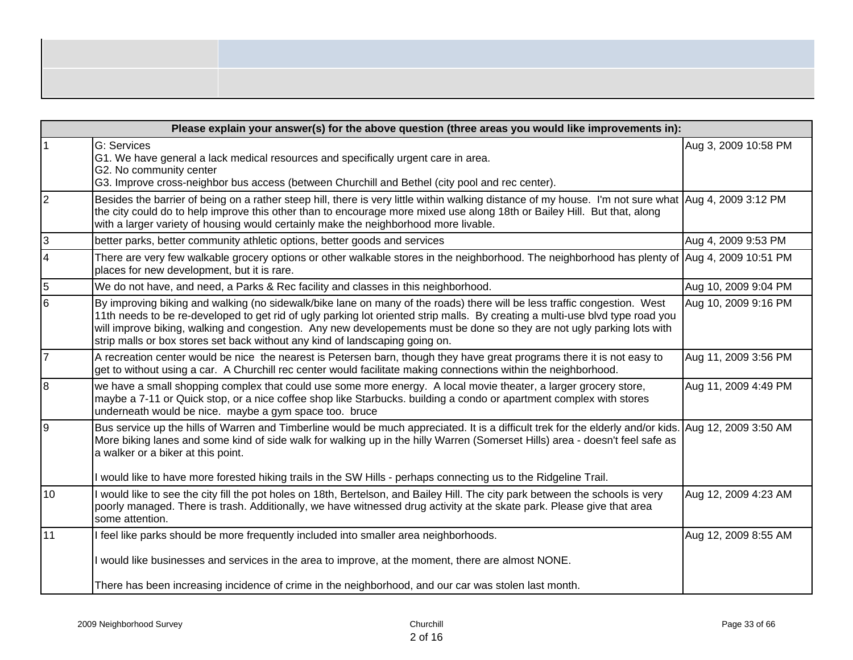| ,一个人都是一个人的人,而且,他们的人都是一个人的人,但是,他们的人都是不是,他们的人都是不是,他们的人都是不是,他们的人都是不是,他们的人都是不是,他们的人都是 |
|-----------------------------------------------------------------------------------|
|                                                                                   |
|                                                                                   |

|                | Please explain your answer(s) for the above question (three areas you would like improvements in):                                                                                                                                                                                                                                                                                                                                                                  |                      |  |  |  |  |  |  |
|----------------|---------------------------------------------------------------------------------------------------------------------------------------------------------------------------------------------------------------------------------------------------------------------------------------------------------------------------------------------------------------------------------------------------------------------------------------------------------------------|----------------------|--|--|--|--|--|--|
|                | G: Services<br>G1. We have general a lack medical resources and specifically urgent care in area.<br>G2. No community center<br>G3. Improve cross-neighbor bus access (between Churchill and Bethel (city pool and rec center).                                                                                                                                                                                                                                     | Aug 3, 2009 10:58 PM |  |  |  |  |  |  |
| $\overline{2}$ | Besides the barrier of being on a rather steep hill, there is very little within walking distance of my house. I'm not sure what Aug 4, 2009 3:12 PM<br>the city could do to help improve this other than to encourage more mixed use along 18th or Bailey Hill. But that, along<br>with a larger variety of housing would certainly make the neighborhood more livable.                                                                                            |                      |  |  |  |  |  |  |
| 3              | better parks, better community athletic options, better goods and services                                                                                                                                                                                                                                                                                                                                                                                          | Aug 4, 2009 9:53 PM  |  |  |  |  |  |  |
| $\overline{4}$ | There are very few walkable grocery options or other walkable stores in the neighborhood. The neighborhood has plenty of Aug 4, 2009 10:51 PM<br>places for new development, but it is rare.                                                                                                                                                                                                                                                                        |                      |  |  |  |  |  |  |
| 5              | We do not have, and need, a Parks & Rec facility and classes in this neighborhood.                                                                                                                                                                                                                                                                                                                                                                                  | Aug 10, 2009 9:04 PM |  |  |  |  |  |  |
| 6              | By improving biking and walking (no sidewalk/bike lane on many of the roads) there will be less traffic congestion. West<br>11th needs to be re-developed to get rid of ugly parking lot oriented strip malls. By creating a multi-use blvd type road you<br>will improve biking, walking and congestion. Any new developements must be done so they are not ugly parking lots with<br>strip malls or box stores set back without any kind of landscaping going on. | Aug 10, 2009 9:16 PM |  |  |  |  |  |  |
| $\overline{7}$ | A recreation center would be nice the nearest is Petersen barn, though they have great programs there it is not easy to<br>get to without using a car. A Churchill rec center would facilitate making connections within the neighborhood.                                                                                                                                                                                                                          | Aug 11, 2009 3:56 PM |  |  |  |  |  |  |
| 8              | we have a small shopping complex that could use some more energy. A local movie theater, a larger grocery store,<br>maybe a 7-11 or Quick stop, or a nice coffee shop like Starbucks. building a condo or apartment complex with stores<br>underneath would be nice. maybe a gym space too. bruce                                                                                                                                                                   | Aug 11, 2009 4:49 PM |  |  |  |  |  |  |
| 19             | Bus service up the hills of Warren and Timberline would be much appreciated. It is a difficult trek for the elderly and/or kids. Aug 12, 2009 3:50 AM<br>More biking lanes and some kind of side walk for walking up in the hilly Warren (Somerset Hills) area - doesn't feel safe as<br>a walker or a biker at this point.<br>I would like to have more forested hiking trails in the SW Hills - perhaps connecting us to the Ridgeline Trail.                     |                      |  |  |  |  |  |  |
| 10             | I would like to see the city fill the pot holes on 18th, Bertelson, and Bailey Hill. The city park between the schools is very<br>poorly managed. There is trash. Additionally, we have witnessed drug activity at the skate park. Please give that area<br>some attention.                                                                                                                                                                                         | Aug 12, 2009 4:23 AM |  |  |  |  |  |  |
| 11             | I feel like parks should be more frequently included into smaller area neighborhoods.                                                                                                                                                                                                                                                                                                                                                                               | Aug 12, 2009 8:55 AM |  |  |  |  |  |  |
|                | I would like businesses and services in the area to improve, at the moment, there are almost NONE.                                                                                                                                                                                                                                                                                                                                                                  |                      |  |  |  |  |  |  |
|                | There has been increasing incidence of crime in the neighborhood, and our car was stolen last month.                                                                                                                                                                                                                                                                                                                                                                |                      |  |  |  |  |  |  |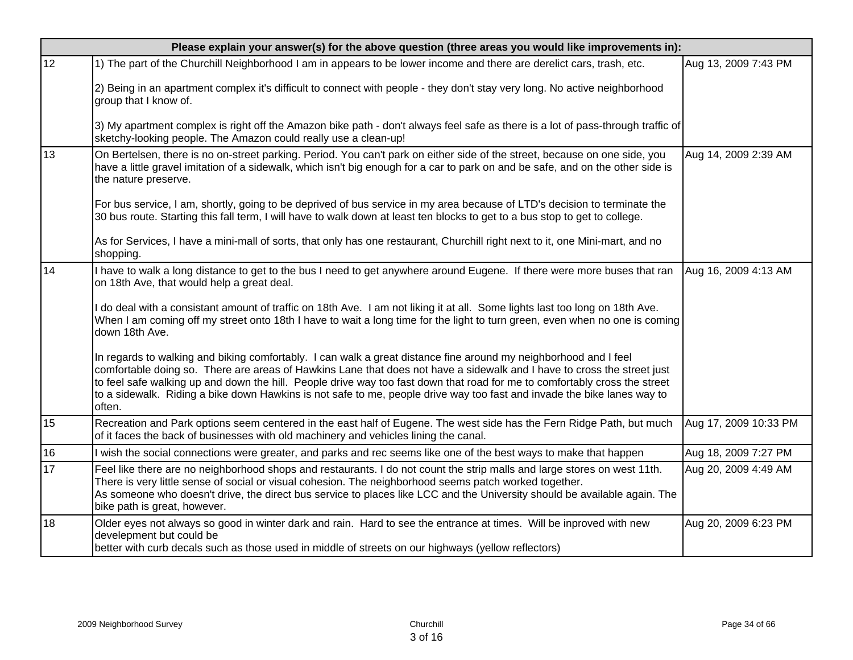|    | Please explain your answer(s) for the above question (three areas you would like improvements in):                                                                                                                                                                                                                                                                                                                                                                                                             |                       |  |  |  |  |  |  |
|----|----------------------------------------------------------------------------------------------------------------------------------------------------------------------------------------------------------------------------------------------------------------------------------------------------------------------------------------------------------------------------------------------------------------------------------------------------------------------------------------------------------------|-----------------------|--|--|--|--|--|--|
| 12 | 1) The part of the Churchill Neighborhood I am in appears to be lower income and there are derelict cars, trash, etc.                                                                                                                                                                                                                                                                                                                                                                                          | Aug 13, 2009 7:43 PM  |  |  |  |  |  |  |
|    | 2) Being in an apartment complex it's difficult to connect with people - they don't stay very long. No active neighborhood<br>group that I know of.                                                                                                                                                                                                                                                                                                                                                            |                       |  |  |  |  |  |  |
|    | 3) My apartment complex is right off the Amazon bike path - don't always feel safe as there is a lot of pass-through traffic of<br>sketchy-looking people. The Amazon could really use a clean-up!                                                                                                                                                                                                                                                                                                             |                       |  |  |  |  |  |  |
| 13 | On Bertelsen, there is no on-street parking. Period. You can't park on either side of the street, because on one side, you<br>have a little gravel imitation of a sidewalk, which isn't big enough for a car to park on and be safe, and on the other side is<br>the nature preserve.                                                                                                                                                                                                                          | Aug 14, 2009 2:39 AM  |  |  |  |  |  |  |
|    | For bus service, I am, shortly, going to be deprived of bus service in my area because of LTD's decision to terminate the<br>30 bus route. Starting this fall term, I will have to walk down at least ten blocks to get to a bus stop to get to college.                                                                                                                                                                                                                                                       |                       |  |  |  |  |  |  |
|    | As for Services, I have a mini-mall of sorts, that only has one restaurant, Churchill right next to it, one Mini-mart, and no<br>shopping.                                                                                                                                                                                                                                                                                                                                                                     |                       |  |  |  |  |  |  |
| 14 | I have to walk a long distance to get to the bus I need to get anywhere around Eugene. If there were more buses that ran<br>on 18th Ave, that would help a great deal.                                                                                                                                                                                                                                                                                                                                         | Aug 16, 2009 4:13 AM  |  |  |  |  |  |  |
|    | do deal with a consistant amount of traffic on 18th Ave. I am not liking it at all. Some lights last too long on 18th Ave.<br>When I am coming off my street onto 18th I have to wait a long time for the light to turn green, even when no one is coming<br>down 18th Ave.                                                                                                                                                                                                                                    |                       |  |  |  |  |  |  |
|    | In regards to walking and biking comfortably. I can walk a great distance fine around my neighborhood and I feel<br>comfortable doing so. There are areas of Hawkins Lane that does not have a sidewalk and I have to cross the street just<br>to feel safe walking up and down the hill. People drive way too fast down that road for me to comfortably cross the street<br>to a sidewalk. Riding a bike down Hawkins is not safe to me, people drive way too fast and invade the bike lanes way to<br>often. |                       |  |  |  |  |  |  |
| 15 | Recreation and Park options seem centered in the east half of Eugene. The west side has the Fern Ridge Path, but much<br>of it faces the back of businesses with old machinery and vehicles lining the canal.                                                                                                                                                                                                                                                                                                  | Aug 17, 2009 10:33 PM |  |  |  |  |  |  |
| 16 | I wish the social connections were greater, and parks and rec seems like one of the best ways to make that happen                                                                                                                                                                                                                                                                                                                                                                                              | Aug 18, 2009 7:27 PM  |  |  |  |  |  |  |
| 17 | Feel like there are no neighborhood shops and restaurants. I do not count the strip malls and large stores on west 11th.<br>There is very little sense of social or visual cohesion. The neighborhood seems patch worked together.<br>As someone who doesn't drive, the direct bus service to places like LCC and the University should be available again. The<br>bike path is great, however.                                                                                                                | Aug 20, 2009 4:49 AM  |  |  |  |  |  |  |
| 18 | Older eyes not always so good in winter dark and rain. Hard to see the entrance at times. Will be inproved with new<br>develepment but could be<br>better with curb decals such as those used in middle of streets on our highways (yellow reflectors)                                                                                                                                                                                                                                                         | Aug 20, 2009 6:23 PM  |  |  |  |  |  |  |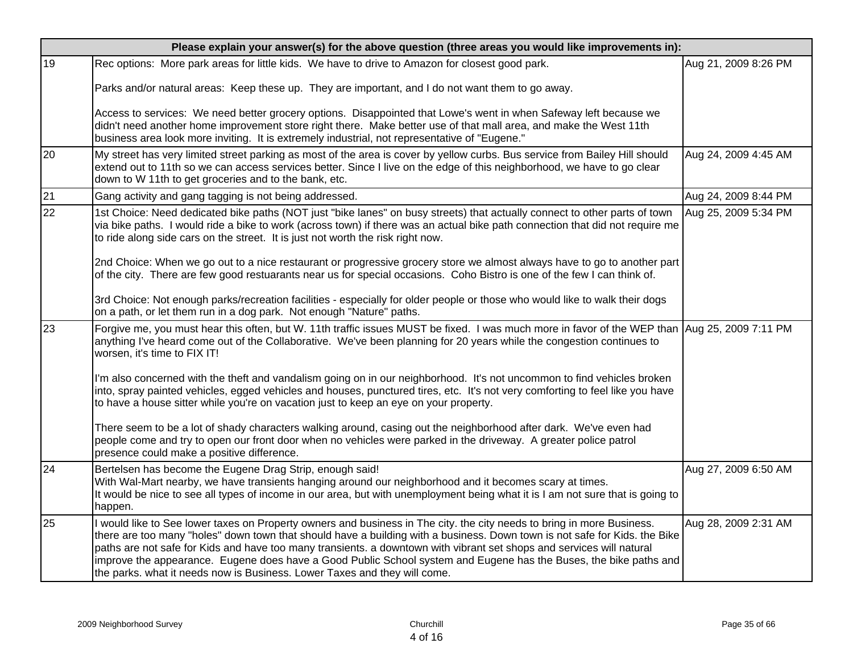|    | Please explain your answer(s) for the above question (three areas you would like improvements in):                                                                                                                                                                                                                                                                                                                                                                                                                                                                              |                      |  |  |  |  |  |  |
|----|---------------------------------------------------------------------------------------------------------------------------------------------------------------------------------------------------------------------------------------------------------------------------------------------------------------------------------------------------------------------------------------------------------------------------------------------------------------------------------------------------------------------------------------------------------------------------------|----------------------|--|--|--|--|--|--|
| 19 | Rec options: More park areas for little kids. We have to drive to Amazon for closest good park.                                                                                                                                                                                                                                                                                                                                                                                                                                                                                 | Aug 21, 2009 8:26 PM |  |  |  |  |  |  |
|    | Parks and/or natural areas: Keep these up. They are important, and I do not want them to go away.                                                                                                                                                                                                                                                                                                                                                                                                                                                                               |                      |  |  |  |  |  |  |
|    | Access to services: We need better grocery options. Disappointed that Lowe's went in when Safeway left because we<br>didn't need another home improvement store right there. Make better use of that mall area, and make the West 11th<br>business area look more inviting. It is extremely industrial, not representative of "Eugene."                                                                                                                                                                                                                                         |                      |  |  |  |  |  |  |
| 20 | My street has very limited street parking as most of the area is cover by yellow curbs. Bus service from Bailey Hill should<br>extend out to 11th so we can access services better. Since I live on the edge of this neighborhood, we have to go clear<br>down to W 11th to get groceries and to the bank, etc.                                                                                                                                                                                                                                                                 | Aug 24, 2009 4:45 AM |  |  |  |  |  |  |
| 21 | Gang activity and gang tagging is not being addressed.                                                                                                                                                                                                                                                                                                                                                                                                                                                                                                                          | Aug 24, 2009 8:44 PM |  |  |  |  |  |  |
| 22 | 1st Choice: Need dedicated bike paths (NOT just "bike lanes" on busy streets) that actually connect to other parts of town<br>via bike paths. I would ride a bike to work (across town) if there was an actual bike path connection that did not require me<br>to ride along side cars on the street. It is just not worth the risk right now.                                                                                                                                                                                                                                  | Aug 25, 2009 5:34 PM |  |  |  |  |  |  |
|    | 2nd Choice: When we go out to a nice restaurant or progressive grocery store we almost always have to go to another part<br>of the city. There are few good restuarants near us for special occasions. Coho Bistro is one of the few I can think of.                                                                                                                                                                                                                                                                                                                            |                      |  |  |  |  |  |  |
|    | 3rd Choice: Not enough parks/recreation facilities - especially for older people or those who would like to walk their dogs<br>on a path, or let them run in a dog park. Not enough "Nature" paths.                                                                                                                                                                                                                                                                                                                                                                             |                      |  |  |  |  |  |  |
| 23 | Forgive me, you must hear this often, but W. 11th traffic issues MUST be fixed. I was much more in favor of the WEP than Aug 25, 2009 7:11 PM<br>anything I've heard come out of the Collaborative. We've been planning for 20 years while the congestion continues to<br>worsen, it's time to FIX IT!                                                                                                                                                                                                                                                                          |                      |  |  |  |  |  |  |
|    | I'm also concerned with the theft and vandalism going on in our neighborhood. It's not uncommon to find vehicles broken<br>into, spray painted vehicles, egged vehicles and houses, punctured tires, etc. It's not very comforting to feel like you have<br>to have a house sitter while you're on vacation just to keep an eye on your property.                                                                                                                                                                                                                               |                      |  |  |  |  |  |  |
|    | There seem to be a lot of shady characters walking around, casing out the neighborhood after dark. We've even had<br>people come and try to open our front door when no vehicles were parked in the driveway. A greater police patrol<br>presence could make a positive difference.                                                                                                                                                                                                                                                                                             |                      |  |  |  |  |  |  |
| 24 | Bertelsen has become the Eugene Drag Strip, enough said!<br>With Wal-Mart nearby, we have transients hanging around our neighborhood and it becomes scary at times.<br>It would be nice to see all types of income in our area, but with unemployment being what it is I am not sure that is going to<br>happen.                                                                                                                                                                                                                                                                | Aug 27, 2009 6:50 AM |  |  |  |  |  |  |
| 25 | I would like to See lower taxes on Property owners and business in The city. the city needs to bring in more Business.<br>there are too many "holes" down town that should have a building with a business. Down town is not safe for Kids. the Bike<br>paths are not safe for Kids and have too many transients. a downtown with vibrant set shops and services will natural<br>improve the appearance. Eugene does have a Good Public School system and Eugene has the Buses, the bike paths and<br>the parks. what it needs now is Business. Lower Taxes and they will come. | Aug 28, 2009 2:31 AM |  |  |  |  |  |  |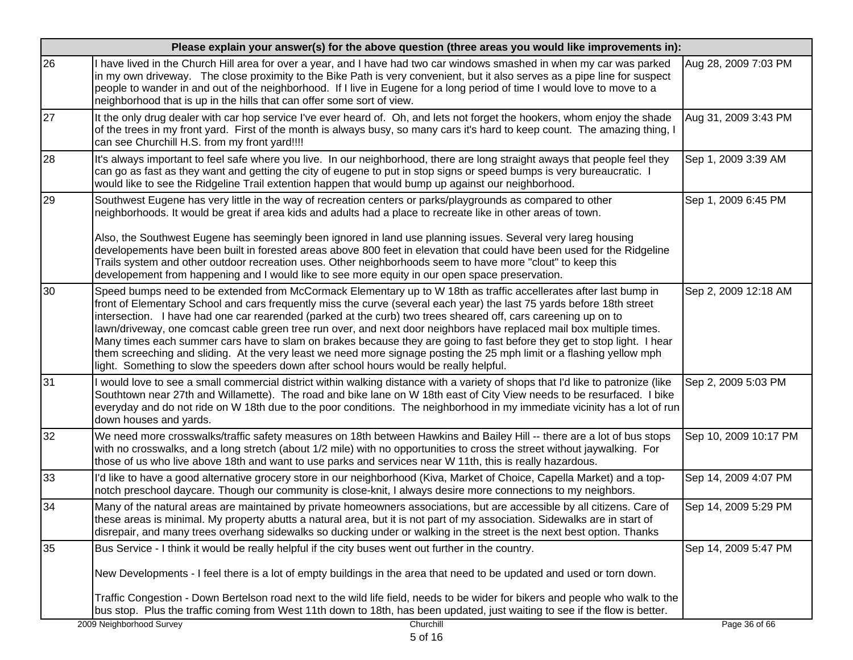| 26<br>I have lived in the Church Hill area for over a year, and I have had two car windows smashed in when my car was parked<br>Aug 28, 2009 7:03 PM<br>in my own driveway. The close proximity to the Bike Path is very convenient, but it also serves as a pipe line for suspect<br>people to wander in and out of the neighborhood. If I live in Eugene for a long period of time I would love to move to a<br>neighborhood that is up in the hills that can offer some sort of view.<br>27<br>It the only drug dealer with car hop service I've ever heard of. Oh, and lets not forget the hookers, whom enjoy the shade<br>Aug 31, 2009 3:43 PM<br>of the trees in my front yard. First of the month is always busy, so many cars it's hard to keep count. The amazing thing, I<br>can see Churchill H.S. from my front yard!!!!<br>28<br>It's always important to feel safe where you live. In our neighborhood, there are long straight aways that people feel they<br>Sep 1, 2009 3:39 AM<br>can go as fast as they want and getting the city of eugene to put in stop signs or speed bumps is very bureaucratic.<br>would like to see the Ridgeline Trail extention happen that would bump up against our neighborhood.<br>29<br>Southwest Eugene has very little in the way of recreation centers or parks/playgrounds as compared to other<br>Sep 1, 2009 6:45 PM<br>neighborhoods. It would be great if area kids and adults had a place to recreate like in other areas of town.<br>Also, the Southwest Eugene has seemingly been ignored in land use planning issues. Several very lareg housing<br>developements have been built in forested areas above 800 feet in elevation that could have been used for the Ridgeline<br>Trails system and other outdoor recreation uses. Other neighborhoods seem to have more "clout" to keep this<br>developement from happening and I would like to see more equity in our open space preservation.<br>30<br>Speed bumps need to be extended from McCormack Elementary up to W 18th as traffic accellerates after last bump in<br>Sep 2, 2009 12:18 AM<br>front of Elementary School and cars frequently miss the curve (several each year) the last 75 yards before 18th street<br>intersection. I have had one car rearended (parked at the curb) two trees sheared off, cars careening up on to<br>lawn/driveway, one comcast cable green tree run over, and next door neighbors have replaced mail box multiple times.<br>Many times each summer cars have to slam on brakes because they are going to fast before they get to stop light. I hear | Please explain your answer(s) for the above question (three areas you would like improvements in): |  |  |  |  |  |  |  |  |
|---------------------------------------------------------------------------------------------------------------------------------------------------------------------------------------------------------------------------------------------------------------------------------------------------------------------------------------------------------------------------------------------------------------------------------------------------------------------------------------------------------------------------------------------------------------------------------------------------------------------------------------------------------------------------------------------------------------------------------------------------------------------------------------------------------------------------------------------------------------------------------------------------------------------------------------------------------------------------------------------------------------------------------------------------------------------------------------------------------------------------------------------------------------------------------------------------------------------------------------------------------------------------------------------------------------------------------------------------------------------------------------------------------------------------------------------------------------------------------------------------------------------------------------------------------------------------------------------------------------------------------------------------------------------------------------------------------------------------------------------------------------------------------------------------------------------------------------------------------------------------------------------------------------------------------------------------------------------------------------------------------------------------------------------------------------------------------------------------------------------------------------------------------------------------------------------------------------------------------------------------------------------------------------------------------------------------------------------------------------------------------------------------------------------------------------------------------------------------------------------------------------------------------------------------------------------------------------------------------------|----------------------------------------------------------------------------------------------------|--|--|--|--|--|--|--|--|
|                                                                                                                                                                                                                                                                                                                                                                                                                                                                                                                                                                                                                                                                                                                                                                                                                                                                                                                                                                                                                                                                                                                                                                                                                                                                                                                                                                                                                                                                                                                                                                                                                                                                                                                                                                                                                                                                                                                                                                                                                                                                                                                                                                                                                                                                                                                                                                                                                                                                                                                                                                                                               |                                                                                                    |  |  |  |  |  |  |  |  |
|                                                                                                                                                                                                                                                                                                                                                                                                                                                                                                                                                                                                                                                                                                                                                                                                                                                                                                                                                                                                                                                                                                                                                                                                                                                                                                                                                                                                                                                                                                                                                                                                                                                                                                                                                                                                                                                                                                                                                                                                                                                                                                                                                                                                                                                                                                                                                                                                                                                                                                                                                                                                               |                                                                                                    |  |  |  |  |  |  |  |  |
|                                                                                                                                                                                                                                                                                                                                                                                                                                                                                                                                                                                                                                                                                                                                                                                                                                                                                                                                                                                                                                                                                                                                                                                                                                                                                                                                                                                                                                                                                                                                                                                                                                                                                                                                                                                                                                                                                                                                                                                                                                                                                                                                                                                                                                                                                                                                                                                                                                                                                                                                                                                                               |                                                                                                    |  |  |  |  |  |  |  |  |
|                                                                                                                                                                                                                                                                                                                                                                                                                                                                                                                                                                                                                                                                                                                                                                                                                                                                                                                                                                                                                                                                                                                                                                                                                                                                                                                                                                                                                                                                                                                                                                                                                                                                                                                                                                                                                                                                                                                                                                                                                                                                                                                                                                                                                                                                                                                                                                                                                                                                                                                                                                                                               |                                                                                                    |  |  |  |  |  |  |  |  |
| them screeching and sliding. At the very least we need more signage posting the 25 mph limit or a flashing yellow mph<br>light. Something to slow the speeders down after school hours would be really helpful.                                                                                                                                                                                                                                                                                                                                                                                                                                                                                                                                                                                                                                                                                                                                                                                                                                                                                                                                                                                                                                                                                                                                                                                                                                                                                                                                                                                                                                                                                                                                                                                                                                                                                                                                                                                                                                                                                                                                                                                                                                                                                                                                                                                                                                                                                                                                                                                               |                                                                                                    |  |  |  |  |  |  |  |  |
| 31<br>I would love to see a small commercial district within walking distance with a variety of shops that I'd like to patronize (like<br>Sep 2, 2009 5:03 PM<br>Southtown near 27th and Willamette). The road and bike lane on W 18th east of City View needs to be resurfaced. I bike<br>everyday and do not ride on W 18th due to the poor conditions. The neighborhood in my immediate vicinity has a lot of run<br>down houses and yards.                                                                                                                                                                                                                                                                                                                                                                                                                                                                                                                                                                                                                                                                                                                                                                                                                                                                                                                                                                                                                                                                                                                                                                                                                                                                                                                                                                                                                                                                                                                                                                                                                                                                                                                                                                                                                                                                                                                                                                                                                                                                                                                                                                |                                                                                                    |  |  |  |  |  |  |  |  |
| 32<br>We need more crosswalks/traffic safety measures on 18th between Hawkins and Bailey Hill -- there are a lot of bus stops<br>Sep 10, 2009 10:17 PM<br>with no crosswalks, and a long stretch (about 1/2 mile) with no opportunities to cross the street without jaywalking. For<br>those of us who live above 18th and want to use parks and services near W 11th, this is really hazardous.                                                                                                                                                                                                                                                                                                                                                                                                                                                                                                                                                                                                                                                                                                                                                                                                                                                                                                                                                                                                                                                                                                                                                                                                                                                                                                                                                                                                                                                                                                                                                                                                                                                                                                                                                                                                                                                                                                                                                                                                                                                                                                                                                                                                              |                                                                                                    |  |  |  |  |  |  |  |  |
| 33<br>I'd like to have a good alternative grocery store in our neighborhood (Kiva, Market of Choice, Capella Market) and a top-<br>Sep 14, 2009 4:07 PM<br>notch preschool daycare. Though our community is close-knit, I always desire more connections to my neighbors.                                                                                                                                                                                                                                                                                                                                                                                                                                                                                                                                                                                                                                                                                                                                                                                                                                                                                                                                                                                                                                                                                                                                                                                                                                                                                                                                                                                                                                                                                                                                                                                                                                                                                                                                                                                                                                                                                                                                                                                                                                                                                                                                                                                                                                                                                                                                     |                                                                                                    |  |  |  |  |  |  |  |  |
| 34<br>Many of the natural areas are maintained by private homeowners associations, but are accessible by all citizens. Care of<br>Sep 14, 2009 5:29 PM<br>these areas is minimal. My property abutts a natural area, but it is not part of my association. Sidewalks are in start of<br>disrepair, and many trees overhang sidewalks so ducking under or walking in the street is the next best option. Thanks                                                                                                                                                                                                                                                                                                                                                                                                                                                                                                                                                                                                                                                                                                                                                                                                                                                                                                                                                                                                                                                                                                                                                                                                                                                                                                                                                                                                                                                                                                                                                                                                                                                                                                                                                                                                                                                                                                                                                                                                                                                                                                                                                                                                |                                                                                                    |  |  |  |  |  |  |  |  |
| 35<br>Bus Service - I think it would be really helpful if the city buses went out further in the country.<br>Sep 14, 2009 5:47 PM<br>New Developments - I feel there is a lot of empty buildings in the area that need to be updated and used or torn down.                                                                                                                                                                                                                                                                                                                                                                                                                                                                                                                                                                                                                                                                                                                                                                                                                                                                                                                                                                                                                                                                                                                                                                                                                                                                                                                                                                                                                                                                                                                                                                                                                                                                                                                                                                                                                                                                                                                                                                                                                                                                                                                                                                                                                                                                                                                                                   |                                                                                                    |  |  |  |  |  |  |  |  |
| Traffic Congestion - Down Bertelson road next to the wild life field, needs to be wider for bikers and people who walk to the<br>bus stop. Plus the traffic coming from West 11th down to 18th, has been updated, just waiting to see if the flow is better.<br>2009 Neighborhood Survey<br>Churchill<br>Page 36 of 66                                                                                                                                                                                                                                                                                                                                                                                                                                                                                                                                                                                                                                                                                                                                                                                                                                                                                                                                                                                                                                                                                                                                                                                                                                                                                                                                                                                                                                                                                                                                                                                                                                                                                                                                                                                                                                                                                                                                                                                                                                                                                                                                                                                                                                                                                        |                                                                                                    |  |  |  |  |  |  |  |  |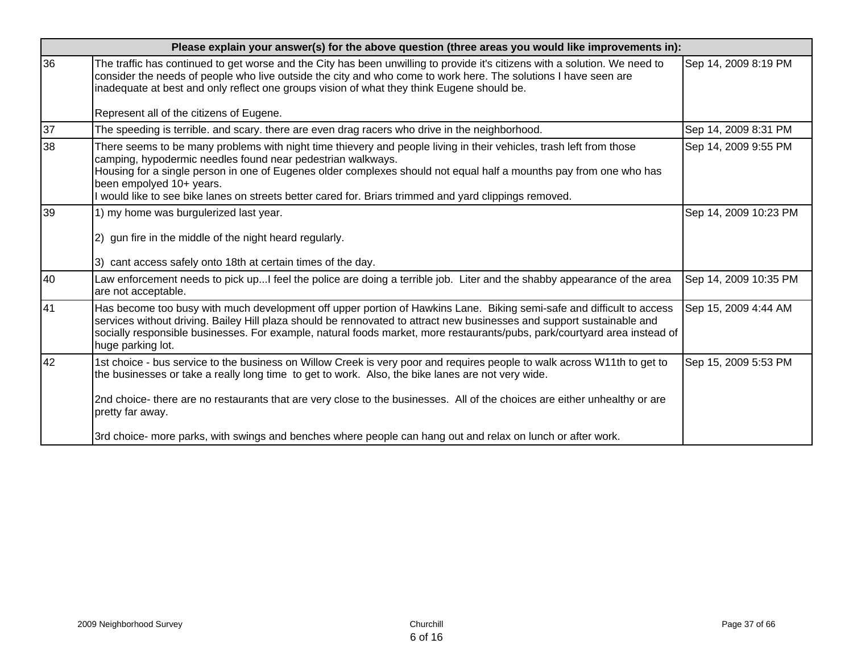|    | Please explain your answer(s) for the above question (three areas you would like improvements in):                                                                                                                                                                                                                                                                                                                                             |                       |  |
|----|------------------------------------------------------------------------------------------------------------------------------------------------------------------------------------------------------------------------------------------------------------------------------------------------------------------------------------------------------------------------------------------------------------------------------------------------|-----------------------|--|
| 36 | The traffic has continued to get worse and the City has been unwilling to provide it's citizens with a solution. We need to<br>consider the needs of people who live outside the city and who come to work here. The solutions I have seen are<br>inadequate at best and only reflect one groups vision of what they think Eugene should be.                                                                                                   | Sep 14, 2009 8:19 PM  |  |
|    | Represent all of the citizens of Eugene.                                                                                                                                                                                                                                                                                                                                                                                                       |                       |  |
| 37 | The speeding is terrible, and scary, there are even drag racers who drive in the neighborhood.                                                                                                                                                                                                                                                                                                                                                 | Sep 14, 2009 8:31 PM  |  |
| 38 | There seems to be many problems with night time thievery and people living in their vehicles, trash left from those<br>camping, hypodermic needles found near pedestrian walkways.<br>Housing for a single person in one of Eugenes older complexes should not equal half a mounths pay from one who has<br>been empolyed 10+ years.<br>I would like to see bike lanes on streets better cared for. Briars trimmed and yard clippings removed. | Sep 14, 2009 9:55 PM  |  |
| 39 | 1) my home was burgulerized last year.<br>2) gun fire in the middle of the night heard regularly.<br>3) cant access safely onto 18th at certain times of the day.                                                                                                                                                                                                                                                                              | Sep 14, 2009 10:23 PM |  |
| 40 | Law enforcement needs to pick upI feel the police are doing a terrible job. Liter and the shabby appearance of the area<br>are not acceptable.                                                                                                                                                                                                                                                                                                 | Sep 14, 2009 10:35 PM |  |
| 41 | Has become too busy with much development off upper portion of Hawkins Lane. Biking semi-safe and difficult to access<br>services without driving. Bailey Hill plaza should be rennovated to attract new businesses and support sustainable and<br>socially responsible businesses. For example, natural foods market, more restaurants/pubs, park/courtyard area instead of<br>huge parking lot.                                              | Sep 15, 2009 4:44 AM  |  |
| 42 | 1st choice - bus service to the business on Willow Creek is very poor and requires people to walk across W11th to get to<br>the businesses or take a really long time to get to work. Also, the bike lanes are not very wide.<br>2nd choice- there are no restaurants that are very close to the businesses. All of the choices are either unhealthy or are<br>pretty far away.                                                                | Sep 15, 2009 5:53 PM  |  |
|    | 3rd choice- more parks, with swings and benches where people can hang out and relax on lunch or after work.                                                                                                                                                                                                                                                                                                                                    |                       |  |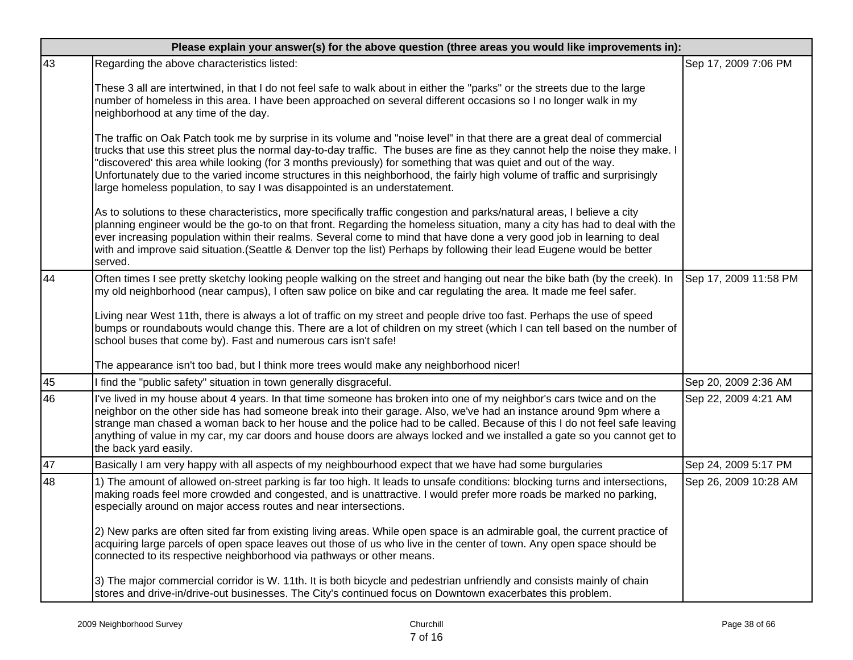|    | Please explain your answer(s) for the above question (three areas you would like improvements in):                                                                                                                                                                                                                                                                                                                                                                                                                                                                                       |                       |  |  |
|----|------------------------------------------------------------------------------------------------------------------------------------------------------------------------------------------------------------------------------------------------------------------------------------------------------------------------------------------------------------------------------------------------------------------------------------------------------------------------------------------------------------------------------------------------------------------------------------------|-----------------------|--|--|
| 43 | Regarding the above characteristics listed:                                                                                                                                                                                                                                                                                                                                                                                                                                                                                                                                              | Sep 17, 2009 7:06 PM  |  |  |
|    | These 3 all are intertwined, in that I do not feel safe to walk about in either the "parks" or the streets due to the large<br>number of homeless in this area. I have been approached on several different occasions so I no longer walk in my<br>neighborhood at any time of the day.                                                                                                                                                                                                                                                                                                  |                       |  |  |
|    | The traffic on Oak Patch took me by surprise in its volume and "noise level" in that there are a great deal of commercial<br>trucks that use this street plus the normal day-to-day traffic. The buses are fine as they cannot help the noise they make. I<br>discovered' this area while looking (for 3 months previously) for something that was quiet and out of the way.<br>Unfortunately due to the varied income structures in this neighborhood, the fairly high volume of traffic and surprisingly<br>large homeless population, to say I was disappointed is an understatement. |                       |  |  |
|    | As to solutions to these characteristics, more specifically traffic congestion and parks/natural areas, I believe a city<br>planning engineer would be the go-to on that front. Regarding the homeless situation, many a city has had to deal with the<br>ever increasing population within their realms. Several come to mind that have done a very good job in learning to deal<br>with and improve said situation. (Seattle & Denver top the list) Perhaps by following their lead Eugene would be better<br>served.                                                                  |                       |  |  |
| 44 | Often times I see pretty sketchy looking people walking on the street and hanging out near the bike bath (by the creek). In<br>my old neighborhood (near campus), I often saw police on bike and car regulating the area. It made me feel safer.                                                                                                                                                                                                                                                                                                                                         | Sep 17, 2009 11:58 PM |  |  |
|    | Living near West 11th, there is always a lot of traffic on my street and people drive too fast. Perhaps the use of speed<br>bumps or roundabouts would change this. There are a lot of children on my street (which I can tell based on the number of<br>school buses that come by). Fast and numerous cars isn't safe!                                                                                                                                                                                                                                                                  |                       |  |  |
|    | The appearance isn't too bad, but I think more trees would make any neighborhood nicer!                                                                                                                                                                                                                                                                                                                                                                                                                                                                                                  |                       |  |  |
| 45 | I find the "public safety" situation in town generally disgraceful.                                                                                                                                                                                                                                                                                                                                                                                                                                                                                                                      | Sep 20, 2009 2:36 AM  |  |  |
| 46 | I've lived in my house about 4 years. In that time someone has broken into one of my neighbor's cars twice and on the<br>neighbor on the other side has had someone break into their garage. Also, we've had an instance around 9pm where a<br>strange man chased a woman back to her house and the police had to be called. Because of this I do not feel safe leaving<br>anything of value in my car, my car doors and house doors are always locked and we installed a gate so you cannot get to<br>the back yard easily.                                                             | Sep 22, 2009 4:21 AM  |  |  |
| 47 | Basically I am very happy with all aspects of my neighbourhood expect that we have had some burgularies                                                                                                                                                                                                                                                                                                                                                                                                                                                                                  | Sep 24, 2009 5:17 PM  |  |  |
| 48 | 1) The amount of allowed on-street parking is far too high. It leads to unsafe conditions: blocking turns and intersections,<br>making roads feel more crowded and congested, and is unattractive. I would prefer more roads be marked no parking,<br>especially around on major access routes and near intersections.                                                                                                                                                                                                                                                                   | Sep 26, 2009 10:28 AM |  |  |
|    | 2) New parks are often sited far from existing living areas. While open space is an admirable goal, the current practice of<br>acquiring large parcels of open space leaves out those of us who live in the center of town. Any open space should be<br>connected to its respective neighborhood via pathways or other means.                                                                                                                                                                                                                                                            |                       |  |  |
|    | 3) The major commercial corridor is W. 11th. It is both bicycle and pedestrian unfriendly and consists mainly of chain<br>stores and drive-in/drive-out businesses. The City's continued focus on Downtown exacerbates this problem.                                                                                                                                                                                                                                                                                                                                                     |                       |  |  |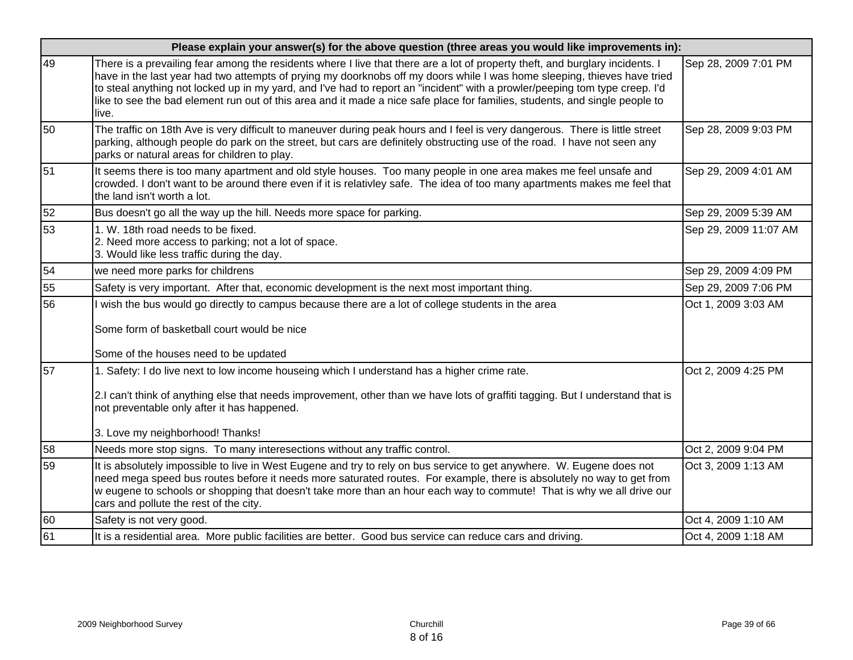|    | Please explain your answer(s) for the above question (three areas you would like improvements in):                                                                                                                                                                                                                                                                                                                                                                                                                               |                       |  |
|----|----------------------------------------------------------------------------------------------------------------------------------------------------------------------------------------------------------------------------------------------------------------------------------------------------------------------------------------------------------------------------------------------------------------------------------------------------------------------------------------------------------------------------------|-----------------------|--|
| 49 | There is a prevailing fear among the residents where I live that there are a lot of property theft, and burglary incidents. I<br>have in the last year had two attempts of prying my doorknobs off my doors while I was home sleeping, thieves have tried<br>to steal anything not locked up in my yard, and I've had to report an "incident" with a prowler/peeping tom type creep. I'd<br>like to see the bad element run out of this area and it made a nice safe place for families, students, and single people to<br>live. | Sep 28, 2009 7:01 PM  |  |
| 50 | The traffic on 18th Ave is very difficult to maneuver during peak hours and I feel is very dangerous. There is little street<br>parking, although people do park on the street, but cars are definitely obstructing use of the road. I have not seen any<br>parks or natural areas for children to play.                                                                                                                                                                                                                         | Sep 28, 2009 9:03 PM  |  |
| 51 | It seems there is too many apartment and old style houses. Too many people in one area makes me feel unsafe and<br>crowded. I don't want to be around there even if it is relativley safe. The idea of too many apartments makes me feel that<br>the land isn't worth a lot.                                                                                                                                                                                                                                                     | Sep 29, 2009 4:01 AM  |  |
| 52 | Bus doesn't go all the way up the hill. Needs more space for parking.                                                                                                                                                                                                                                                                                                                                                                                                                                                            | Sep 29, 2009 5:39 AM  |  |
| 53 | 1. W. 18th road needs to be fixed.<br>2. Need more access to parking; not a lot of space.<br>3. Would like less traffic during the day.                                                                                                                                                                                                                                                                                                                                                                                          | Sep 29, 2009 11:07 AM |  |
| 54 | we need more parks for childrens                                                                                                                                                                                                                                                                                                                                                                                                                                                                                                 | Sep 29, 2009 4:09 PM  |  |
| 55 | Safety is very important. After that, economic development is the next most important thing.                                                                                                                                                                                                                                                                                                                                                                                                                                     | Sep 29, 2009 7:06 PM  |  |
| 56 | wish the bus would go directly to campus because there are a lot of college students in the area                                                                                                                                                                                                                                                                                                                                                                                                                                 | Oct 1, 2009 3:03 AM   |  |
|    | Some form of basketball court would be nice                                                                                                                                                                                                                                                                                                                                                                                                                                                                                      |                       |  |
|    | Some of the houses need to be updated                                                                                                                                                                                                                                                                                                                                                                                                                                                                                            |                       |  |
| 57 | 1. Safety: I do live next to low income houseing which I understand has a higher crime rate.                                                                                                                                                                                                                                                                                                                                                                                                                                     | Oct 2, 2009 4:25 PM   |  |
|    | 2.I can't think of anything else that needs improvement, other than we have lots of graffiti tagging. But I understand that is<br>not preventable only after it has happened.                                                                                                                                                                                                                                                                                                                                                    |                       |  |
|    | 3. Love my neighborhood! Thanks!                                                                                                                                                                                                                                                                                                                                                                                                                                                                                                 |                       |  |
| 58 | Needs more stop signs. To many interesections without any traffic control.                                                                                                                                                                                                                                                                                                                                                                                                                                                       | Oct 2, 2009 9:04 PM   |  |
| 59 | It is absolutely impossible to live in West Eugene and try to rely on bus service to get anywhere. W. Eugene does not<br>need mega speed bus routes before it needs more saturated routes. For example, there is absolutely no way to get from<br>w eugene to schools or shopping that doesn't take more than an hour each way to commute! That is why we all drive our<br>cars and pollute the rest of the city.                                                                                                                | Oct 3, 2009 1:13 AM   |  |
| 60 | Safety is not very good.                                                                                                                                                                                                                                                                                                                                                                                                                                                                                                         | Oct 4, 2009 1:10 AM   |  |
| 61 | It is a residential area. More public facilities are better. Good bus service can reduce cars and driving.                                                                                                                                                                                                                                                                                                                                                                                                                       | Oct 4, 2009 1:18 AM   |  |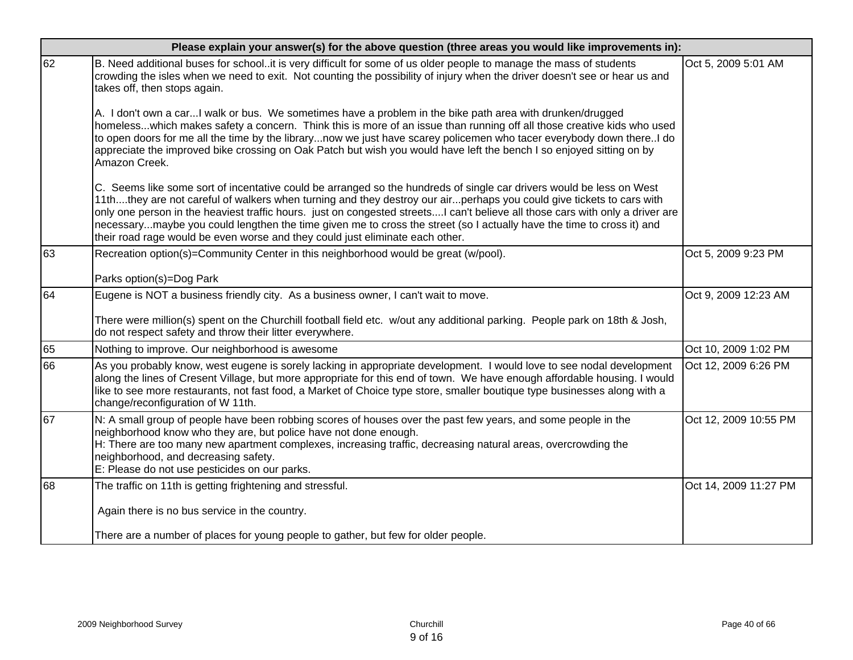|    | Please explain your answer(s) for the above question (three areas you would like improvements in):                                                                                                                                                                                                                                                                                                                                                                                                                                                                                      |                       |  |  |
|----|-----------------------------------------------------------------------------------------------------------------------------------------------------------------------------------------------------------------------------------------------------------------------------------------------------------------------------------------------------------------------------------------------------------------------------------------------------------------------------------------------------------------------------------------------------------------------------------------|-----------------------|--|--|
| 62 | B. Need additional buses for schoolit is very difficult for some of us older people to manage the mass of students<br>crowding the isles when we need to exit. Not counting the possibility of injury when the driver doesn't see or hear us and<br>takes off, then stops again.                                                                                                                                                                                                                                                                                                        | Oct 5, 2009 5:01 AM   |  |  |
|    | A. I don't own a carI walk or bus. We sometimes have a problem in the bike path area with drunken/drugged<br>homelesswhich makes safety a concern. Think this is more of an issue than running off all those creative kids who used<br>to open doors for me all the time by the librarynow we just have scarey policemen who tacer everybody down thereI do<br>appreciate the improved bike crossing on Oak Patch but wish you would have left the bench I so enjoyed sitting on by<br>Amazon Creek.                                                                                    |                       |  |  |
|    | C. Seems like some sort of incentative could be arranged so the hundreds of single car drivers would be less on West<br>11ththey are not careful of walkers when turning and they destroy our airperhaps you could give tickets to cars with<br>only one person in the heaviest traffic hours. just on congested streetsI can't believe all those cars with only a driver are<br>necessarymaybe you could lengthen the time given me to cross the street (so I actually have the time to cross it) and<br>their road rage would be even worse and they could just eliminate each other. |                       |  |  |
| 63 | Recreation option(s)=Community Center in this neighborhood would be great (w/pool).                                                                                                                                                                                                                                                                                                                                                                                                                                                                                                     | Oct 5, 2009 9:23 PM   |  |  |
|    | Parks option(s)=Dog Park                                                                                                                                                                                                                                                                                                                                                                                                                                                                                                                                                                |                       |  |  |
| 64 | Eugene is NOT a business friendly city. As a business owner, I can't wait to move.                                                                                                                                                                                                                                                                                                                                                                                                                                                                                                      | Oct 9, 2009 12:23 AM  |  |  |
|    | There were million(s) spent on the Churchill football field etc. w/out any additional parking. People park on 18th & Josh,<br>do not respect safety and throw their litter everywhere.                                                                                                                                                                                                                                                                                                                                                                                                  |                       |  |  |
| 65 | Nothing to improve. Our neighborhood is awesome                                                                                                                                                                                                                                                                                                                                                                                                                                                                                                                                         | Oct 10, 2009 1:02 PM  |  |  |
| 66 | As you probably know, west eugene is sorely lacking in appropriate development. I would love to see nodal development<br>along the lines of Cresent Village, but more appropriate for this end of town. We have enough affordable housing. I would<br>like to see more restaurants, not fast food, a Market of Choice type store, smaller boutique type businesses along with a<br>change/reconfiguration of W 11th.                                                                                                                                                                    | Oct 12, 2009 6:26 PM  |  |  |
| 67 | N: A small group of people have been robbing scores of houses over the past few years, and some people in the<br>neighborhood know who they are, but police have not done enough.<br>H: There are too many new apartment complexes, increasing traffic, decreasing natural areas, overcrowding the<br>neighborhood, and decreasing safety.<br>E: Please do not use pesticides on our parks.                                                                                                                                                                                             | Oct 12, 2009 10:55 PM |  |  |
| 68 | The traffic on 11th is getting frightening and stressful.                                                                                                                                                                                                                                                                                                                                                                                                                                                                                                                               | Oct 14, 2009 11:27 PM |  |  |
|    | Again there is no bus service in the country.                                                                                                                                                                                                                                                                                                                                                                                                                                                                                                                                           |                       |  |  |
|    | There are a number of places for young people to gather, but few for older people.                                                                                                                                                                                                                                                                                                                                                                                                                                                                                                      |                       |  |  |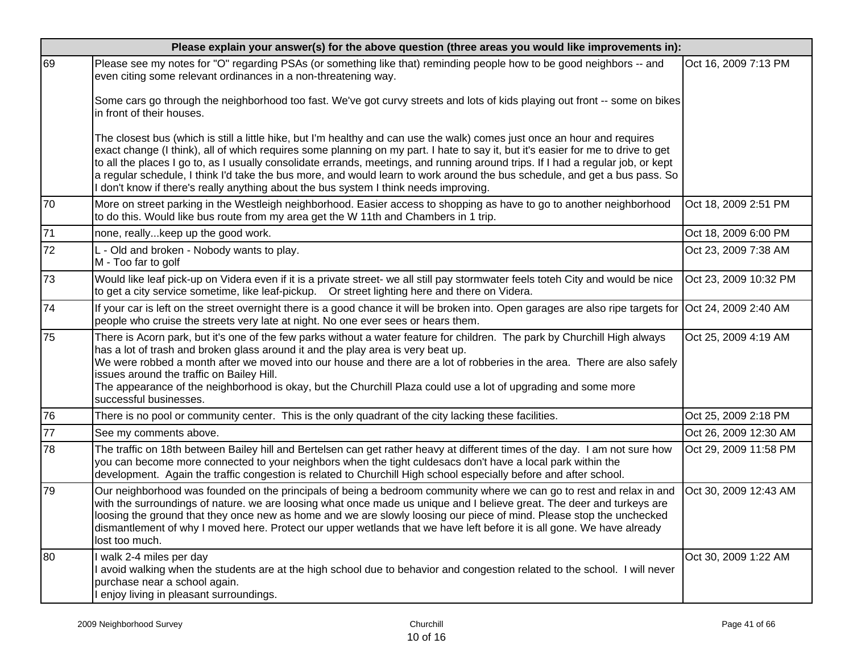|    | Please explain your answer(s) for the above question (three areas you would like improvements in):                                                                                                                                                                                                                                                                                                                                                                                                                                                                                                                     |                       |  |  |
|----|------------------------------------------------------------------------------------------------------------------------------------------------------------------------------------------------------------------------------------------------------------------------------------------------------------------------------------------------------------------------------------------------------------------------------------------------------------------------------------------------------------------------------------------------------------------------------------------------------------------------|-----------------------|--|--|
| 69 | Please see my notes for "O" regarding PSAs (or something like that) reminding people how to be good neighbors -- and<br>even citing some relevant ordinances in a non-threatening way.                                                                                                                                                                                                                                                                                                                                                                                                                                 | Oct 16, 2009 7:13 PM  |  |  |
|    | Some cars go through the neighborhood too fast. We've got curvy streets and lots of kids playing out front -- some on bikes<br>in front of their houses.                                                                                                                                                                                                                                                                                                                                                                                                                                                               |                       |  |  |
|    | The closest bus (which is still a little hike, but I'm healthy and can use the walk) comes just once an hour and requires<br>exact change (I think), all of which requires some planning on my part. I hate to say it, but it's easier for me to drive to get<br>to all the places I go to, as I usually consolidate errands, meetings, and running around trips. If I had a regular job, or kept<br>a regular schedule, I think I'd take the bus more, and would learn to work around the bus schedule, and get a bus pass. So<br>don't know if there's really anything about the bus system I think needs improving. |                       |  |  |
| 70 | More on street parking in the Westleigh neighborhood. Easier access to shopping as have to go to another neighborhood<br>to do this. Would like bus route from my area get the W 11th and Chambers in 1 trip.                                                                                                                                                                                                                                                                                                                                                                                                          | Oct 18, 2009 2:51 PM  |  |  |
| 71 | none, really keep up the good work.                                                                                                                                                                                                                                                                                                                                                                                                                                                                                                                                                                                    | Oct 18, 2009 6:00 PM  |  |  |
| 72 | L - Old and broken - Nobody wants to play.<br>M - Too far to golf                                                                                                                                                                                                                                                                                                                                                                                                                                                                                                                                                      | Oct 23, 2009 7:38 AM  |  |  |
| 73 | Would like leaf pick-up on Videra even if it is a private street- we all still pay stormwater feels toteh City and would be nice<br>to get a city service sometime, like leaf-pickup.  Or street lighting here and there on Videra.                                                                                                                                                                                                                                                                                                                                                                                    | Oct 23, 2009 10:32 PM |  |  |
| 74 | If your car is left on the street overnight there is a good chance it will be broken into. Open garages are also ripe targets for Oct 24, 2009 2:40 AM<br>people who cruise the streets very late at night. No one ever sees or hears them.                                                                                                                                                                                                                                                                                                                                                                            |                       |  |  |
| 75 | There is Acorn park, but it's one of the few parks without a water feature for children. The park by Churchill High always<br>has a lot of trash and broken glass around it and the play area is very beat up.<br>We were robbed a month after we moved into our house and there are a lot of robberies in the area. There are also safely<br>issues around the traffic on Bailey Hill.<br>The appearance of the neighborhood is okay, but the Churchill Plaza could use a lot of upgrading and some more<br>successful businesses.                                                                                    | Oct 25, 2009 4:19 AM  |  |  |
| 76 | There is no pool or community center. This is the only quadrant of the city lacking these facilities.                                                                                                                                                                                                                                                                                                                                                                                                                                                                                                                  | Oct 25, 2009 2:18 PM  |  |  |
| 77 | See my comments above.                                                                                                                                                                                                                                                                                                                                                                                                                                                                                                                                                                                                 | Oct 26, 2009 12:30 AM |  |  |
| 78 | The traffic on 18th between Bailey hill and Bertelsen can get rather heavy at different times of the day. I am not sure how<br>you can become more connected to your neighbors when the tight culdesacs don't have a local park within the<br>development. Again the traffic congestion is related to Churchill High school especially before and after school.                                                                                                                                                                                                                                                        | Oct 29, 2009 11:58 PM |  |  |
| 79 | Our neighborhood was founded on the principals of being a bedroom community where we can go to rest and relax in and<br>with the surroundings of nature. we are loosing what once made us unique and I believe great. The deer and turkeys are<br>loosing the ground that they once new as home and we are slowly loosing our piece of mind. Please stop the unchecked<br>dismantlement of why I moved here. Protect our upper wetlands that we have left before it is all gone. We have already<br>lost too much.                                                                                                     | Oct 30, 2009 12:43 AM |  |  |
| 80 | walk 2-4 miles per day<br>avoid walking when the students are at the high school due to behavior and congestion related to the school. I will never<br>purchase near a school again.<br>enjoy living in pleasant surroundings.                                                                                                                                                                                                                                                                                                                                                                                         | Oct 30, 2009 1:22 AM  |  |  |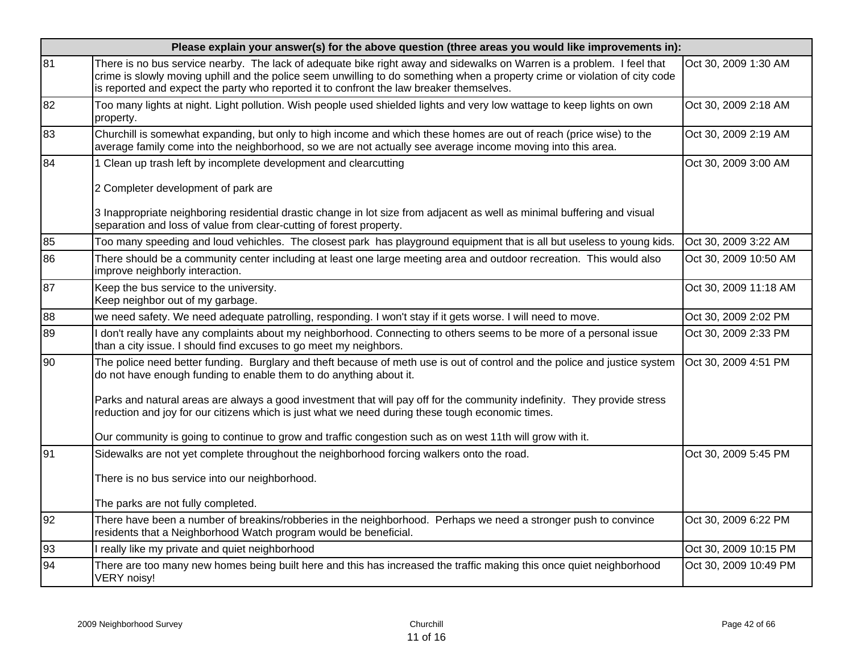| Please explain your answer(s) for the above question (three areas you would like improvements in): |                                                                                                                                                                                                                                                                                                                                                   |                       |  |
|----------------------------------------------------------------------------------------------------|---------------------------------------------------------------------------------------------------------------------------------------------------------------------------------------------------------------------------------------------------------------------------------------------------------------------------------------------------|-----------------------|--|
| 81                                                                                                 | There is no bus service nearby. The lack of adequate bike right away and sidewalks on Warren is a problem. I feel that<br>crime is slowly moving uphill and the police seem unwilling to do something when a property crime or violation of city code<br>is reported and expect the party who reported it to confront the law breaker themselves. | Oct 30, 2009 1:30 AM  |  |
| 82                                                                                                 | Too many lights at night. Light pollution. Wish people used shielded lights and very low wattage to keep lights on own<br>property.                                                                                                                                                                                                               | Oct 30, 2009 2:18 AM  |  |
| 83                                                                                                 | Churchill is somewhat expanding, but only to high income and which these homes are out of reach (price wise) to the<br>average family come into the neighborhood, so we are not actually see average income moving into this area.                                                                                                                | Oct 30, 2009 2:19 AM  |  |
| 84                                                                                                 | 1 Clean up trash left by incomplete development and clearcutting                                                                                                                                                                                                                                                                                  | Oct 30, 2009 3:00 AM  |  |
|                                                                                                    | 2 Completer development of park are                                                                                                                                                                                                                                                                                                               |                       |  |
|                                                                                                    | 3 Inappropriate neighboring residential drastic change in lot size from adjacent as well as minimal buffering and visual<br>separation and loss of value from clear-cutting of forest property.                                                                                                                                                   |                       |  |
| 85                                                                                                 | Too many speeding and loud vehichles. The closest park has playground equipment that is all but useless to young kids.                                                                                                                                                                                                                            | Oct 30, 2009 3:22 AM  |  |
| 86                                                                                                 | There should be a community center including at least one large meeting area and outdoor recreation. This would also<br>improve neighborly interaction.                                                                                                                                                                                           | Oct 30, 2009 10:50 AM |  |
| 87                                                                                                 | Keep the bus service to the university.<br>Keep neighbor out of my garbage.                                                                                                                                                                                                                                                                       | Oct 30, 2009 11:18 AM |  |
| 88                                                                                                 | we need safety. We need adequate patrolling, responding. I won't stay if it gets worse. I will need to move.                                                                                                                                                                                                                                      | Oct 30, 2009 2:02 PM  |  |
| 89                                                                                                 | don't really have any complaints about my neighborhood. Connecting to others seems to be more of a personal issue<br>than a city issue. I should find excuses to go meet my neighbors.                                                                                                                                                            | Oct 30, 2009 2:33 PM  |  |
| 90                                                                                                 | The police need better funding. Burglary and theft because of meth use is out of control and the police and justice system<br>do not have enough funding to enable them to do anything about it.                                                                                                                                                  | Oct 30, 2009 4:51 PM  |  |
|                                                                                                    | Parks and natural areas are always a good investment that will pay off for the community indefinity. They provide stress<br>reduction and joy for our citizens which is just what we need during these tough economic times.                                                                                                                      |                       |  |
|                                                                                                    | Our community is going to continue to grow and traffic congestion such as on west 11th will grow with it.                                                                                                                                                                                                                                         |                       |  |
| 91                                                                                                 | Sidewalks are not yet complete throughout the neighborhood forcing walkers onto the road.                                                                                                                                                                                                                                                         | Oct 30, 2009 5:45 PM  |  |
|                                                                                                    | There is no bus service into our neighborhood.                                                                                                                                                                                                                                                                                                    |                       |  |
|                                                                                                    | The parks are not fully completed.                                                                                                                                                                                                                                                                                                                |                       |  |
| 92                                                                                                 | There have been a number of breakins/robberies in the neighborhood. Perhaps we need a stronger push to convince<br>residents that a Neighborhood Watch program would be beneficial.                                                                                                                                                               | Oct 30, 2009 6:22 PM  |  |
| 93                                                                                                 | really like my private and quiet neighborhood                                                                                                                                                                                                                                                                                                     | Oct 30, 2009 10:15 PM |  |
| 94                                                                                                 | There are too many new homes being built here and this has increased the traffic making this once quiet neighborhood<br>VERY noisy!                                                                                                                                                                                                               | Oct 30, 2009 10:49 PM |  |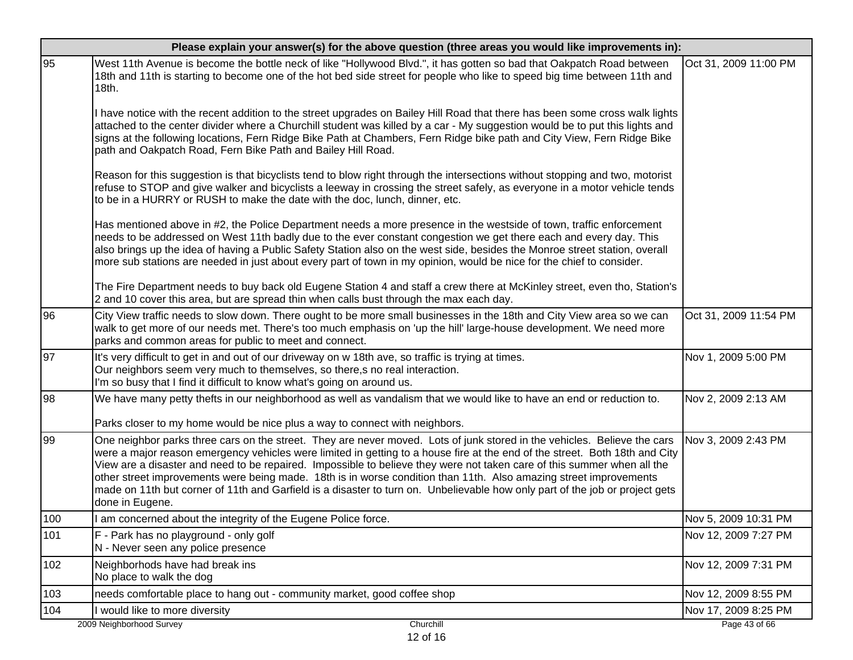|     | Please explain your answer(s) for the above question (three areas you would like improvements in):                                                                                                                                                                                                                                                                                                                                                                                                                                                                                                                                                         |                       |  |  |
|-----|------------------------------------------------------------------------------------------------------------------------------------------------------------------------------------------------------------------------------------------------------------------------------------------------------------------------------------------------------------------------------------------------------------------------------------------------------------------------------------------------------------------------------------------------------------------------------------------------------------------------------------------------------------|-----------------------|--|--|
| 95  | West 11th Avenue is become the bottle neck of like "Hollywood Blvd.", it has gotten so bad that Oakpatch Road between<br>18th and 11th is starting to become one of the hot bed side street for people who like to speed big time between 11th and<br>18th.                                                                                                                                                                                                                                                                                                                                                                                                | Oct 31, 2009 11:00 PM |  |  |
|     | have notice with the recent addition to the street upgrades on Bailey Hill Road that there has been some cross walk lights<br>attached to the center divider where a Churchill student was killed by a car - My suggestion would be to put this lights and<br>signs at the following locations, Fern Ridge Bike Path at Chambers, Fern Ridge bike path and City View, Fern Ridge Bike<br>path and Oakpatch Road, Fern Bike Path and Bailey Hill Road.                                                                                                                                                                                                      |                       |  |  |
|     | Reason for this suggestion is that bicyclists tend to blow right through the intersections without stopping and two, motorist<br>refuse to STOP and give walker and bicyclists a leeway in crossing the street safely, as everyone in a motor vehicle tends<br>to be in a HURRY or RUSH to make the date with the doc, lunch, dinner, etc.                                                                                                                                                                                                                                                                                                                 |                       |  |  |
|     | Has mentioned above in #2, the Police Department needs a more presence in the westside of town, traffic enforcement<br>needs to be addressed on West 11th badly due to the ever constant congestion we get there each and every day. This<br>also brings up the idea of having a Public Safety Station also on the west side, besides the Monroe street station, overall<br>more sub stations are needed in just about every part of town in my opinion, would be nice for the chief to consider.                                                                                                                                                          |                       |  |  |
|     | The Fire Department needs to buy back old Eugene Station 4 and staff a crew there at McKinley street, even tho, Station's<br>2 and 10 cover this area, but are spread thin when calls bust through the max each day.                                                                                                                                                                                                                                                                                                                                                                                                                                       |                       |  |  |
| 96  | City View traffic needs to slow down. There ought to be more small businesses in the 18th and City View area so we can<br>walk to get more of our needs met. There's too much emphasis on 'up the hill' large-house development. We need more<br>parks and common areas for public to meet and connect.                                                                                                                                                                                                                                                                                                                                                    | Oct 31, 2009 11:54 PM |  |  |
| 97  | It's very difficult to get in and out of our driveway on w 18th ave, so traffic is trying at times.<br>Our neighbors seem very much to themselves, so there, s no real interaction.<br>I'm so busy that I find it difficult to know what's going on around us.                                                                                                                                                                                                                                                                                                                                                                                             | Nov 1, 2009 5:00 PM   |  |  |
| 98  | We have many petty thefts in our neighborhood as well as vandalism that we would like to have an end or reduction to.<br>Parks closer to my home would be nice plus a way to connect with neighbors.                                                                                                                                                                                                                                                                                                                                                                                                                                                       | Nov 2, 2009 2:13 AM   |  |  |
| 99  | One neighbor parks three cars on the street. They are never moved. Lots of junk stored in the vehicles. Believe the cars<br>were a major reason emergency vehicles were limited in getting to a house fire at the end of the street. Both 18th and City<br>View are a disaster and need to be repaired. Impossible to believe they were not taken care of this summer when all the<br>other street improvements were being made. 18th is in worse condition than 11th. Also amazing street improvements<br>made on 11th but corner of 11th and Garfield is a disaster to turn on. Unbelievable how only part of the job or project gets<br>done in Eugene. | Nov 3, 2009 2:43 PM   |  |  |
| 100 | am concerned about the integrity of the Eugene Police force.                                                                                                                                                                                                                                                                                                                                                                                                                                                                                                                                                                                               | Nov 5, 2009 10:31 PM  |  |  |
| 101 | F - Park has no playground - only golf<br>N - Never seen any police presence                                                                                                                                                                                                                                                                                                                                                                                                                                                                                                                                                                               | Nov 12, 2009 7:27 PM  |  |  |
| 102 | Neighborhods have had break ins<br>No place to walk the dog                                                                                                                                                                                                                                                                                                                                                                                                                                                                                                                                                                                                | Nov 12, 2009 7:31 PM  |  |  |
| 103 | needs comfortable place to hang out - community market, good coffee shop                                                                                                                                                                                                                                                                                                                                                                                                                                                                                                                                                                                   | Nov 12, 2009 8:55 PM  |  |  |
| 104 | would like to more diversity                                                                                                                                                                                                                                                                                                                                                                                                                                                                                                                                                                                                                               | Nov 17, 2009 8:25 PM  |  |  |
|     | 2009 Neighborhood Survey<br>Churchill                                                                                                                                                                                                                                                                                                                                                                                                                                                                                                                                                                                                                      | Page 43 of 66         |  |  |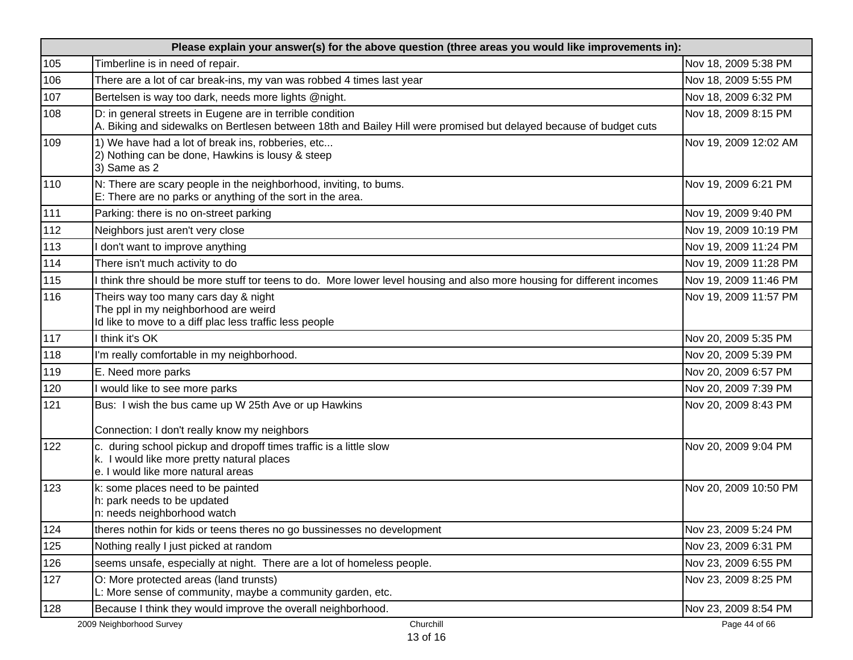|     | Please explain your answer(s) for the above question (three areas you would like improvements in):                                                                              |                       |  |
|-----|---------------------------------------------------------------------------------------------------------------------------------------------------------------------------------|-----------------------|--|
| 105 | Timberline is in need of repair.                                                                                                                                                | Nov 18, 2009 5:38 PM  |  |
| 106 | There are a lot of car break-ins, my van was robbed 4 times last year                                                                                                           | Nov 18, 2009 5:55 PM  |  |
| 107 | Bertelsen is way too dark, needs more lights @night.                                                                                                                            | Nov 18, 2009 6:32 PM  |  |
| 108 | D: in general streets in Eugene are in terrible condition<br>A. Biking and sidewalks on Bertlesen between 18th and Bailey Hill were promised but delayed because of budget cuts | Nov 18, 2009 8:15 PM  |  |
| 109 | 1) We have had a lot of break ins, robberies, etc<br>2) Nothing can be done, Hawkins is lousy & steep<br>3) Same as 2                                                           | Nov 19, 2009 12:02 AM |  |
| 110 | N: There are scary people in the neighborhood, inviting, to bums.<br>E: There are no parks or anything of the sort in the area.                                                 | Nov 19, 2009 6:21 PM  |  |
| 111 | Parking: there is no on-street parking                                                                                                                                          | Nov 19, 2009 9:40 PM  |  |
| 112 | Neighbors just aren't very close                                                                                                                                                | Nov 19, 2009 10:19 PM |  |
| 113 | don't want to improve anything                                                                                                                                                  | Nov 19, 2009 11:24 PM |  |
| 114 | There isn't much activity to do                                                                                                                                                 | Nov 19, 2009 11:28 PM |  |
| 115 | I think thre should be more stuff tor teens to do. More lower level housing and also more housing for different incomes                                                         | Nov 19, 2009 11:46 PM |  |
| 116 | Theirs way too many cars day & night<br>The ppl in my neighborhood are weird<br>Id like to move to a diff plac less traffic less people                                         | Nov 19, 2009 11:57 PM |  |
| 117 | I think it's OK                                                                                                                                                                 | Nov 20, 2009 5:35 PM  |  |
| 118 | I'm really comfortable in my neighborhood.                                                                                                                                      | Nov 20, 2009 5:39 PM  |  |
| 119 | E. Need more parks                                                                                                                                                              | Nov 20, 2009 6:57 PM  |  |
| 120 | I would like to see more parks                                                                                                                                                  | Nov 20, 2009 7:39 PM  |  |
| 121 | Bus: I wish the bus came up W 25th Ave or up Hawkins                                                                                                                            | Nov 20, 2009 8:43 PM  |  |
|     | Connection: I don't really know my neighbors                                                                                                                                    |                       |  |
| 122 | c. during school pickup and dropoff times traffic is a little slow<br>k. I would like more pretty natural places<br>e. I would like more natural areas                          | Nov 20, 2009 9:04 PM  |  |
| 123 | k: some places need to be painted<br>h: park needs to be updated<br>n: needs neighborhood watch                                                                                 | Nov 20, 2009 10:50 PM |  |
| 124 | theres nothin for kids or teens theres no go bussinesses no development                                                                                                         | Nov 23, 2009 5:24 PM  |  |
| 125 | Nothing really I just picked at random                                                                                                                                          | Nov 23, 2009 6:31 PM  |  |
| 126 | seems unsafe, especially at night. There are a lot of homeless people.                                                                                                          | Nov 23, 2009 6:55 PM  |  |
| 127 | O: More protected areas (land trunsts)<br>L: More sense of community, maybe a community garden, etc.                                                                            | Nov 23, 2009 8:25 PM  |  |
| 128 | Because I think they would improve the overall neighborhood.                                                                                                                    | Nov 23, 2009 8:54 PM  |  |
|     | Churchill<br>2009 Neighborhood Survey<br>13 of 16                                                                                                                               | Page 44 of 66         |  |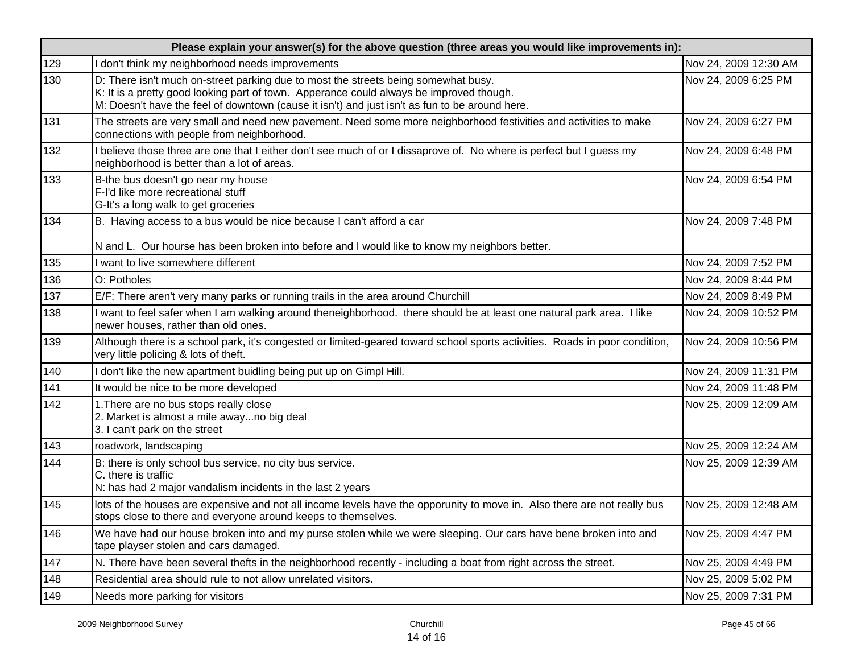|     | Please explain your answer(s) for the above question (three areas you would like improvements in):                                                                                                                                                                              |                       |  |
|-----|---------------------------------------------------------------------------------------------------------------------------------------------------------------------------------------------------------------------------------------------------------------------------------|-----------------------|--|
| 129 | I don't think my neighborhood needs improvements                                                                                                                                                                                                                                | Nov 24, 2009 12:30 AM |  |
| 130 | D: There isn't much on-street parking due to most the streets being somewhat busy.<br>K: It is a pretty good looking part of town. Apperance could always be improved though.<br>M: Doesn't have the feel of downtown (cause it isn't) and just isn't as fun to be around here. | Nov 24, 2009 6:25 PM  |  |
| 131 | The streets are very small and need new pavement. Need some more neighborhood festivities and activities to make<br>connections with people from neighborhood.                                                                                                                  | Nov 24, 2009 6:27 PM  |  |
| 132 | believe those three are one that I either don't see much of or I dissaprove of. No where is perfect but I guess my<br>neighborhood is better than a lot of areas.                                                                                                               | Nov 24, 2009 6:48 PM  |  |
| 133 | B-the bus doesn't go near my house<br>F-I'd like more recreational stuff<br>G-It's a long walk to get groceries                                                                                                                                                                 | Nov 24, 2009 6:54 PM  |  |
| 134 | B. Having access to a bus would be nice because I can't afford a car                                                                                                                                                                                                            | Nov 24, 2009 7:48 PM  |  |
|     | N and L. Our hourse has been broken into before and I would like to know my neighbors better.                                                                                                                                                                                   |                       |  |
| 135 | I want to live somewhere different                                                                                                                                                                                                                                              | Nov 24, 2009 7:52 PM  |  |
| 136 | O: Potholes                                                                                                                                                                                                                                                                     | Nov 24, 2009 8:44 PM  |  |
| 137 | E/F: There aren't very many parks or running trails in the area around Churchill                                                                                                                                                                                                | Nov 24, 2009 8:49 PM  |  |
| 138 | I want to feel safer when I am walking around theneighborhood. there should be at least one natural park area. I like<br>newer houses, rather than old ones.                                                                                                                    | Nov 24, 2009 10:52 PM |  |
| 139 | Although there is a school park, it's congested or limited-geared toward school sports activities. Roads in poor condition,<br>very little policing & lots of theft.                                                                                                            | Nov 24, 2009 10:56 PM |  |
| 140 | I don't like the new apartment buidling being put up on Gimpl Hill.                                                                                                                                                                                                             | Nov 24, 2009 11:31 PM |  |
| 141 | It would be nice to be more developed                                                                                                                                                                                                                                           | Nov 24, 2009 11:48 PM |  |
| 142 | 1. There are no bus stops really close<br>2. Market is almost a mile awayno big deal<br>3. I can't park on the street                                                                                                                                                           | Nov 25, 2009 12:09 AM |  |
| 143 | roadwork, landscaping                                                                                                                                                                                                                                                           | Nov 25, 2009 12:24 AM |  |
| 144 | B: there is only school bus service, no city bus service.<br>C. there is traffic<br>N: has had 2 major vandalism incidents in the last 2 years                                                                                                                                  | Nov 25, 2009 12:39 AM |  |
| 145 | lots of the houses are expensive and not all income levels have the opporunity to move in. Also there are not really bus<br>stops close to there and everyone around keeps to themselves.                                                                                       | Nov 25, 2009 12:48 AM |  |
| 146 | We have had our house broken into and my purse stolen while we were sleeping. Our cars have bene broken into and<br>tape playser stolen and cars damaged.                                                                                                                       | Nov 25, 2009 4:47 PM  |  |
| 147 | N. There have been several thefts in the neighborhood recently - including a boat from right across the street.                                                                                                                                                                 | Nov 25, 2009 4:49 PM  |  |
| 148 | Residential area should rule to not allow unrelated visitors.                                                                                                                                                                                                                   | Nov 25, 2009 5:02 PM  |  |
| 149 | Needs more parking for visitors                                                                                                                                                                                                                                                 | Nov 25, 2009 7:31 PM  |  |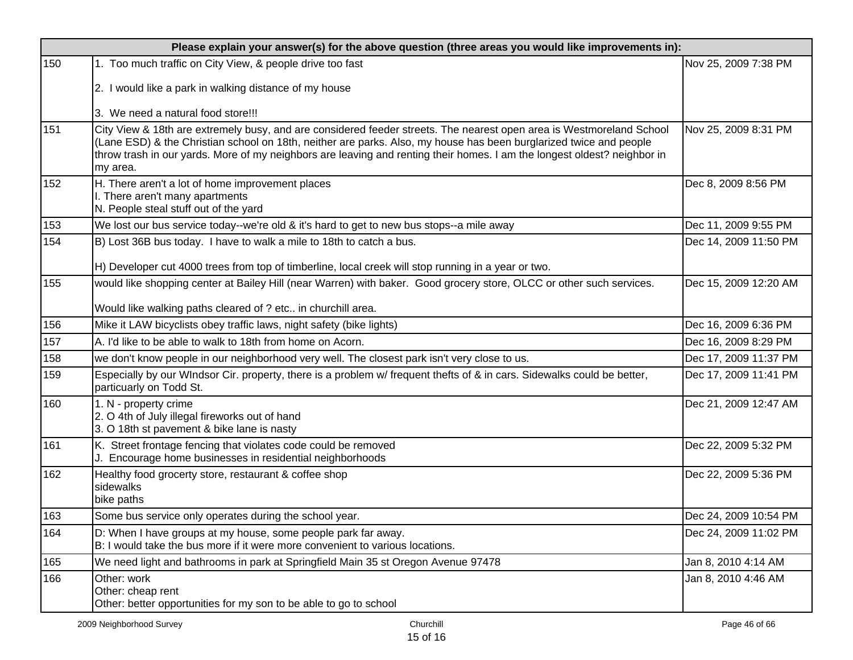|     | Please explain your answer(s) for the above question (three areas you would like improvements in):                                                                                                                                                                                                                                                                                 |                       |  |  |
|-----|------------------------------------------------------------------------------------------------------------------------------------------------------------------------------------------------------------------------------------------------------------------------------------------------------------------------------------------------------------------------------------|-----------------------|--|--|
| 150 | 1. Too much traffic on City View, & people drive too fast<br>2. I would like a park in walking distance of my house                                                                                                                                                                                                                                                                | Nov 25, 2009 7:38 PM  |  |  |
|     | 3. We need a natural food store!!!                                                                                                                                                                                                                                                                                                                                                 |                       |  |  |
| 151 | City View & 18th are extremely busy, and are considered feeder streets. The nearest open area is Westmoreland School<br>(Lane ESD) & the Christian school on 18th, neither are parks. Also, my house has been burglarized twice and people<br>throw trash in our yards. More of my neighbors are leaving and renting their homes. I am the longest oldest? neighbor in<br>my area. | Nov 25, 2009 8:31 PM  |  |  |
| 152 | H. There aren't a lot of home improvement places<br>I. There aren't many apartments<br>N. People steal stuff out of the yard                                                                                                                                                                                                                                                       | Dec 8, 2009 8:56 PM   |  |  |
| 153 | We lost our bus service today--we're old & it's hard to get to new bus stops--a mile away                                                                                                                                                                                                                                                                                          | Dec 11, 2009 9:55 PM  |  |  |
| 154 | B) Lost 36B bus today. I have to walk a mile to 18th to catch a bus.<br>H) Developer cut 4000 trees from top of timberline, local creek will stop running in a year or two.                                                                                                                                                                                                        | Dec 14, 2009 11:50 PM |  |  |
| 155 | would like shopping center at Bailey Hill (near Warren) with baker. Good grocery store, OLCC or other such services.                                                                                                                                                                                                                                                               | Dec 15, 2009 12:20 AM |  |  |
|     | Would like walking paths cleared of ? etc in churchill area.                                                                                                                                                                                                                                                                                                                       |                       |  |  |
| 156 | Mike it LAW bicyclists obey traffic laws, night safety (bike lights)                                                                                                                                                                                                                                                                                                               | Dec 16, 2009 6:36 PM  |  |  |
| 157 | A. I'd like to be able to walk to 18th from home on Acorn.                                                                                                                                                                                                                                                                                                                         | Dec 16, 2009 8:29 PM  |  |  |
| 158 | we don't know people in our neighborhood very well. The closest park isn't very close to us.                                                                                                                                                                                                                                                                                       | Dec 17, 2009 11:37 PM |  |  |
| 159 | Especially by our WIndsor Cir. property, there is a problem w/ frequent thefts of & in cars. Sidewalks could be better,<br>particuarly on Todd St.                                                                                                                                                                                                                                 | Dec 17, 2009 11:41 PM |  |  |
| 160 | 1. N - property crime<br>2. O 4th of July illegal fireworks out of hand<br>3. O 18th st pavement & bike lane is nasty                                                                                                                                                                                                                                                              | Dec 21, 2009 12:47 AM |  |  |
| 161 | K. Street frontage fencing that violates code could be removed<br>J. Encourage home businesses in residential neighborhoods                                                                                                                                                                                                                                                        | Dec 22, 2009 5:32 PM  |  |  |
| 162 | Healthy food grocerty store, restaurant & coffee shop<br>sidewalks<br>bike paths                                                                                                                                                                                                                                                                                                   | Dec 22, 2009 5:36 PM  |  |  |
| 163 | Some bus service only operates during the school year.                                                                                                                                                                                                                                                                                                                             | Dec 24, 2009 10:54 PM |  |  |
| 164 | D: When I have groups at my house, some people park far away.<br>B: I would take the bus more if it were more convenient to various locations.                                                                                                                                                                                                                                     | Dec 24, 2009 11:02 PM |  |  |
| 165 | We need light and bathrooms in park at Springfield Main 35 st Oregon Avenue 97478                                                                                                                                                                                                                                                                                                  | Jan 8, 2010 4:14 AM   |  |  |
| 166 | Other: work<br>Other: cheap rent<br>Other: better opportunities for my son to be able to go to school                                                                                                                                                                                                                                                                              | Jan 8, 2010 4:46 AM   |  |  |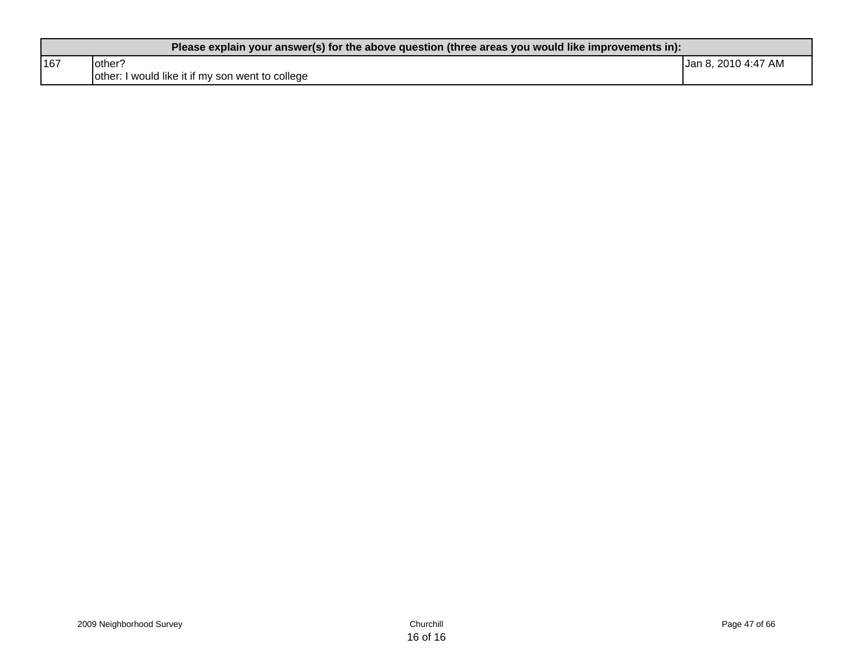| Please explain your answer(s) for the above question (three areas you would like improvements in): |                                                  |                     |  |
|----------------------------------------------------------------------------------------------------|--------------------------------------------------|---------------------|--|
| 167                                                                                                | lother?                                          | Jan 8, 2010 4:47 AM |  |
|                                                                                                    | other: I would like it if my son went to college |                     |  |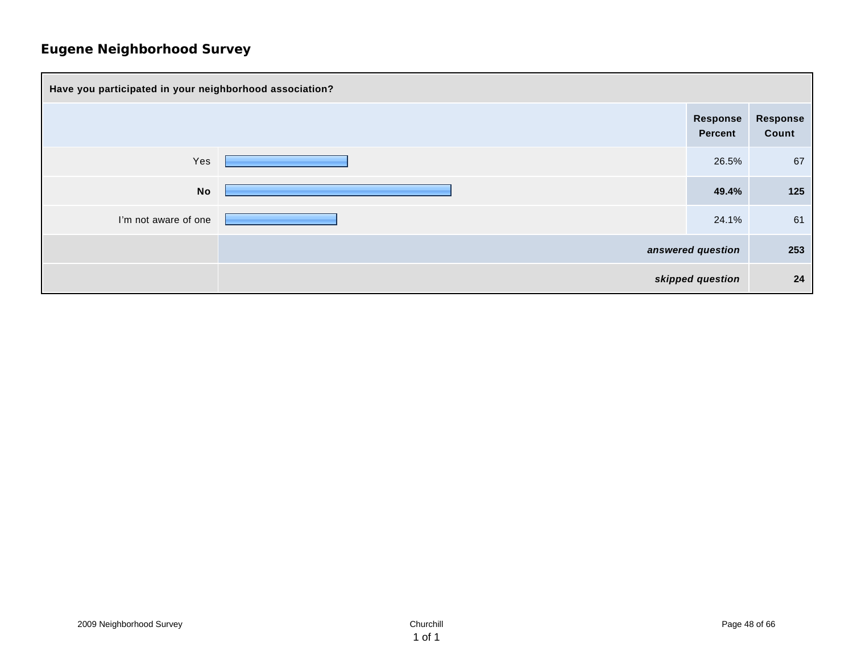| Have you participated in your neighborhood association? |                   |                     |                   |
|---------------------------------------------------------|-------------------|---------------------|-------------------|
|                                                         |                   | Response<br>Percent | Response<br>Count |
| Yes                                                     |                   | 26.5%               | 67                |
| <b>No</b>                                               |                   | 49.4%               | 125               |
| I'm not aware of one                                    |                   | 24.1%               | 61                |
|                                                         | answered question |                     | 253               |
| skipped question                                        |                   | 24                  |                   |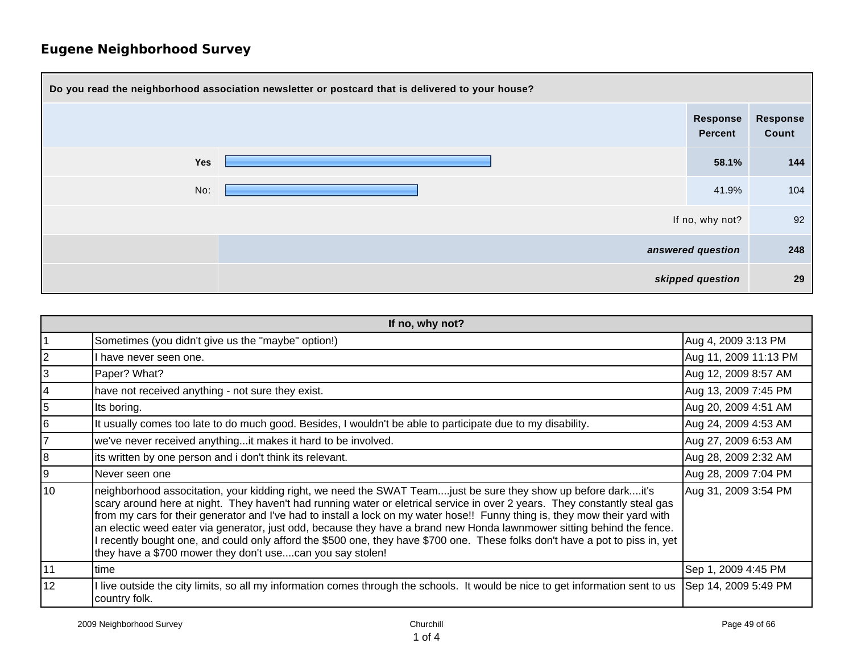| Do you read the neighborhood association newsletter or postcard that is delivered to your house? |                                   |                   |  |
|--------------------------------------------------------------------------------------------------|-----------------------------------|-------------------|--|
|                                                                                                  | <b>Response</b><br><b>Percent</b> | Response<br>Count |  |
| Yes                                                                                              | 58.1%                             | 144               |  |
| No:                                                                                              | 41.9%                             | 104               |  |
|                                                                                                  | If no, why not?                   | 92                |  |
| answered question                                                                                |                                   | 248               |  |
|                                                                                                  | skipped question                  | 29                |  |

| If no, why not? |                                                                                                                                                                                                                                                                                                                                                                                                                                                                                                                                                                                                                                                                                                      |                       |  |
|-----------------|------------------------------------------------------------------------------------------------------------------------------------------------------------------------------------------------------------------------------------------------------------------------------------------------------------------------------------------------------------------------------------------------------------------------------------------------------------------------------------------------------------------------------------------------------------------------------------------------------------------------------------------------------------------------------------------------------|-----------------------|--|
|                 | Sometimes (you didn't give us the "maybe" option!)                                                                                                                                                                                                                                                                                                                                                                                                                                                                                                                                                                                                                                                   | Aug 4, 2009 3:13 PM   |  |
| $\overline{2}$  | I have never seen one.                                                                                                                                                                                                                                                                                                                                                                                                                                                                                                                                                                                                                                                                               | Aug 11, 2009 11:13 PM |  |
| 3               | Paper? What?                                                                                                                                                                                                                                                                                                                                                                                                                                                                                                                                                                                                                                                                                         | Aug 12, 2009 8:57 AM  |  |
|                 | have not received anything - not sure they exist.                                                                                                                                                                                                                                                                                                                                                                                                                                                                                                                                                                                                                                                    | Aug 13, 2009 7:45 PM  |  |
| 5               | Its boring.                                                                                                                                                                                                                                                                                                                                                                                                                                                                                                                                                                                                                                                                                          | Aug 20, 2009 4:51 AM  |  |
| 16              | It usually comes too late to do much good. Besides, I wouldn't be able to participate due to my disability.                                                                                                                                                                                                                                                                                                                                                                                                                                                                                                                                                                                          | Aug 24, 2009 4:53 AM  |  |
|                 | we've never received anythingit makes it hard to be involved.                                                                                                                                                                                                                                                                                                                                                                                                                                                                                                                                                                                                                                        | Aug 27, 2009 6:53 AM  |  |
| 8               | its written by one person and i don't think its relevant.                                                                                                                                                                                                                                                                                                                                                                                                                                                                                                                                                                                                                                            | Aug 28, 2009 2:32 AM  |  |
| 9               | Never seen one                                                                                                                                                                                                                                                                                                                                                                                                                                                                                                                                                                                                                                                                                       | Aug 28, 2009 7:04 PM  |  |
| 10              | neighborhood associtation, your kidding right, we need the SWAT Team just be sure they show up before dark it's<br>scary around here at night. They haven't had running water or eletrical service in over 2 years. They constantly steal gas<br>from my cars for their generator and I've had to install a lock on my water hose!! Funny thing is, they mow their yard with<br>an electic weed eater via generator, just odd, because they have a brand new Honda lawnmower sitting behind the fence.<br>I recently bought one, and could only afford the \$500 one, they have \$700 one. These folks don't have a pot to piss in, yet<br>they have a \$700 mower they don't usecan you say stolen! | Aug 31, 2009 3:54 PM  |  |
| 11              | time                                                                                                                                                                                                                                                                                                                                                                                                                                                                                                                                                                                                                                                                                                 | Sep 1, 2009 4:45 PM   |  |
| 12              | I live outside the city limits, so all my information comes through the schools. It would be nice to get information sent to us<br>country folk.                                                                                                                                                                                                                                                                                                                                                                                                                                                                                                                                                     | Sep 14, 2009 5:49 PM  |  |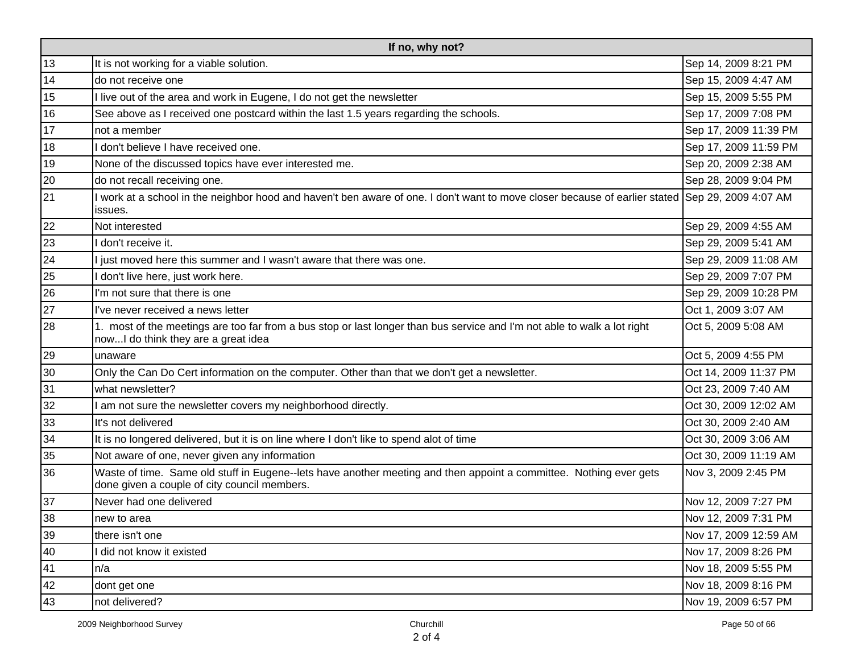| If no, why not? |                                                                                                                                                                    |                       |  |
|-----------------|--------------------------------------------------------------------------------------------------------------------------------------------------------------------|-----------------------|--|
| 13              | It is not working for a viable solution.                                                                                                                           | Sep 14, 2009 8:21 PM  |  |
| 14              | do not receive one                                                                                                                                                 | Sep 15, 2009 4:47 AM  |  |
| 15              | I live out of the area and work in Eugene, I do not get the newsletter                                                                                             | Sep 15, 2009 5:55 PM  |  |
| 16              | See above as I received one postcard within the last 1.5 years regarding the schools.                                                                              | Sep 17, 2009 7:08 PM  |  |
| 17              | not a member                                                                                                                                                       | Sep 17, 2009 11:39 PM |  |
| 18              | I don't believe I have received one.                                                                                                                               | Sep 17, 2009 11:59 PM |  |
| 19              | None of the discussed topics have ever interested me.                                                                                                              | Sep 20, 2009 2:38 AM  |  |
| 20              | do not recall receiving one.                                                                                                                                       | Sep 28, 2009 9:04 PM  |  |
| 21              | work at a school in the neighbor hood and haven't ben aware of one. I don't want to move closer because of earlier stated Sep 29, 2009 4:07 AM<br>issues.          |                       |  |
| 22              | Not interested                                                                                                                                                     | Sep 29, 2009 4:55 AM  |  |
| 23              | I don't receive it.                                                                                                                                                | Sep 29, 2009 5:41 AM  |  |
| 24              | I just moved here this summer and I wasn't aware that there was one.                                                                                               | Sep 29, 2009 11:08 AM |  |
| 25              | I don't live here, just work here.                                                                                                                                 | Sep 29, 2009 7:07 PM  |  |
| 26              | I'm not sure that there is one                                                                                                                                     | Sep 29, 2009 10:28 PM |  |
| 27              | I've never received a news letter                                                                                                                                  | Oct 1, 2009 3:07 AM   |  |
| 28              | 1. most of the meetings are too far from a bus stop or last longer than bus service and I'm not able to walk a lot right<br>nowI do think they are a great idea    | Oct 5, 2009 5:08 AM   |  |
| 29              | unaware                                                                                                                                                            | Oct 5, 2009 4:55 PM   |  |
| 30              | Only the Can Do Cert information on the computer. Other than that we don't get a newsletter.                                                                       | Oct 14, 2009 11:37 PM |  |
| 31              | what newsletter?                                                                                                                                                   | Oct 23, 2009 7:40 AM  |  |
| 32              | I am not sure the newsletter covers my neighborhood directly.                                                                                                      | Oct 30, 2009 12:02 AM |  |
| 33              | It's not delivered                                                                                                                                                 | Oct 30, 2009 2:40 AM  |  |
| 34              | It is no longered delivered, but it is on line where I don't like to spend alot of time                                                                            | Oct 30, 2009 3:06 AM  |  |
| 35              | Not aware of one, never given any information                                                                                                                      | Oct 30, 2009 11:19 AM |  |
| 36              | Waste of time. Same old stuff in Eugene--lets have another meeting and then appoint a committee. Nothing ever gets<br>done given a couple of city council members. | Nov 3, 2009 2:45 PM   |  |
| 37              | Never had one delivered                                                                                                                                            | Nov 12, 2009 7:27 PM  |  |
| 38              | new to area                                                                                                                                                        | Nov 12, 2009 7:31 PM  |  |
| 39              | there isn't one                                                                                                                                                    | Nov 17, 2009 12:59 AM |  |
| 40              | I did not know it existed                                                                                                                                          | Nov 17, 2009 8:26 PM  |  |
| 41              | n/a                                                                                                                                                                | Nov 18, 2009 5:55 PM  |  |
| 42              | dont get one                                                                                                                                                       | Nov 18, 2009 8:16 PM  |  |
| 43              | not delivered?                                                                                                                                                     | Nov 19, 2009 6:57 PM  |  |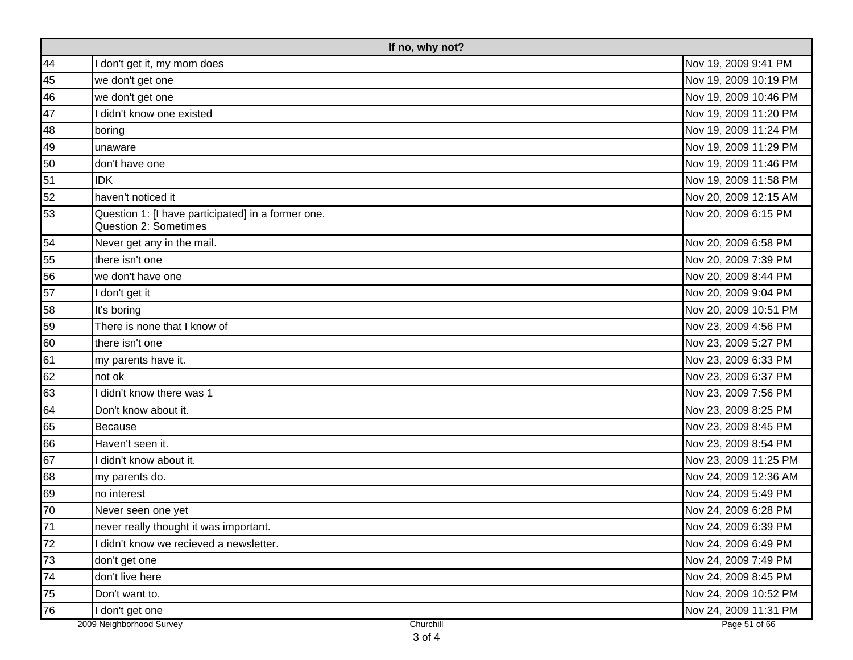|    | If no, why not?                                                                    |                       |  |
|----|------------------------------------------------------------------------------------|-----------------------|--|
| 44 | I don't get it, my mom does                                                        | Nov 19, 2009 9:41 PM  |  |
| 45 | we don't get one                                                                   | Nov 19, 2009 10:19 PM |  |
| 46 | we don't get one                                                                   | Nov 19, 2009 10:46 PM |  |
| 47 | I didn't know one existed                                                          | Nov 19, 2009 11:20 PM |  |
| 48 | boring                                                                             | Nov 19, 2009 11:24 PM |  |
| 49 | unaware                                                                            | Nov 19, 2009 11:29 PM |  |
| 50 | don't have one                                                                     | Nov 19, 2009 11:46 PM |  |
| 51 | <b>IDK</b>                                                                         | Nov 19, 2009 11:58 PM |  |
| 52 | haven't noticed it                                                                 | Nov 20, 2009 12:15 AM |  |
| 53 | Question 1: [I have participated] in a former one.<br><b>Question 2: Sometimes</b> | Nov 20, 2009 6:15 PM  |  |
| 54 | Never get any in the mail.                                                         | Nov 20, 2009 6:58 PM  |  |
| 55 | there isn't one                                                                    | Nov 20, 2009 7:39 PM  |  |
| 56 | we don't have one                                                                  | Nov 20, 2009 8:44 PM  |  |
| 57 | I don't get it                                                                     | Nov 20, 2009 9:04 PM  |  |
| 58 | It's boring                                                                        | Nov 20, 2009 10:51 PM |  |
| 59 | There is none that I know of                                                       | Nov 23, 2009 4:56 PM  |  |
| 60 | there isn't one                                                                    | Nov 23, 2009 5:27 PM  |  |
| 61 | my parents have it.                                                                | Nov 23, 2009 6:33 PM  |  |
| 62 | not ok                                                                             | Nov 23, 2009 6:37 PM  |  |
| 63 | I didn't know there was 1                                                          | Nov 23, 2009 7:56 PM  |  |
| 64 | Don't know about it.                                                               | Nov 23, 2009 8:25 PM  |  |
| 65 | Because                                                                            | Nov 23, 2009 8:45 PM  |  |
| 66 | Haven't seen it.                                                                   | Nov 23, 2009 8:54 PM  |  |
| 67 | I didn't know about it.                                                            | Nov 23, 2009 11:25 PM |  |
| 68 | my parents do.                                                                     | Nov 24, 2009 12:36 AM |  |
| 69 | no interest                                                                        | Nov 24, 2009 5:49 PM  |  |
| 70 | Never seen one yet                                                                 | Nov 24, 2009 6:28 PM  |  |
| 71 | never really thought it was important.                                             | Nov 24, 2009 6:39 PM  |  |
| 72 | I didn't know we recieved a newsletter.                                            | Nov 24, 2009 6:49 PM  |  |
| 73 | don't get one                                                                      | Nov 24, 2009 7:49 PM  |  |
| 74 | don't live here                                                                    | Nov 24, 2009 8:45 PM  |  |
| 75 | Don't want to.                                                                     | Nov 24, 2009 10:52 PM |  |
| 76 | I don't get one                                                                    | Nov 24, 2009 11:31 PM |  |
|    | 2009 Neighborhood Survey<br>Churchill                                              | Page 51 of 66         |  |

3 of 4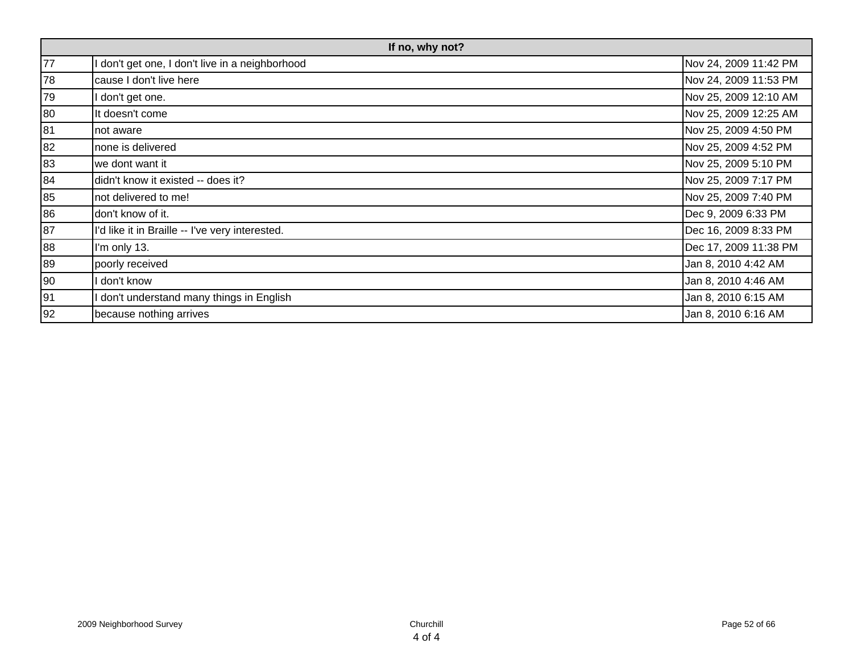| If no, why not? |                                                 |                       |
|-----------------|-------------------------------------------------|-----------------------|
| 77              | don't get one, I don't live in a neighborhood   | Nov 24, 2009 11:42 PM |
| 78              | cause I don't live here                         | Nov 24, 2009 11:53 PM |
| 79              | don't get one.                                  | Nov 25, 2009 12:10 AM |
| 80              | It doesn't come                                 | Nov 25, 2009 12:25 AM |
| 81              | not aware                                       | Nov 25, 2009 4:50 PM  |
| 82              | none is delivered                               | Nov 25, 2009 4:52 PM  |
| 83              | we dont want it                                 | Nov 25, 2009 5:10 PM  |
| 84              | didn't know it existed -- does it?              | Nov 25, 2009 7:17 PM  |
| 85              | not delivered to me!                            | Nov 25, 2009 7:40 PM  |
| 86              | don't know of it.                               | Dec 9, 2009 6:33 PM   |
| 87              | I'd like it in Braille -- I've very interested. | Dec 16, 2009 8:33 PM  |
| 88              | I'm only 13.                                    | Dec 17, 2009 11:38 PM |
| 89              | poorly received                                 | Jan 8, 2010 4:42 AM   |
| 90              | don't know                                      | Jan 8, 2010 4:46 AM   |
| 91              | I don't understand many things in English       | Jan 8, 2010 6:15 AM   |
| 92              | because nothing arrives                         | Jan 8, 2010 6:16 AM   |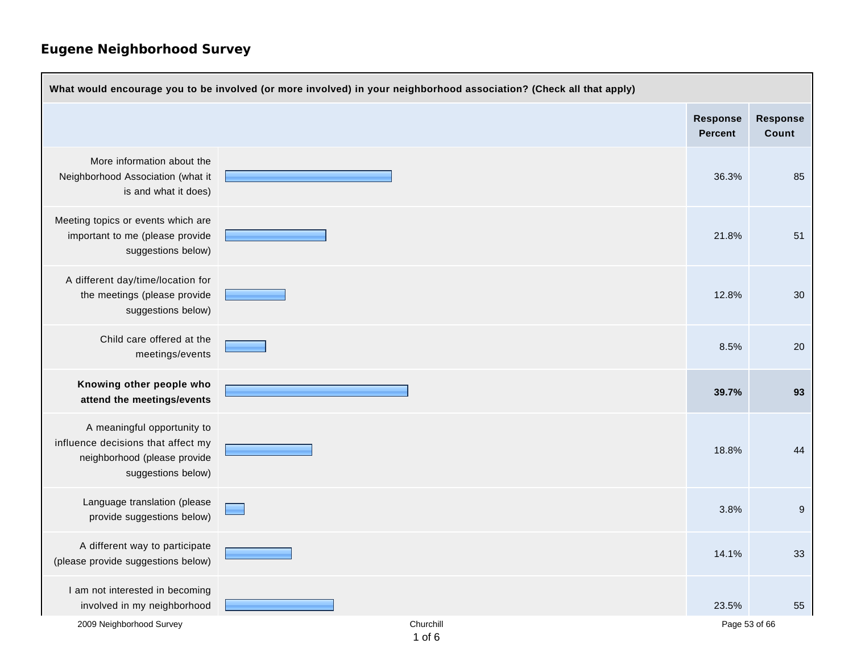| What would encourage you to be involved (or more involved) in your neighborhood association? (Check all that apply)     |                         |                                   |                          |  |
|-------------------------------------------------------------------------------------------------------------------------|-------------------------|-----------------------------------|--------------------------|--|
|                                                                                                                         |                         | <b>Response</b><br><b>Percent</b> | <b>Response</b><br>Count |  |
| More information about the<br>Neighborhood Association (what it<br>is and what it does)                                 |                         | 36.3%                             | 85                       |  |
| Meeting topics or events which are<br>important to me (please provide<br>suggestions below)                             |                         | 21.8%                             | 51                       |  |
| A different day/time/location for<br>the meetings (please provide<br>suggestions below)                                 |                         | 12.8%                             | 30 <sup>°</sup>          |  |
| Child care offered at the<br>meetings/events                                                                            |                         | 8.5%                              | 20                       |  |
| Knowing other people who<br>attend the meetings/events                                                                  |                         | 39.7%                             | 93                       |  |
| A meaningful opportunity to<br>influence decisions that affect my<br>neighborhood (please provide<br>suggestions below) |                         | 18.8%                             | 44                       |  |
| Language translation (please<br>provide suggestions below)                                                              |                         | 3.8%                              | 9                        |  |
| A different way to participate<br>(please provide suggestions below)                                                    |                         | 14.1%                             | 33                       |  |
| I am not interested in becoming<br>involved in my neighborhood                                                          |                         | 23.5%                             | 55                       |  |
| 2009 Neighborhood Survey                                                                                                | Churchill<br>$1$ of $6$ | Page 53 of 66                     |                          |  |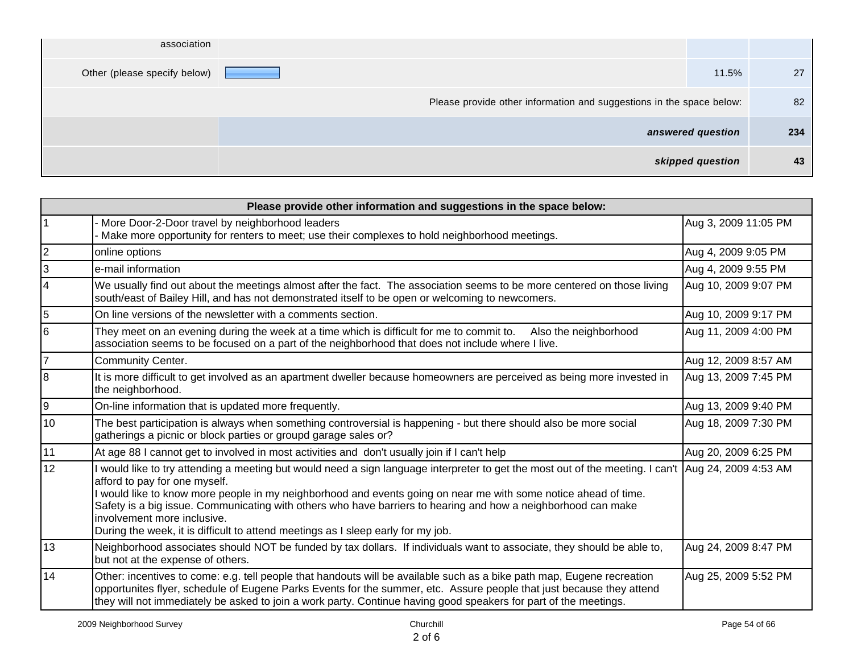|     |                   | association                                                          |
|-----|-------------------|----------------------------------------------------------------------|
| 27  | 11.5%             | Other (please specify below)                                         |
| 82  |                   | Please provide other information and suggestions in the space below: |
| 234 | answered question |                                                                      |
| 43  | skipped question  |                                                                      |

| Please provide other information and suggestions in the space below: |                                                                                                                                                                                                                                                                                                                                                                                                                                                                                                                                              |                      |  |
|----------------------------------------------------------------------|----------------------------------------------------------------------------------------------------------------------------------------------------------------------------------------------------------------------------------------------------------------------------------------------------------------------------------------------------------------------------------------------------------------------------------------------------------------------------------------------------------------------------------------------|----------------------|--|
|                                                                      | More Door-2-Door travel by neighborhood leaders<br>Make more opportunity for renters to meet; use their complexes to hold neighborhood meetings.                                                                                                                                                                                                                                                                                                                                                                                             | Aug 3, 2009 11:05 PM |  |
| 2                                                                    | online options                                                                                                                                                                                                                                                                                                                                                                                                                                                                                                                               | Aug 4, 2009 9:05 PM  |  |
| 3                                                                    | e-mail information                                                                                                                                                                                                                                                                                                                                                                                                                                                                                                                           | Aug 4, 2009 9:55 PM  |  |
| 4                                                                    | We usually find out about the meetings almost after the fact. The association seems to be more centered on those living<br>south/east of Bailey Hill, and has not demonstrated itself to be open or welcoming to newcomers.                                                                                                                                                                                                                                                                                                                  | Aug 10, 2009 9:07 PM |  |
| 5                                                                    | On line versions of the newsletter with a comments section.                                                                                                                                                                                                                                                                                                                                                                                                                                                                                  | Aug 10, 2009 9:17 PM |  |
| 6                                                                    | They meet on an evening during the week at a time which is difficult for me to commit to.<br>Also the neighborhood<br>association seems to be focused on a part of the neighborhood that does not include where I live.                                                                                                                                                                                                                                                                                                                      | Aug 11, 2009 4:00 PM |  |
| $\overline{7}$                                                       | <b>Community Center.</b>                                                                                                                                                                                                                                                                                                                                                                                                                                                                                                                     | Aug 12, 2009 8:57 AM |  |
| 8                                                                    | It is more difficult to get involved as an apartment dweller because homeowners are perceived as being more invested in<br>the neighborhood.                                                                                                                                                                                                                                                                                                                                                                                                 | Aug 13, 2009 7:45 PM |  |
| 9                                                                    | On-line information that is updated more frequently.                                                                                                                                                                                                                                                                                                                                                                                                                                                                                         | Aug 13, 2009 9:40 PM |  |
| 10                                                                   | The best participation is always when something controversial is happening - but there should also be more social<br>gatherings a picnic or block parties or groupd garage sales or?                                                                                                                                                                                                                                                                                                                                                         | Aug 18, 2009 7:30 PM |  |
| 11                                                                   | At age 88 I cannot get to involved in most activities and don't usually join if I can't help                                                                                                                                                                                                                                                                                                                                                                                                                                                 | Aug 20, 2009 6:25 PM |  |
| 12                                                                   | I would like to try attending a meeting but would need a sign language interpreter to get the most out of the meeting. I can't  Aug 24, 2009 4:53 AM<br>afford to pay for one myself.<br>I would like to know more people in my neighborhood and events going on near me with some notice ahead of time.<br>Safety is a big issue. Communicating with others who have barriers to hearing and how a neighborhood can make<br>involvement more inclusive.<br>During the week, it is difficult to attend meetings as I sleep early for my job. |                      |  |
| 13                                                                   | Neighborhood associates should NOT be funded by tax dollars. If individuals want to associate, they should be able to,<br>but not at the expense of others.                                                                                                                                                                                                                                                                                                                                                                                  | Aug 24, 2009 8:47 PM |  |
| 14                                                                   | Other: incentives to come: e.g. tell people that handouts will be available such as a bike path map, Eugene recreation<br>opportunites flyer, schedule of Eugene Parks Events for the summer, etc. Assure people that just because they attend<br>they will not immediately be asked to join a work party. Continue having good speakers for part of the meetings.                                                                                                                                                                           | Aug 25, 2009 5:52 PM |  |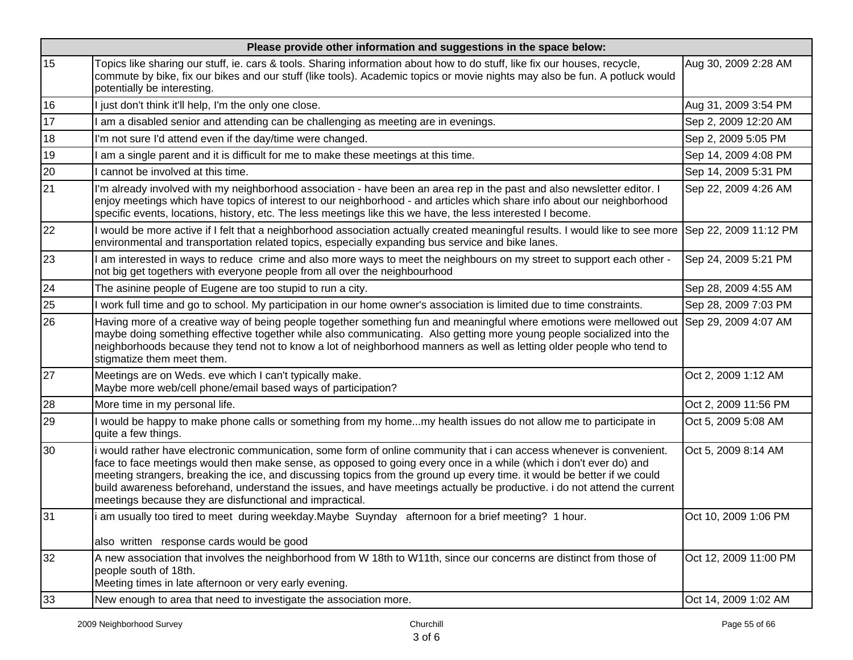|    | Please provide other information and suggestions in the space below:                                                                                                                                                                                                                                                                                                                                                                                                                                                                                            |                       |  |  |
|----|-----------------------------------------------------------------------------------------------------------------------------------------------------------------------------------------------------------------------------------------------------------------------------------------------------------------------------------------------------------------------------------------------------------------------------------------------------------------------------------------------------------------------------------------------------------------|-----------------------|--|--|
| 15 | Topics like sharing our stuff, ie. cars & tools. Sharing information about how to do stuff, like fix our houses, recycle,<br>commute by bike, fix our bikes and our stuff (like tools). Academic topics or movie nights may also be fun. A potluck would<br>potentially be interesting.                                                                                                                                                                                                                                                                         | Aug 30, 2009 2:28 AM  |  |  |
| 16 | I just don't think it'll help, I'm the only one close.                                                                                                                                                                                                                                                                                                                                                                                                                                                                                                          | Aug 31, 2009 3:54 PM  |  |  |
| 17 | am a disabled senior and attending can be challenging as meeting are in evenings.                                                                                                                                                                                                                                                                                                                                                                                                                                                                               | Sep 2, 2009 12:20 AM  |  |  |
| 18 | I'm not sure I'd attend even if the day/time were changed.                                                                                                                                                                                                                                                                                                                                                                                                                                                                                                      | Sep 2, 2009 5:05 PM   |  |  |
| 19 | am a single parent and it is difficult for me to make these meetings at this time.                                                                                                                                                                                                                                                                                                                                                                                                                                                                              | Sep 14, 2009 4:08 PM  |  |  |
| 20 | cannot be involved at this time.                                                                                                                                                                                                                                                                                                                                                                                                                                                                                                                                | Sep 14, 2009 5:31 PM  |  |  |
| 21 | I'm already involved with my neighborhood association - have been an area rep in the past and also newsletter editor. I<br>enjoy meetings which have topics of interest to our neighborhood - and articles which share info about our neighborhood<br>specific events, locations, history, etc. The less meetings like this we have, the less interested I become.                                                                                                                                                                                              | Sep 22, 2009 4:26 AM  |  |  |
| 22 | I would be more active if I felt that a neighborhood association actually created meaningful results. I would like to see more Sep 22, 2009 11:12 PM<br>environmental and transportation related topics, especially expanding bus service and bike lanes.                                                                                                                                                                                                                                                                                                       |                       |  |  |
| 23 | am interested in ways to reduce crime and also more ways to meet the neighbours on my street to support each other -<br>not big get togethers with everyone people from all over the neighbourhood                                                                                                                                                                                                                                                                                                                                                              | Sep 24, 2009 5:21 PM  |  |  |
| 24 | The asinine people of Eugene are too stupid to run a city.                                                                                                                                                                                                                                                                                                                                                                                                                                                                                                      | Sep 28, 2009 4:55 AM  |  |  |
| 25 | I work full time and go to school. My participation in our home owner's association is limited due to time constraints.                                                                                                                                                                                                                                                                                                                                                                                                                                         | Sep 28, 2009 7:03 PM  |  |  |
| 26 | Having more of a creative way of being people together something fun and meaningful where emotions were mellowed out Sep 29, 2009 4:07 AM<br>maybe doing something effective together while also communicating. Also getting more young people socialized into the<br>neighborhoods because they tend not to know a lot of neighborhood manners as well as letting older people who tend to<br>stigmatize them meet them.                                                                                                                                       |                       |  |  |
| 27 | Meetings are on Weds. eve which I can't typically make.<br>Maybe more web/cell phone/email based ways of participation?                                                                                                                                                                                                                                                                                                                                                                                                                                         | Oct 2, 2009 1:12 AM   |  |  |
| 28 | More time in my personal life.                                                                                                                                                                                                                                                                                                                                                                                                                                                                                                                                  | Oct 2, 2009 11:56 PM  |  |  |
| 29 | I would be happy to make phone calls or something from my homemy health issues do not allow me to participate in<br>quite a few things.                                                                                                                                                                                                                                                                                                                                                                                                                         | Oct 5, 2009 5:08 AM   |  |  |
| 30 | i would rather have electronic communication, some form of online community that i can access whenever is convenient.<br>face to face meetings would then make sense, as opposed to going every once in a while (which i don't ever do) and<br>meeting strangers, breaking the ice, and discussing topics from the ground up every time. it would be better if we could<br>build awareness beforehand, understand the issues, and have meetings actually be productive. i do not attend the current<br>meetings because they are disfunctional and impractical. | Oct 5, 2009 8:14 AM   |  |  |
| 31 | i am usually too tired to meet during weekday. Maybe Suynday afternoon for a brief meeting? 1 hour.<br>also written response cards would be good                                                                                                                                                                                                                                                                                                                                                                                                                | Oct 10, 2009 1:06 PM  |  |  |
| 32 | A new association that involves the neighborhood from W 18th to W11th, since our concerns are distinct from those of<br>people south of 18th.<br>Meeting times in late afternoon or very early evening.                                                                                                                                                                                                                                                                                                                                                         | Oct 12, 2009 11:00 PM |  |  |
| 33 | New enough to area that need to investigate the association more.                                                                                                                                                                                                                                                                                                                                                                                                                                                                                               | Oct 14, 2009 1:02 AM  |  |  |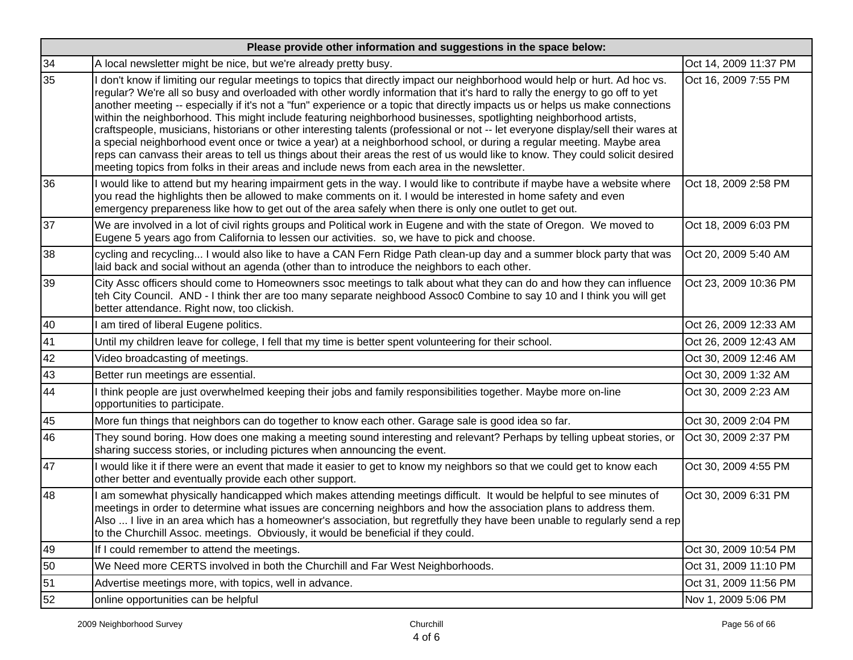| Please provide other information and suggestions in the space below: |                                                                                                                                                                                                                                                                                                                                                                                                                                                                                                                                                                                                                                                                                                                                                                                                                                                                                                                                                                                                               |                       |  |
|----------------------------------------------------------------------|---------------------------------------------------------------------------------------------------------------------------------------------------------------------------------------------------------------------------------------------------------------------------------------------------------------------------------------------------------------------------------------------------------------------------------------------------------------------------------------------------------------------------------------------------------------------------------------------------------------------------------------------------------------------------------------------------------------------------------------------------------------------------------------------------------------------------------------------------------------------------------------------------------------------------------------------------------------------------------------------------------------|-----------------------|--|
| 34                                                                   | A local newsletter might be nice, but we're already pretty busy.                                                                                                                                                                                                                                                                                                                                                                                                                                                                                                                                                                                                                                                                                                                                                                                                                                                                                                                                              | Oct 14, 2009 11:37 PM |  |
| 35                                                                   | don't know if limiting our regular meetings to topics that directly impact our neighborhood would help or hurt. Ad hoc vs.<br>regular? We're all so busy and overloaded with other wordly information that it's hard to rally the energy to go off to yet<br>another meeting -- especially if it's not a "fun" experience or a topic that directly impacts us or helps us make connections<br>within the neighborhood. This might include featuring neighborhood businesses, spotlighting neighborhood artists,<br>craftspeople, musicians, historians or other interesting talents (professional or not -- let everyone display/sell their wares at<br>a special neighborhood event once or twice a year) at a neighborhood school, or during a regular meeting. Maybe area<br>reps can canvass their areas to tell us things about their areas the rest of us would like to know. They could solicit desired<br>meeting topics from folks in their areas and include news from each area in the newsletter. | Oct 16, 2009 7:55 PM  |  |
| 36                                                                   | I would like to attend but my hearing impairment gets in the way. I would like to contribute if maybe have a website where<br>you read the highlights then be allowed to make comments on it. I would be interested in home safety and even<br>emergency prepareness like how to get out of the area safely when there is only one outlet to get out.                                                                                                                                                                                                                                                                                                                                                                                                                                                                                                                                                                                                                                                         | Oct 18, 2009 2:58 PM  |  |
| 37                                                                   | We are involved in a lot of civil rights groups and Political work in Eugene and with the state of Oregon. We moved to<br>Eugene 5 years ago from California to lessen our activities. so, we have to pick and choose.                                                                                                                                                                                                                                                                                                                                                                                                                                                                                                                                                                                                                                                                                                                                                                                        | Oct 18, 2009 6:03 PM  |  |
| 38                                                                   | cycling and recycling I would also like to have a CAN Fern Ridge Path clean-up day and a summer block party that was<br>laid back and social without an agenda (other than to introduce the neighbors to each other.                                                                                                                                                                                                                                                                                                                                                                                                                                                                                                                                                                                                                                                                                                                                                                                          | Oct 20, 2009 5:40 AM  |  |
| 39                                                                   | City Assc officers should come to Homeowners ssoc meetings to talk about what they can do and how they can influence<br>teh City Council. AND - I think ther are too many separate neighbood Assoc0 Combine to say 10 and I think you will get<br>better attendance. Right now, too clickish.                                                                                                                                                                                                                                                                                                                                                                                                                                                                                                                                                                                                                                                                                                                 | Oct 23, 2009 10:36 PM |  |
| 40                                                                   | am tired of liberal Eugene politics.                                                                                                                                                                                                                                                                                                                                                                                                                                                                                                                                                                                                                                                                                                                                                                                                                                                                                                                                                                          | Oct 26, 2009 12:33 AM |  |
| 41                                                                   | Until my children leave for college, I fell that my time is better spent volunteering for their school.                                                                                                                                                                                                                                                                                                                                                                                                                                                                                                                                                                                                                                                                                                                                                                                                                                                                                                       | Oct 26, 2009 12:43 AM |  |
| 42                                                                   | Video broadcasting of meetings.                                                                                                                                                                                                                                                                                                                                                                                                                                                                                                                                                                                                                                                                                                                                                                                                                                                                                                                                                                               | Oct 30, 2009 12:46 AM |  |
| 43                                                                   | Better run meetings are essential.                                                                                                                                                                                                                                                                                                                                                                                                                                                                                                                                                                                                                                                                                                                                                                                                                                                                                                                                                                            | Oct 30, 2009 1:32 AM  |  |
| 44                                                                   | I think people are just overwhelmed keeping their jobs and family responsibilities together. Maybe more on-line<br>opportunities to participate.                                                                                                                                                                                                                                                                                                                                                                                                                                                                                                                                                                                                                                                                                                                                                                                                                                                              | Oct 30, 2009 2:23 AM  |  |
| 45                                                                   | More fun things that neighbors can do together to know each other. Garage sale is good idea so far.                                                                                                                                                                                                                                                                                                                                                                                                                                                                                                                                                                                                                                                                                                                                                                                                                                                                                                           | Oct 30, 2009 2:04 PM  |  |
| 46                                                                   | They sound boring. How does one making a meeting sound interesting and relevant? Perhaps by telling upbeat stories, or<br>sharing success stories, or including pictures when announcing the event.                                                                                                                                                                                                                                                                                                                                                                                                                                                                                                                                                                                                                                                                                                                                                                                                           | Oct 30, 2009 2:37 PM  |  |
| 47                                                                   | I would like it if there were an event that made it easier to get to know my neighbors so that we could get to know each<br>other better and eventually provide each other support.                                                                                                                                                                                                                                                                                                                                                                                                                                                                                                                                                                                                                                                                                                                                                                                                                           | Oct 30, 2009 4:55 PM  |  |
| 48                                                                   | am somewhat physically handicapped which makes attending meetings difficult. It would be helpful to see minutes of<br>meetings in order to determine what issues are concerning neighbors and how the association plans to address them.<br>Also  I live in an area which has a homeowner's association, but regretfully they have been unable to regularly send a rep<br>to the Churchill Assoc. meetings. Obviously, it would be beneficial if they could.                                                                                                                                                                                                                                                                                                                                                                                                                                                                                                                                                  | Oct 30, 2009 6:31 PM  |  |
| 49                                                                   | If I could remember to attend the meetings.                                                                                                                                                                                                                                                                                                                                                                                                                                                                                                                                                                                                                                                                                                                                                                                                                                                                                                                                                                   | Oct 30, 2009 10:54 PM |  |
| 50                                                                   | We Need more CERTS involved in both the Churchill and Far West Neighborhoods.                                                                                                                                                                                                                                                                                                                                                                                                                                                                                                                                                                                                                                                                                                                                                                                                                                                                                                                                 | Oct 31, 2009 11:10 PM |  |
| 51                                                                   | Advertise meetings more, with topics, well in advance.                                                                                                                                                                                                                                                                                                                                                                                                                                                                                                                                                                                                                                                                                                                                                                                                                                                                                                                                                        | Oct 31, 2009 11:56 PM |  |
| 52                                                                   | online opportunities can be helpful                                                                                                                                                                                                                                                                                                                                                                                                                                                                                                                                                                                                                                                                                                                                                                                                                                                                                                                                                                           | Nov 1, 2009 5:06 PM   |  |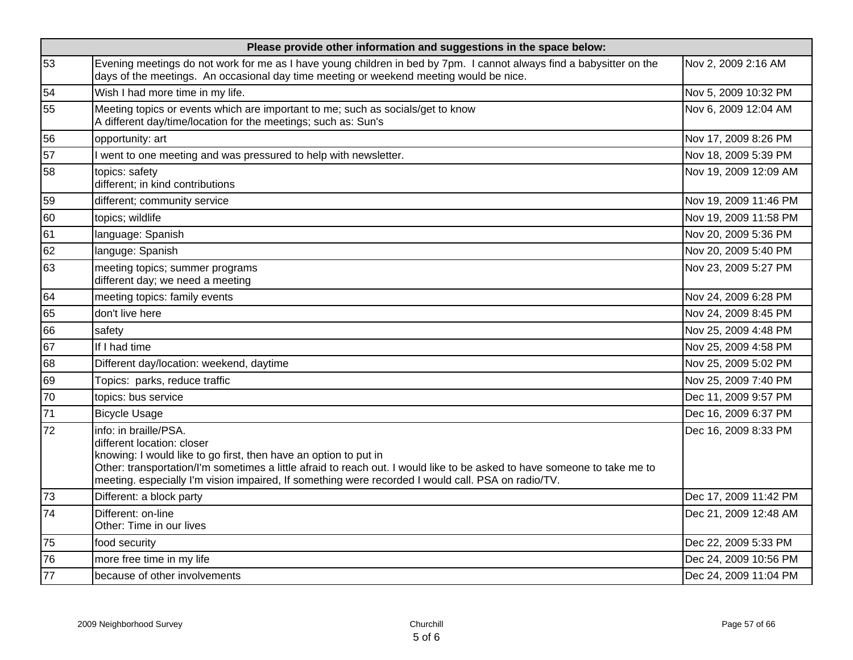| Please provide other information and suggestions in the space below: |                                                                                                                                                                                                                                                                                                                                                           |                       |  |
|----------------------------------------------------------------------|-----------------------------------------------------------------------------------------------------------------------------------------------------------------------------------------------------------------------------------------------------------------------------------------------------------------------------------------------------------|-----------------------|--|
| 53                                                                   | Evening meetings do not work for me as I have young children in bed by 7pm. I cannot always find a babysitter on the<br>days of the meetings. An occasional day time meeting or weekend meeting would be nice.                                                                                                                                            | Nov 2, 2009 2:16 AM   |  |
| 54                                                                   | Wish I had more time in my life.                                                                                                                                                                                                                                                                                                                          | Nov 5, 2009 10:32 PM  |  |
| 55                                                                   | Meeting topics or events which are important to me; such as socials/get to know<br>A different day/time/location for the meetings; such as: Sun's                                                                                                                                                                                                         | Nov 6, 2009 12:04 AM  |  |
| 56                                                                   | opportunity: art                                                                                                                                                                                                                                                                                                                                          | Nov 17, 2009 8:26 PM  |  |
| 57                                                                   | I went to one meeting and was pressured to help with newsletter.                                                                                                                                                                                                                                                                                          | Nov 18, 2009 5:39 PM  |  |
| 58                                                                   | topics: safety<br>different; in kind contributions                                                                                                                                                                                                                                                                                                        | Nov 19, 2009 12:09 AM |  |
| 59                                                                   | different; community service                                                                                                                                                                                                                                                                                                                              | Nov 19, 2009 11:46 PM |  |
| 60                                                                   | topics; wildlife                                                                                                                                                                                                                                                                                                                                          | Nov 19, 2009 11:58 PM |  |
| 61                                                                   | language: Spanish                                                                                                                                                                                                                                                                                                                                         | Nov 20, 2009 5:36 PM  |  |
| 62                                                                   | languge: Spanish                                                                                                                                                                                                                                                                                                                                          | Nov 20, 2009 5:40 PM  |  |
| 63                                                                   | meeting topics; summer programs<br>different day; we need a meeting                                                                                                                                                                                                                                                                                       | Nov 23, 2009 5:27 PM  |  |
| 64                                                                   | meeting topics: family events                                                                                                                                                                                                                                                                                                                             | Nov 24, 2009 6:28 PM  |  |
| 65                                                                   | don't live here                                                                                                                                                                                                                                                                                                                                           | Nov 24, 2009 8:45 PM  |  |
| 66                                                                   | safety                                                                                                                                                                                                                                                                                                                                                    | Nov 25, 2009 4:48 PM  |  |
| 67                                                                   | If I had time                                                                                                                                                                                                                                                                                                                                             | Nov 25, 2009 4:58 PM  |  |
| 68                                                                   | Different day/location: weekend, daytime                                                                                                                                                                                                                                                                                                                  | Nov 25, 2009 5:02 PM  |  |
| 69                                                                   | Topics: parks, reduce traffic                                                                                                                                                                                                                                                                                                                             | Nov 25, 2009 7:40 PM  |  |
| 70                                                                   | topics: bus service                                                                                                                                                                                                                                                                                                                                       | Dec 11, 2009 9:57 PM  |  |
| 71                                                                   | <b>Bicycle Usage</b>                                                                                                                                                                                                                                                                                                                                      | Dec 16, 2009 6:37 PM  |  |
| 72                                                                   | info: in braille/PSA.<br>different location: closer<br>knowing: I would like to go first, then have an option to put in<br>Other: transportation/I'm sometimes a little afraid to reach out. I would like to be asked to have someone to take me to<br>meeting. especially I'm vision impaired, If something were recorded I would call. PSA on radio/TV. | Dec 16, 2009 8:33 PM  |  |
| 73                                                                   | Different: a block party                                                                                                                                                                                                                                                                                                                                  | Dec 17, 2009 11:42 PM |  |
| 74                                                                   | Different: on-line<br>Other: Time in our lives                                                                                                                                                                                                                                                                                                            | Dec 21, 2009 12:48 AM |  |
| 75                                                                   | food security                                                                                                                                                                                                                                                                                                                                             | Dec 22, 2009 5:33 PM  |  |
| 76                                                                   | more free time in my life                                                                                                                                                                                                                                                                                                                                 | Dec 24, 2009 10:56 PM |  |
| 77                                                                   | because of other involvements                                                                                                                                                                                                                                                                                                                             | Dec 24, 2009 11:04 PM |  |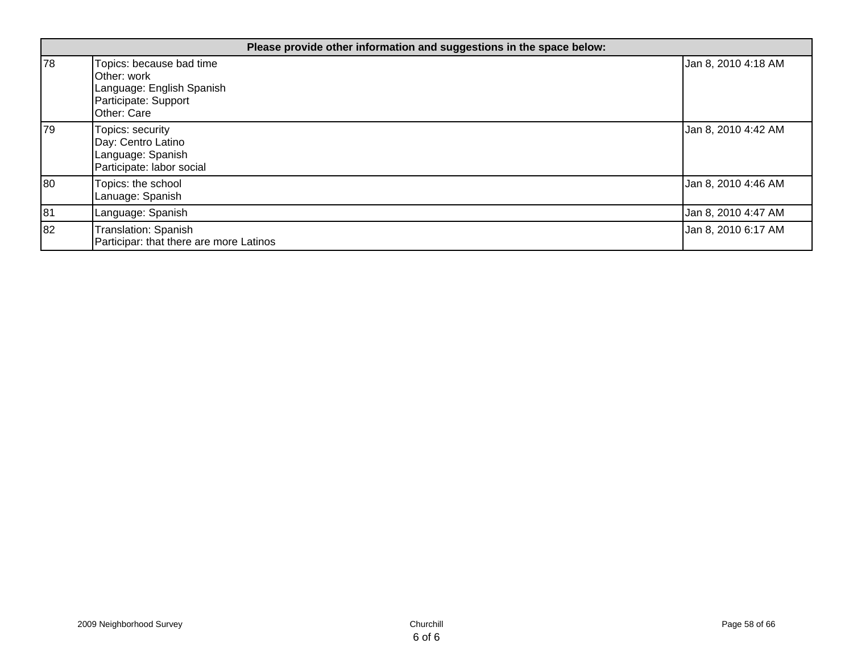|    | Please provide other information and suggestions in the space below:                                        |                     |  |
|----|-------------------------------------------------------------------------------------------------------------|---------------------|--|
| 78 | Topics: because bad time<br>Other: work<br>Language: English Spanish<br>Participate: Support<br>Other: Care | Jan 8, 2010 4:18 AM |  |
| 79 | Topics: security<br>Day: Centro Latino<br>Language: Spanish<br>Participate: labor social                    | Jan 8, 2010 4:42 AM |  |
| 80 | Topics: the school<br>Lanuage: Spanish                                                                      | Jan 8, 2010 4:46 AM |  |
| 81 | Language: Spanish                                                                                           | Jan 8, 2010 4:47 AM |  |
| 82 | Translation: Spanish<br>Participar: that there are more Latinos                                             | Jan 8, 2010 6:17 AM |  |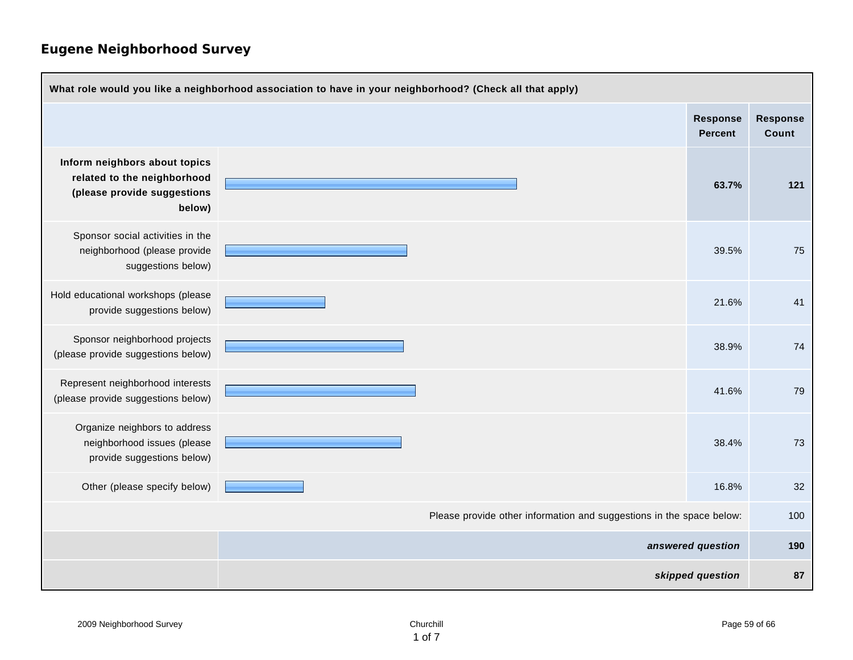| What role would you like a neighborhood association to have in your neighborhood? (Check all that apply) |                   |  |                                   |                          |
|----------------------------------------------------------------------------------------------------------|-------------------|--|-----------------------------------|--------------------------|
|                                                                                                          |                   |  | <b>Response</b><br><b>Percent</b> | <b>Response</b><br>Count |
| Inform neighbors about topics<br>related to the neighborhood<br>(please provide suggestions<br>below)    |                   |  | 63.7%                             | 121                      |
| Sponsor social activities in the<br>neighborhood (please provide<br>suggestions below)                   |                   |  | 39.5%                             | 75                       |
| Hold educational workshops (please<br>provide suggestions below)                                         |                   |  | 21.6%                             | 41                       |
| Sponsor neighborhood projects<br>(please provide suggestions below)                                      |                   |  | 38.9%                             | 74                       |
| Represent neighborhood interests<br>(please provide suggestions below)                                   |                   |  | 41.6%                             | 79                       |
| Organize neighbors to address<br>neighborhood issues (please<br>provide suggestions below)               |                   |  | 38.4%                             | 73                       |
| Other (please specify below)                                                                             |                   |  | 16.8%                             | 32                       |
| Please provide other information and suggestions in the space below:                                     |                   |  | 100                               |                          |
|                                                                                                          | answered question |  | 190                               |                          |
| skipped question                                                                                         |                   |  | 87                                |                          |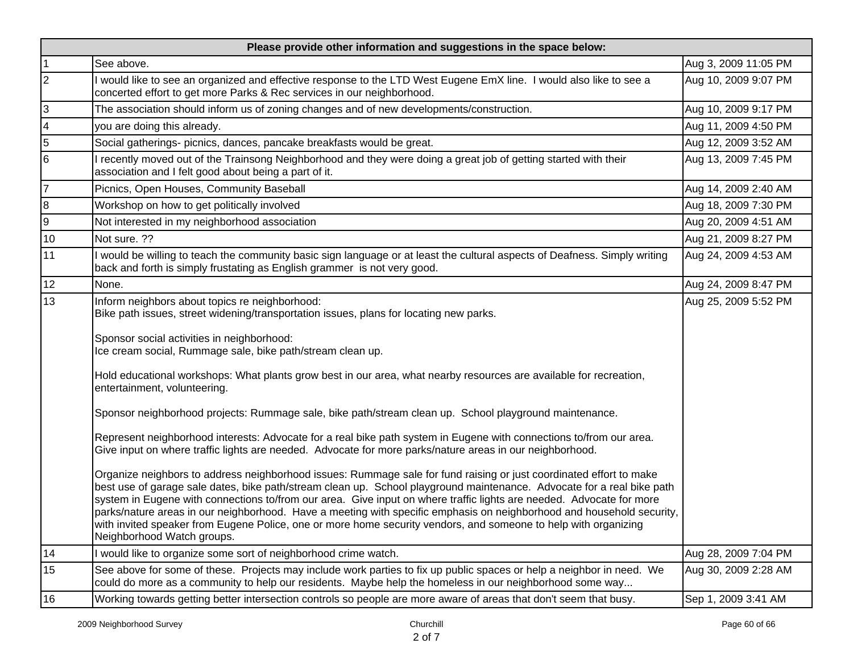| Please provide other information and suggestions in the space below: |                                                                                                                                                                                                                                                                                                                                                                                                                                                                                                                                                                                                                                                 |                      |  |
|----------------------------------------------------------------------|-------------------------------------------------------------------------------------------------------------------------------------------------------------------------------------------------------------------------------------------------------------------------------------------------------------------------------------------------------------------------------------------------------------------------------------------------------------------------------------------------------------------------------------------------------------------------------------------------------------------------------------------------|----------------------|--|
| 1                                                                    | See above.                                                                                                                                                                                                                                                                                                                                                                                                                                                                                                                                                                                                                                      | Aug 3, 2009 11:05 PM |  |
| 2                                                                    | would like to see an organized and effective response to the LTD West Eugene EmX line. I would also like to see a<br>concerted effort to get more Parks & Rec services in our neighborhood.                                                                                                                                                                                                                                                                                                                                                                                                                                                     | Aug 10, 2009 9:07 PM |  |
| $\overline{3}$                                                       | The association should inform us of zoning changes and of new developments/construction.                                                                                                                                                                                                                                                                                                                                                                                                                                                                                                                                                        | Aug 10, 2009 9:17 PM |  |
| $\overline{4}$                                                       | you are doing this already.                                                                                                                                                                                                                                                                                                                                                                                                                                                                                                                                                                                                                     | Aug 11, 2009 4:50 PM |  |
| $\overline{5}$                                                       | Social gatherings- picnics, dances, pancake breakfasts would be great.                                                                                                                                                                                                                                                                                                                                                                                                                                                                                                                                                                          | Aug 12, 2009 3:52 AM |  |
| 6                                                                    | recently moved out of the Trainsong Neighborhood and they were doing a great job of getting started with their<br>association and I felt good about being a part of it.                                                                                                                                                                                                                                                                                                                                                                                                                                                                         | Aug 13, 2009 7:45 PM |  |
| 17                                                                   | Picnics, Open Houses, Community Baseball                                                                                                                                                                                                                                                                                                                                                                                                                                                                                                                                                                                                        | Aug 14, 2009 2:40 AM |  |
| 8                                                                    | Workshop on how to get politically involved                                                                                                                                                                                                                                                                                                                                                                                                                                                                                                                                                                                                     | Aug 18, 2009 7:30 PM |  |
| 9                                                                    | Not interested in my neighborhood association                                                                                                                                                                                                                                                                                                                                                                                                                                                                                                                                                                                                   | Aug 20, 2009 4:51 AM |  |
| $10$                                                                 | Not sure. ??                                                                                                                                                                                                                                                                                                                                                                                                                                                                                                                                                                                                                                    | Aug 21, 2009 8:27 PM |  |
| 11                                                                   | I would be willing to teach the community basic sign language or at least the cultural aspects of Deafness. Simply writing<br>back and forth is simply frustating as English grammer is not very good.                                                                                                                                                                                                                                                                                                                                                                                                                                          | Aug 24, 2009 4:53 AM |  |
| 12                                                                   | None.                                                                                                                                                                                                                                                                                                                                                                                                                                                                                                                                                                                                                                           | Aug 24, 2009 8:47 PM |  |
| 13                                                                   | Inform neighbors about topics re neighborhood:<br>Bike path issues, street widening/transportation issues, plans for locating new parks.                                                                                                                                                                                                                                                                                                                                                                                                                                                                                                        | Aug 25, 2009 5:52 PM |  |
|                                                                      | Sponsor social activities in neighborhood:<br>Ice cream social, Rummage sale, bike path/stream clean up.                                                                                                                                                                                                                                                                                                                                                                                                                                                                                                                                        |                      |  |
|                                                                      | Hold educational workshops: What plants grow best in our area, what nearby resources are available for recreation,<br>entertainment, volunteering.                                                                                                                                                                                                                                                                                                                                                                                                                                                                                              |                      |  |
|                                                                      | Sponsor neighborhood projects: Rummage sale, bike path/stream clean up. School playground maintenance.                                                                                                                                                                                                                                                                                                                                                                                                                                                                                                                                          |                      |  |
|                                                                      | Represent neighborhood interests: Advocate for a real bike path system in Eugene with connections to/from our area.<br>Give input on where traffic lights are needed. Advocate for more parks/nature areas in our neighborhood.                                                                                                                                                                                                                                                                                                                                                                                                                 |                      |  |
|                                                                      | Organize neighbors to address neighborhood issues: Rummage sale for fund raising or just coordinated effort to make<br>best use of garage sale dates, bike path/stream clean up. School playground maintenance. Advocate for a real bike path<br>system in Eugene with connections to/from our area. Give input on where traffic lights are needed. Advocate for more<br>parks/nature areas in our neighborhood. Have a meeting with specific emphasis on neighborhood and household security,<br>with invited speaker from Eugene Police, one or more home security vendors, and someone to help with organizing<br>Neighborhood Watch groups. |                      |  |
| 14                                                                   | I would like to organize some sort of neighborhood crime watch.                                                                                                                                                                                                                                                                                                                                                                                                                                                                                                                                                                                 | Aug 28, 2009 7:04 PM |  |
| 15                                                                   | See above for some of these. Projects may include work parties to fix up public spaces or help a neighbor in need. We<br>could do more as a community to help our residents. Maybe help the homeless in our neighborhood some way                                                                                                                                                                                                                                                                                                                                                                                                               | Aug 30, 2009 2:28 AM |  |
| 16                                                                   | Working towards getting better intersection controls so people are more aware of areas that don't seem that busy.                                                                                                                                                                                                                                                                                                                                                                                                                                                                                                                               | Sep 1, 2009 3:41 AM  |  |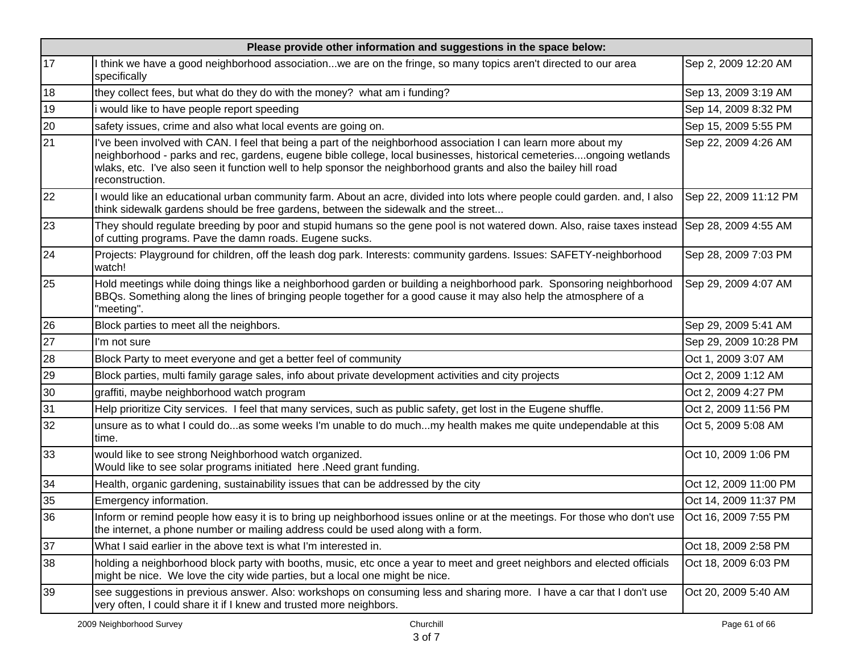| Please provide other information and suggestions in the space below: |                                                                                                                                                                                                                                                                                                                                                                                 |                       |  |
|----------------------------------------------------------------------|---------------------------------------------------------------------------------------------------------------------------------------------------------------------------------------------------------------------------------------------------------------------------------------------------------------------------------------------------------------------------------|-----------------------|--|
| 17                                                                   | think we have a good neighborhood associationwe are on the fringe, so many topics aren't directed to our area<br>specifically                                                                                                                                                                                                                                                   | Sep 2, 2009 12:20 AM  |  |
| 18                                                                   | they collect fees, but what do they do with the money? what am i funding?                                                                                                                                                                                                                                                                                                       | Sep 13, 2009 3:19 AM  |  |
| 19                                                                   | would like to have people report speeding                                                                                                                                                                                                                                                                                                                                       | Sep 14, 2009 8:32 PM  |  |
| 20                                                                   | safety issues, crime and also what local events are going on.                                                                                                                                                                                                                                                                                                                   | Sep 15, 2009 5:55 PM  |  |
| 21                                                                   | I've been involved with CAN. I feel that being a part of the neighborhood association I can learn more about my<br>neighborhood - parks and rec, gardens, eugene bible college, local businesses, historical cemeteriesongoing wetlands<br>wlaks, etc. I've also seen it function well to help sponsor the neighborhood grants and also the bailey hill road<br>reconstruction. | Sep 22, 2009 4:26 AM  |  |
| 22                                                                   | would like an educational urban community farm. About an acre, divided into lots where people could garden. and, I also<br>think sidewalk gardens should be free gardens, between the sidewalk and the street                                                                                                                                                                   | Sep 22, 2009 11:12 PM |  |
| 23                                                                   | They should regulate breeding by poor and stupid humans so the gene pool is not watered down. Also, raise taxes instead Sep 28, 2009 4:55 AM<br>of cutting programs. Pave the damn roads. Eugene sucks.                                                                                                                                                                         |                       |  |
| 24                                                                   | Projects: Playground for children, off the leash dog park. Interests: community gardens. Issues: SAFETY-neighborhood<br>watch!                                                                                                                                                                                                                                                  | Sep 28, 2009 7:03 PM  |  |
| 25                                                                   | Hold meetings while doing things like a neighborhood garden or building a neighborhood park. Sponsoring neighborhood<br>BBQs. Something along the lines of bringing people together for a good cause it may also help the atmosphere of a<br>"meeting".                                                                                                                         | Sep 29, 2009 4:07 AM  |  |
| 26                                                                   | Block parties to meet all the neighbors.                                                                                                                                                                                                                                                                                                                                        | Sep 29, 2009 5:41 AM  |  |
| 27                                                                   | I'm not sure                                                                                                                                                                                                                                                                                                                                                                    | Sep 29, 2009 10:28 PM |  |
| 28                                                                   | Block Party to meet everyone and get a better feel of community                                                                                                                                                                                                                                                                                                                 | Oct 1, 2009 3:07 AM   |  |
| 29                                                                   | Block parties, multi family garage sales, info about private development activities and city projects                                                                                                                                                                                                                                                                           | Oct 2, 2009 1:12 AM   |  |
| 30                                                                   | graffiti, maybe neighborhood watch program                                                                                                                                                                                                                                                                                                                                      | Oct 2, 2009 4:27 PM   |  |
| 31                                                                   | Help prioritize City services. I feel that many services, such as public safety, get lost in the Eugene shuffle.                                                                                                                                                                                                                                                                | Oct 2, 2009 11:56 PM  |  |
| 32                                                                   | unsure as to what I could doas some weeks I'm unable to do muchmy health makes me quite undependable at this<br>time.                                                                                                                                                                                                                                                           | Oct 5, 2009 5:08 AM   |  |
| 33                                                                   | would like to see strong Neighborhood watch organized.<br>Would like to see solar programs initiated here .Need grant funding.                                                                                                                                                                                                                                                  | Oct 10, 2009 1:06 PM  |  |
| 34                                                                   | Health, organic gardening, sustainability issues that can be addressed by the city                                                                                                                                                                                                                                                                                              | Oct 12, 2009 11:00 PM |  |
| 35                                                                   | Emergency information.                                                                                                                                                                                                                                                                                                                                                          | Oct 14, 2009 11:37 PM |  |
| 36                                                                   | Inform or remind people how easy it is to bring up neighborhood issues online or at the meetings. For those who don't use  Oct 16, 2009 7:55 PM<br>the internet, a phone number or mailing address could be used along with a form.                                                                                                                                             |                       |  |
| 37                                                                   | What I said earlier in the above text is what I'm interested in.                                                                                                                                                                                                                                                                                                                | Oct 18, 2009 2:58 PM  |  |
| 38                                                                   | holding a neighborhood block party with booths, music, etc once a year to meet and greet neighbors and elected officials<br>might be nice. We love the city wide parties, but a local one might be nice.                                                                                                                                                                        | Oct 18, 2009 6:03 PM  |  |
| 39                                                                   | see suggestions in previous answer. Also: workshops on consuming less and sharing more. I have a car that I don't use<br>very often, I could share it if I knew and trusted more neighbors.                                                                                                                                                                                     | Oct 20, 2009 5:40 AM  |  |
|                                                                      | 2009 Neighborhood Survey<br>Churchill                                                                                                                                                                                                                                                                                                                                           | Page 61 of 66         |  |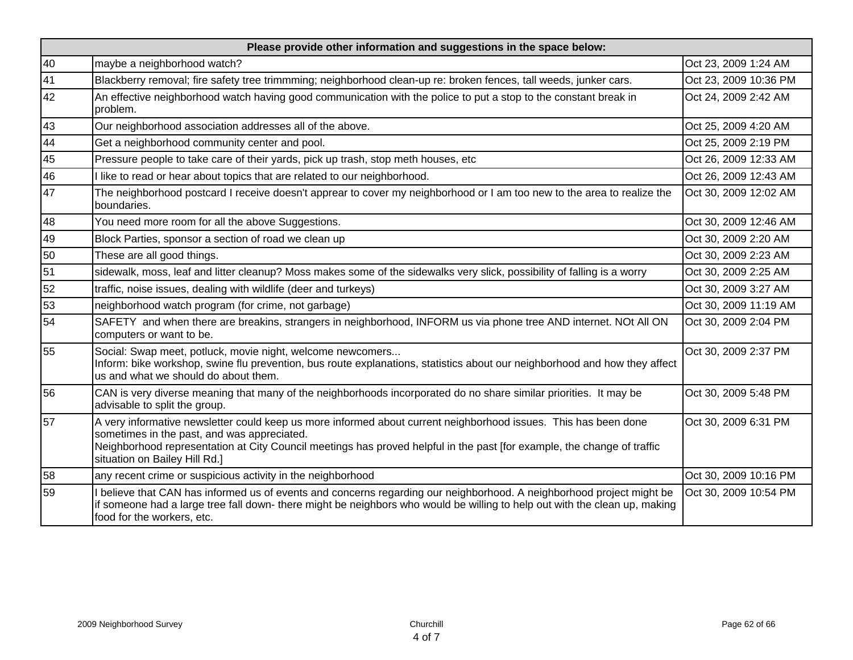| Please provide other information and suggestions in the space below: |                                                                                                                                                                                                                                                                                                                            |                       |  |
|----------------------------------------------------------------------|----------------------------------------------------------------------------------------------------------------------------------------------------------------------------------------------------------------------------------------------------------------------------------------------------------------------------|-----------------------|--|
| 40                                                                   | maybe a neighborhood watch?                                                                                                                                                                                                                                                                                                | Oct 23, 2009 1:24 AM  |  |
| 41                                                                   | Blackberry removal; fire safety tree trimmming; neighborhood clean-up re: broken fences, tall weeds, junker cars.                                                                                                                                                                                                          | Oct 23, 2009 10:36 PM |  |
| 42                                                                   | An effective neighborhood watch having good communication with the police to put a stop to the constant break in<br>problem.                                                                                                                                                                                               | Oct 24, 2009 2:42 AM  |  |
| 43                                                                   | Our neighborhood association addresses all of the above.                                                                                                                                                                                                                                                                   | Oct 25, 2009 4:20 AM  |  |
| 44                                                                   | Get a neighborhood community center and pool.                                                                                                                                                                                                                                                                              | Oct 25, 2009 2:19 PM  |  |
| 45                                                                   | Pressure people to take care of their yards, pick up trash, stop meth houses, etc                                                                                                                                                                                                                                          | Oct 26, 2009 12:33 AM |  |
| 46                                                                   | I like to read or hear about topics that are related to our neighborhood.                                                                                                                                                                                                                                                  | Oct 26, 2009 12:43 AM |  |
| 47                                                                   | The neighborhood postcard I receive doesn't apprear to cover my neighborhood or I am too new to the area to realize the<br>boundaries.                                                                                                                                                                                     | Oct 30, 2009 12:02 AM |  |
| 48                                                                   | You need more room for all the above Suggestions.                                                                                                                                                                                                                                                                          | Oct 30, 2009 12:46 AM |  |
| 49                                                                   | Block Parties, sponsor a section of road we clean up                                                                                                                                                                                                                                                                       | Oct 30, 2009 2:20 AM  |  |
| 50                                                                   | These are all good things.                                                                                                                                                                                                                                                                                                 | Oct 30, 2009 2:23 AM  |  |
| 51                                                                   | sidewalk, moss, leaf and litter cleanup? Moss makes some of the sidewalks very slick, possibility of falling is a worry                                                                                                                                                                                                    | Oct 30, 2009 2:25 AM  |  |
| 52                                                                   | traffic, noise issues, dealing with wildlife (deer and turkeys)                                                                                                                                                                                                                                                            | Oct 30, 2009 3:27 AM  |  |
| 53                                                                   | neighborhood watch program (for crime, not garbage)                                                                                                                                                                                                                                                                        | Oct 30, 2009 11:19 AM |  |
| 54                                                                   | SAFETY and when there are breakins, strangers in neighborhood, INFORM us via phone tree AND internet. NOt All ON<br>computers or want to be.                                                                                                                                                                               | Oct 30, 2009 2:04 PM  |  |
| 55                                                                   | Social: Swap meet, potluck, movie night, welcome newcomers<br>Inform: bike workshop, swine flu prevention, bus route explanations, statistics about our neighborhood and how they affect<br>us and what we should do about them.                                                                                           | Oct 30, 2009 2:37 PM  |  |
| 56                                                                   | CAN is very diverse meaning that many of the neighborhoods incorporated do no share similar priorities. It may be<br>advisable to split the group.                                                                                                                                                                         | Oct 30, 2009 5:48 PM  |  |
| 57                                                                   | A very informative newsletter could keep us more informed about current neighborhood issues. This has been done<br>sometimes in the past, and was appreciated.<br>Neighborhood representation at City Council meetings has proved helpful in the past [for example, the change of traffic<br>situation on Bailey Hill Rd.] | Oct 30, 2009 6:31 PM  |  |
| 58                                                                   | any recent crime or suspicious activity in the neighborhood                                                                                                                                                                                                                                                                | Oct 30, 2009 10:16 PM |  |
| 59                                                                   | I believe that CAN has informed us of events and concerns regarding our neighborhood. A neighborhood project might be<br>if someone had a large tree fall down- there might be neighbors who would be willing to help out with the clean up, making<br>food for the workers, etc.                                          | Oct 30, 2009 10:54 PM |  |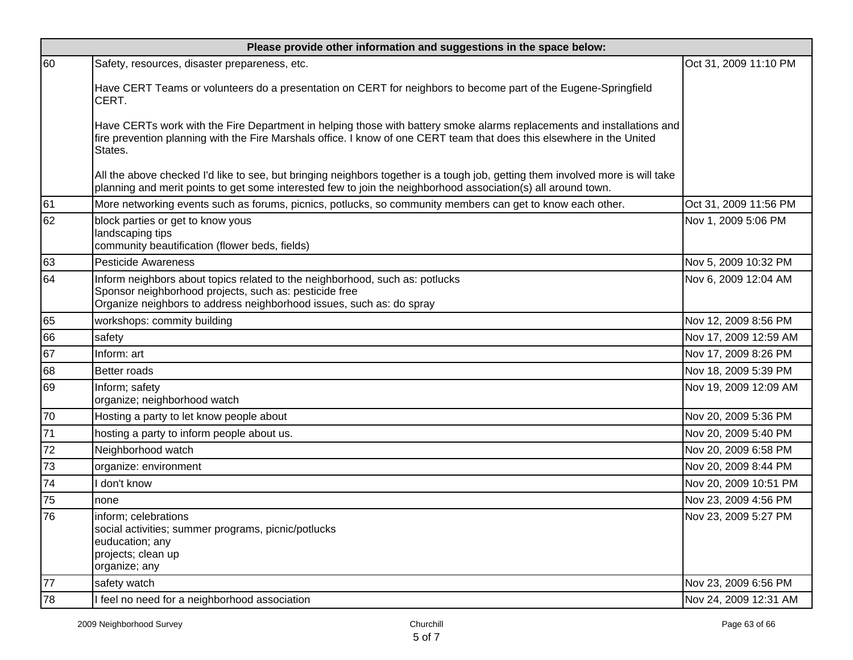| Please provide other information and suggestions in the space below: |                                                                                                                                                                                                                                                             |                       |  |
|----------------------------------------------------------------------|-------------------------------------------------------------------------------------------------------------------------------------------------------------------------------------------------------------------------------------------------------------|-----------------------|--|
| 60                                                                   | Safety, resources, disaster prepareness, etc.                                                                                                                                                                                                               | Oct 31, 2009 11:10 PM |  |
|                                                                      | Have CERT Teams or volunteers do a presentation on CERT for neighbors to become part of the Eugene-Springfield<br>CERT.                                                                                                                                     |                       |  |
|                                                                      | Have CERTs work with the Fire Department in helping those with battery smoke alarms replacements and installations and<br>fire prevention planning with the Fire Marshals office. I know of one CERT team that does this elsewhere in the United<br>States. |                       |  |
|                                                                      | All the above checked I'd like to see, but bringing neighbors together is a tough job, getting them involved more is will take<br>planning and merit points to get some interested few to join the neighborhood association(s) all around town.             |                       |  |
| 61                                                                   | More networking events such as forums, picnics, potlucks, so community members can get to know each other.                                                                                                                                                  | Oct 31, 2009 11:56 PM |  |
| 62                                                                   | block parties or get to know yous<br>landscaping tips<br>community beautification (flower beds, fields)                                                                                                                                                     | Nov 1, 2009 5:06 PM   |  |
| 63                                                                   | <b>Pesticide Awareness</b>                                                                                                                                                                                                                                  | Nov 5, 2009 10:32 PM  |  |
| 64                                                                   | Inform neighbors about topics related to the neighborhood, such as: potlucks<br>Sponsor neighborhood projects, such as: pesticide free<br>Organize neighbors to address neighborhood issues, such as: do spray                                              | Nov 6, 2009 12:04 AM  |  |
| 65                                                                   | workshops: commity building                                                                                                                                                                                                                                 | Nov 12, 2009 8:56 PM  |  |
| 66                                                                   | safety                                                                                                                                                                                                                                                      | Nov 17, 2009 12:59 AM |  |
| 67                                                                   | Inform: art                                                                                                                                                                                                                                                 | Nov 17, 2009 8:26 PM  |  |
| 68                                                                   | <b>Better roads</b>                                                                                                                                                                                                                                         | Nov 18, 2009 5:39 PM  |  |
| 69                                                                   | Inform; safety<br>organize; neighborhood watch                                                                                                                                                                                                              | Nov 19, 2009 12:09 AM |  |
| 70                                                                   | Hosting a party to let know people about                                                                                                                                                                                                                    | Nov 20, 2009 5:36 PM  |  |
| $\overline{71}$                                                      | hosting a party to inform people about us.                                                                                                                                                                                                                  | Nov 20, 2009 5:40 PM  |  |
| 72                                                                   | Neighborhood watch                                                                                                                                                                                                                                          | Nov 20, 2009 6:58 PM  |  |
| 73                                                                   | organize: environment                                                                                                                                                                                                                                       | Nov 20, 2009 8:44 PM  |  |
| 74                                                                   | don't know                                                                                                                                                                                                                                                  | Nov 20, 2009 10:51 PM |  |
| 75                                                                   | none                                                                                                                                                                                                                                                        | Nov 23, 2009 4:56 PM  |  |
| 76                                                                   | inform; celebrations<br>social activities; summer programs, picnic/potlucks<br>euducation; any<br>projects; clean up<br>organize; any                                                                                                                       | Nov 23, 2009 5:27 PM  |  |
| 77                                                                   | safety watch                                                                                                                                                                                                                                                | Nov 23, 2009 6:56 PM  |  |
| 78                                                                   | I feel no need for a neighborhood association                                                                                                                                                                                                               | Nov 24, 2009 12:31 AM |  |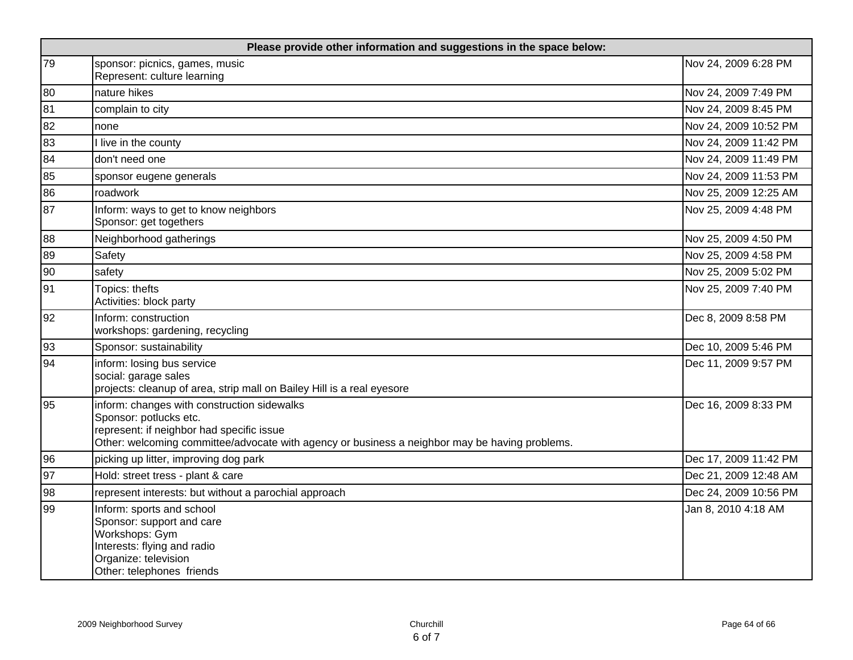| Please provide other information and suggestions in the space below: |                                                                                                                                                                                                                      |                       |
|----------------------------------------------------------------------|----------------------------------------------------------------------------------------------------------------------------------------------------------------------------------------------------------------------|-----------------------|
| 79                                                                   | sponsor: picnics, games, music<br>Represent: culture learning                                                                                                                                                        | Nov 24, 2009 6:28 PM  |
| 80                                                                   | nature hikes                                                                                                                                                                                                         | Nov 24, 2009 7:49 PM  |
| 81                                                                   | complain to city                                                                                                                                                                                                     | Nov 24, 2009 8:45 PM  |
| 82                                                                   | none                                                                                                                                                                                                                 | Nov 24, 2009 10:52 PM |
| 83                                                                   | I live in the county                                                                                                                                                                                                 | Nov 24, 2009 11:42 PM |
| 84                                                                   | don't need one                                                                                                                                                                                                       | Nov 24, 2009 11:49 PM |
| 85                                                                   | sponsor eugene generals                                                                                                                                                                                              | Nov 24, 2009 11:53 PM |
| 86                                                                   | roadwork                                                                                                                                                                                                             | Nov 25, 2009 12:25 AM |
| 87                                                                   | Inform: ways to get to know neighbors<br>Sponsor: get togethers                                                                                                                                                      | Nov 25, 2009 4:48 PM  |
| 88                                                                   | Neighborhood gatherings                                                                                                                                                                                              | Nov 25, 2009 4:50 PM  |
| 89                                                                   | Safety                                                                                                                                                                                                               | Nov 25, 2009 4:58 PM  |
| 90                                                                   | safety                                                                                                                                                                                                               | Nov 25, 2009 5:02 PM  |
| 91                                                                   | Topics: thefts<br>Activities: block party                                                                                                                                                                            | Nov 25, 2009 7:40 PM  |
| 92                                                                   | Inform: construction<br>workshops: gardening, recycling                                                                                                                                                              | Dec 8, 2009 8:58 PM   |
| 93                                                                   | Sponsor: sustainability                                                                                                                                                                                              | Dec 10, 2009 5:46 PM  |
| 94                                                                   | inform: losing bus service<br>social: garage sales<br>projects: cleanup of area, strip mall on Bailey Hill is a real eyesore                                                                                         | Dec 11, 2009 9:57 PM  |
| 95                                                                   | inform: changes with construction sidewalks<br>Sponsor: potlucks etc.<br>represent: if neighbor had specific issue<br>Other: welcoming committee/advocate with agency or business a neighbor may be having problems. | Dec 16, 2009 8:33 PM  |
| 96                                                                   | picking up litter, improving dog park                                                                                                                                                                                | Dec 17, 2009 11:42 PM |
| 97                                                                   | Hold: street tress - plant & care                                                                                                                                                                                    | Dec 21, 2009 12:48 AM |
| 98                                                                   | represent interests: but without a parochial approach                                                                                                                                                                | Dec 24, 2009 10:56 PM |
| 99                                                                   | Inform: sports and school<br>Sponsor: support and care<br>Workshops: Gym<br>Interests: flying and radio<br>Organize: television<br>Other: telephones friends                                                         | Jan 8, 2010 4:18 AM   |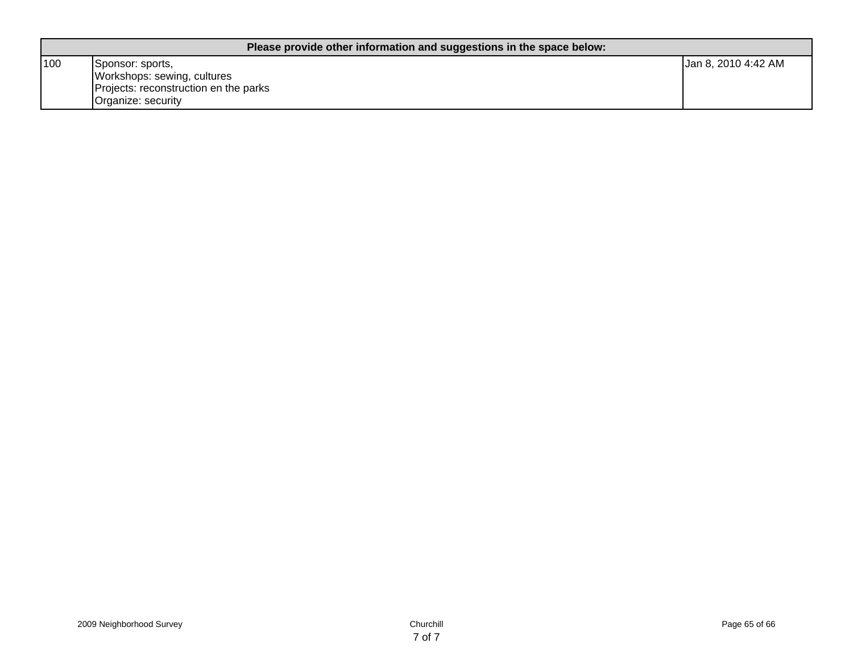| Please provide other information and suggestions in the space below: |                                                                                                                |                     |
|----------------------------------------------------------------------|----------------------------------------------------------------------------------------------------------------|---------------------|
| 100                                                                  | Sponsor: sports,<br>Workshops: sewing, cultures<br>Projects: reconstruction en the parks<br>Organize: security | Jan 8, 2010 4:42 AM |